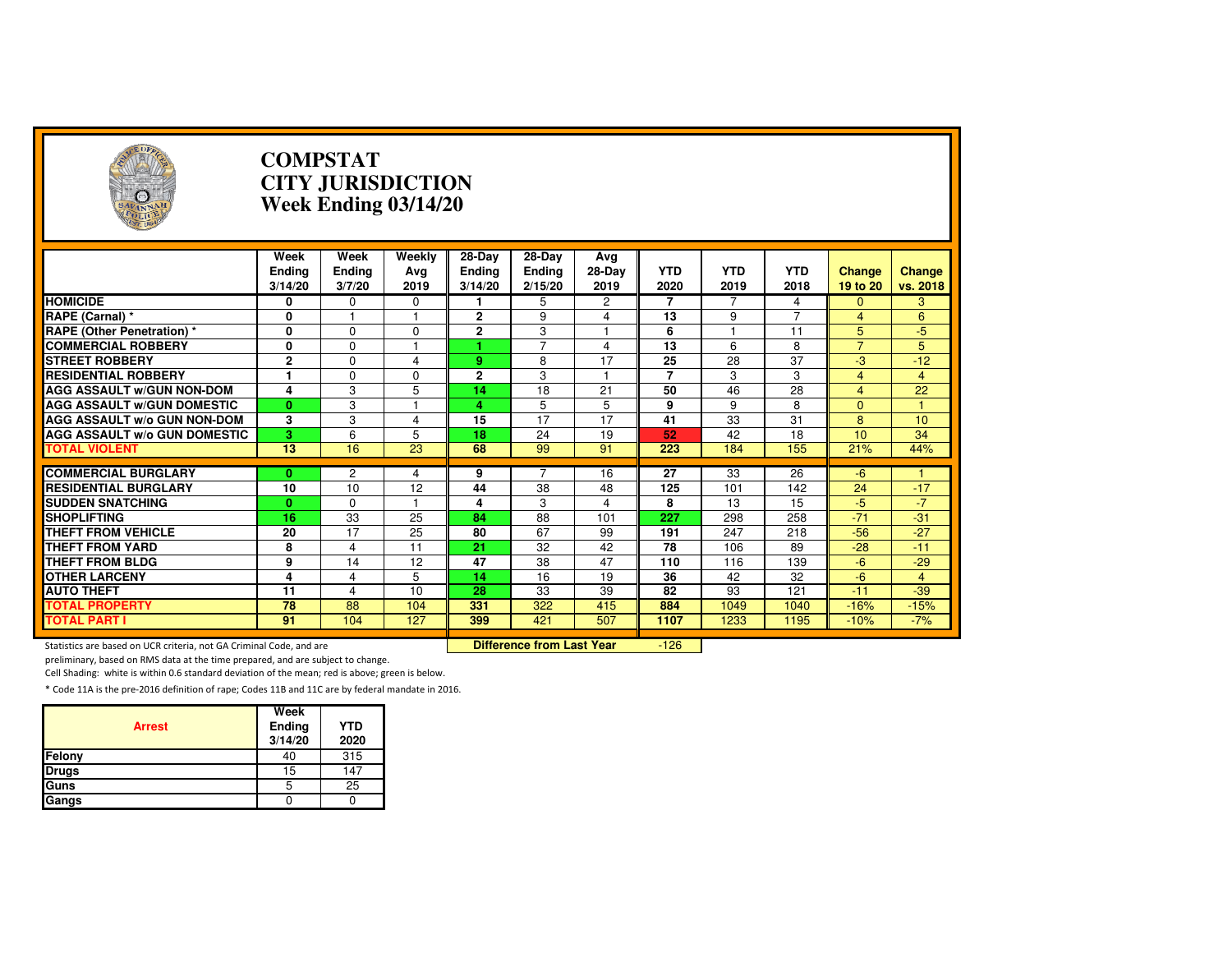| A                                                                                                                 |                                  | <b>COMPSTAT</b>          | <b>CITY JURISDICTION</b><br>Week Ending 03/14/20 |                                      |                             |                       |                    |                    |                    |                           |                    |
|-------------------------------------------------------------------------------------------------------------------|----------------------------------|--------------------------|--------------------------------------------------|--------------------------------------|-----------------------------|-----------------------|--------------------|--------------------|--------------------|---------------------------|--------------------|
|                                                                                                                   | Week<br><b>Ending</b><br>3/14/20 | Week<br>Ending<br>3/7/20 | Weekly<br>Ava<br>2019                            | $28-Dav$<br><b>Ending</b><br>3/14/20 | 28-Day<br>Ending<br>2/15/20 | Ava<br>28-Day<br>2019 | <b>YTD</b><br>2020 | <b>YTD</b><br>2019 | <b>YTD</b><br>2018 | <b>Change</b><br>19 to 20 | Change<br>vs. 2018 |
| <b>HOMICIDE</b>                                                                                                   | 0                                | 0                        | 0                                                |                                      | 5                           | 2                     | 7                  |                    | 4                  | $\mathbf{0}$              | 3                  |
| RAPE (Carnal) *                                                                                                   | 0                                |                          |                                                  | $\mathbf{2}$                         | 9                           | $\overline{4}$        | 13                 | 9                  | $\overline{7}$     | $\overline{4}$            | 6                  |
| <b>RAPE (Other Penetration) *</b>                                                                                 | 0                                | $\Omega$                 | $\Omega$                                         | $\overline{2}$                       | 3                           | $\mathbf{1}$          | 6                  |                    | 11                 | 5                         | $-5$               |
| <b>COMMERCIAL ROBBERY</b>                                                                                         | 0                                | $\Omega$                 | н                                                | 4                                    | $\overline{7}$              | 4                     | $\overline{13}$    | 6                  | 8                  | $\overline{7}$            | 5                  |
| <b>STREET ROBBERY</b>                                                                                             | $\overline{2}$                   | $\Omega$                 | $\overline{\mathbf{A}}$                          | 9                                    | 8                           | 17                    | 25                 | 28                 | 37                 | -3                        | $-12$              |
| <b>RESIDENTIAL ROBBERY</b>                                                                                        | 1                                | $\Omega$                 | $\Omega$                                         | $\overline{2}$                       | 3                           |                       | $\overline{7}$     | 3                  | 3                  | 4                         | $\overline{4}$     |
| <b>AGG ASSAULT w/GUN NON-DOM</b>                                                                                  | $\overline{4}$                   | $\overline{3}$           | $\overline{5}$                                   | 14                                   | $\overline{18}$             | $\overline{21}$       | 50                 | 46                 | $\overline{28}$    | $\overline{4}$            | 22                 |
| <b>AGG ASSAULT W/GUN DOMESTIC</b>                                                                                 | $\mathbf{0}$                     | $\overline{3}$           |                                                  | 4                                    | 5                           | 5                     | 9                  | 9                  | 8                  | $\Omega$                  |                    |
| <b>AGG ASSAULT W/o GUN NON-DOM</b>                                                                                | 3                                | 3                        | 4                                                | 15                                   | $\overline{17}$             | 17                    | 41                 | 33                 | 31                 | 8                         | 10                 |
| <b>AGG ASSAULT W/o GUN DOMESTIC</b>                                                                               | 3                                | 6                        | 5                                                | 18                                   | 24                          | 19                    | 52                 | 42                 | 18                 | 10                        | 34                 |
| <b>TOTAL VIOLENT</b>                                                                                              | $\overline{13}$                  | 16                       | $\overline{23}$                                  | 68                                   | 99                          | 91                    | 223                | 184                | 155                | 21%                       | 44%                |
|                                                                                                                   |                                  |                          |                                                  |                                      |                             |                       |                    |                    |                    |                           |                    |
| <b>COMMERCIAL BURGLARY</b>                                                                                        | $\mathbf{0}$                     | $\overline{c}$           | 4                                                | 9                                    | $\overline{7}$              | 16                    | 27                 | 33                 | 26                 | $-6$                      |                    |
| <b>RESIDENTIAL BURGLARY</b>                                                                                       | 10                               | 10                       | 12                                               | 44                                   | 38                          | 48                    | 125                | 101                | 142                | 24                        | $-17$              |
| <b>SUDDEN SNATCHING</b>                                                                                           | $\bf{0}$                         | $\Omega$                 |                                                  | 4                                    | 3                           | $\overline{4}$        | 8                  | 13                 | 15                 | $-5$                      | $-7$               |
| <b>SHOPLIFTING</b>                                                                                                | $\overline{16}$                  | $\overline{33}$          | $\overline{25}$                                  | 84                                   | $\overline{88}$             | 101                   | 227                | 298                | 258                | $-71$                     | $-31$              |
| <b>THEFT FROM VEHICLE</b>                                                                                         | 20                               | 17                       | 25                                               | 80                                   | 67                          | 99                    | 191                | 247                | 218                | $-56$                     | $-27$              |
| <b>THEFT FROM YARD</b>                                                                                            | 8                                | $\overline{4}$           | 11                                               | 21                                   | 32                          | 42                    | 78                 | 106                | 89                 | $-28$                     | $-11$              |
| <b>THEFT FROM BLDG</b>                                                                                            | 9                                | 14                       | 12                                               | 47                                   | 38                          | 47                    | 110                | 116                | 139                | $-6$                      | $-29$              |
| <b>OTHER LARCENY</b>                                                                                              | $\overline{\mathbf{4}}$          | $\overline{4}$           | 5                                                | 14                                   | 16                          | 19                    | 36                 | 42                 | 32                 | $-6$                      | $\overline{4}$     |
| <b>AUTO THEFT</b>                                                                                                 | 11                               | $\overline{4}$           | 10                                               | 28                                   | 33                          | 39                    | 82                 | 93                 | 121                | $-11$                     | $-39$              |
| <b>TOTAL PROPERTY</b>                                                                                             | 78                               | 88                       | 104                                              | 331                                  | 322                         | 415                   | 884                | 1049               | 1040               | $-16%$                    | $-15%$             |
| <b>TOTAL PART I</b>                                                                                               | 91                               | 104                      | 127                                              | 399                                  | 421                         | 507                   | 1107               | 1233               | 1195               | $-10%$                    | $-7%$              |
| <b>Difference from Last Year</b><br>$-126$<br>Statistics are based on UCR criteria, not GA Criminal Code, and are |                                  |                          |                                                  |                                      |                             |                       |                    |                    |                    |                           |                    |

Statistics are based on UCR criteria, not GA Criminal Code, and are **Difference from Last Year** 

preliminary, based on RMS data at the time prepared, and are subject to change.

Cell Shading: white is within 0.6 standard deviation of the mean; red is above; green is below.

| <b>Arrest</b> | Week<br>Ending<br>3/14/20 | <b>YTD</b><br>2020 |
|---------------|---------------------------|--------------------|
| Felony        | 40                        | 315                |
| <b>Drugs</b>  | 15                        | 147                |
| Guns          | 5                         | 25                 |
| Gangs         |                           |                    |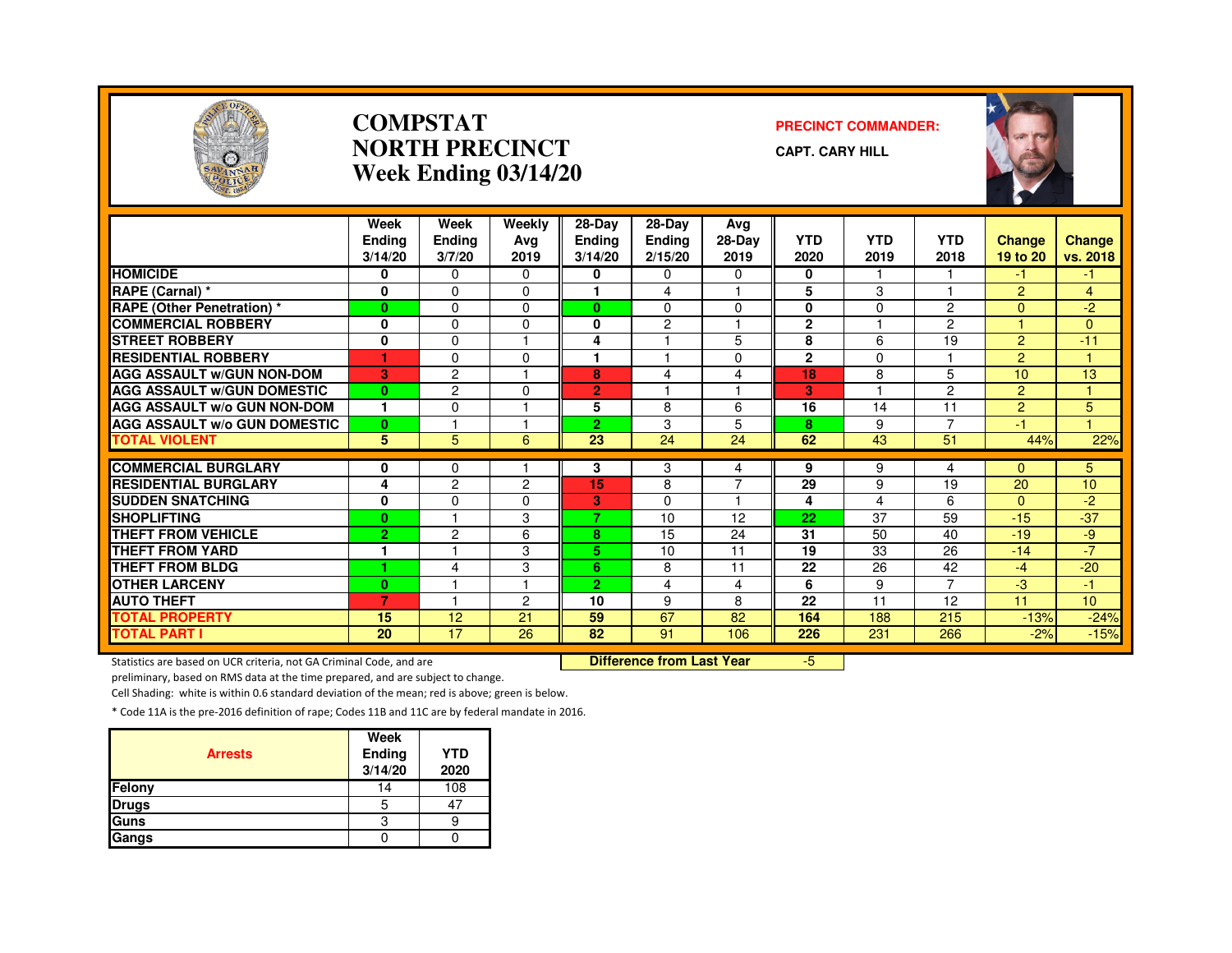

#### **COMPSTATNORTH PRECINCTWeek Ending 03/14/20**

#### **PRECINCT COMMANDER:**

**CAPT. CARY HILL**



|                                     | Week           | Week           | Weekly         | $28-Dav$       | 28-Day         | Avg      |              |            |                |                |                 |
|-------------------------------------|----------------|----------------|----------------|----------------|----------------|----------|--------------|------------|----------------|----------------|-----------------|
|                                     | <b>Endina</b>  | Ending         | Avg            | <b>Ending</b>  | <b>Ending</b>  | 28-Day   | <b>YTD</b>   | <b>YTD</b> | <b>YTD</b>     | Change         | Change          |
|                                     | 3/14/20        | 3/7/20         | 2019           | 3/14/20        | 2/15/20        | 2019     | 2020         | 2019       | 2018           | 19 to 20       | vs. 2018        |
| <b>HOMICIDE</b>                     | 0              | 0              | 0              | 0              | 0              | 0        | 0            |            |                | -1             | -1.             |
| RAPE (Carnal) *                     | $\mathbf 0$    | $\Omega$       | $\Omega$       |                | 4              | ۰        | 5            | 3          |                | $\overline{2}$ | 4               |
| <b>RAPE (Other Penetration) *</b>   | $\mathbf{0}$   | $\Omega$       | $\Omega$       | $\mathbf{0}$   | $\Omega$       | $\Omega$ | $\mathbf{0}$ | $\Omega$   | $\overline{2}$ | $\Omega$       | $-2^{1}$        |
| <b>COMMERCIAL ROBBERY</b>           | $\mathbf{0}$   | $\Omega$       | 0              | $\bf{0}$       | $\overline{c}$ | 1        | $\mathbf{2}$ |            | $\overline{2}$ |                | $\overline{0}$  |
| <b>STREET ROBBERY</b>               | $\mathbf 0$    | $\Omega$       |                | 4              |                | 5        | 8            | 6          | 19             | $\overline{2}$ | $-11$           |
| <b>RESIDENTIAL ROBBERY</b>          | ٠              | $\Omega$       | $\Omega$       |                |                | 0        | $\mathbf{2}$ | $\Omega$   |                | $\overline{2}$ |                 |
| <b>AGG ASSAULT w/GUN NON-DOM</b>    | 3              | $\overline{2}$ |                | 8              | 4              | 4        | 18           | 8          | 5              | 10             | 13              |
| <b>AGG ASSAULT W/GUN DOMESTIC</b>   | $\bf{0}$       | $\overline{2}$ | $\Omega$       | $\overline{2}$ |                | 1        | 3            |            | $\overline{2}$ | 2              |                 |
| <b>AGG ASSAULT w/o GUN NON-DOM</b>  | 1              | $\Omega$       |                | 5              | 8              | 6        | 16           | 14         | 11             | 2              | 5               |
| <b>AGG ASSAULT W/o GUN DOMESTIC</b> | $\bf{0}$       |                |                | 2.             | 3              | 5        | 8            | 9          | 7              | -1             |                 |
| <b>TOTAL VIOLENT</b>                | 5              | 5              | 6              | 23             | 24             | 24       | 62           | 43         | 51             | 44%            | 22%             |
|                                     |                |                |                |                |                |          |              |            |                |                |                 |
| <b>COMMERCIAL BURGLARY</b>          | 0              | 0              |                | 3              | 3              | 4        | 9            | 9          | 4              | $\Omega$       | 5               |
| <b>RESIDENTIAL BURGLARY</b>         | 4              | $\overline{c}$ | $\overline{c}$ | 15             | 8              | 7        | 29           | 9          | 19             | 20             | 10 <sup>1</sup> |
| <b>SUDDEN SNATCHING</b>             | 0              | $\Omega$       | 0              | 3              | $\Omega$       | ۰        | 4            | 4          | 6              | $\mathbf{0}$   | $-2$            |
| <b>SHOPLIFTING</b>                  | $\bf{0}$       |                | 3              | 7              | 10             | 12       | 22           | 37         | 59             | $-15$          | $-37$           |
| <b>THEFT FROM VEHICLE</b>           | $\overline{2}$ | $\overline{2}$ | 6              | 8              | 15             | 24       | 31           | 50         | 40             | $-19$          | -9              |
| <b>THEFT FROM YARD</b>              | 1              |                | 3              | 5              | 10             | 11       | 19           | 33         | 26             | $-14$          | $-7'$           |
| <b>THEFT FROM BLDG</b>              | ٠              | $\overline{4}$ | 3              | 6              | 8              | 11       | 22           | 26         | 42             | $-4$           | $-20$           |
| <b>OTHER LARCENY</b>                | $\bf{0}$       |                |                | $\overline{2}$ | 4              | 4        | 6            | 9          | 7              | $-3$           | $-1$            |
| <b>AUTO THEFT</b>                   | 7              |                | $\mathbf{2}$   | 10             | 9              | 8        | 22           | 11         | 12             | 11             | 10 <sup>°</sup> |
| <b>TOTAL PROPERTY</b>               | 15             | 12             | 21             | 59             | 67             | 82       | 164          | 188        | 215            | $-13%$         | $-24%$          |
| <b>TOTAL PART I</b>                 | 20             | 17             | 26             | 82             | 91             | 106      | 226          | 231        | 266            | $-2%$          | $-15%$          |

Statistics are based on UCR criteria, not GA Criminal Code, and are **Difference from Last Year** 

-5

preliminary, based on RMS data at the time prepared, and are subject to change.

Cell Shading: white is within 0.6 standard deviation of the mean; red is above; green is below.

| <b>Arrests</b> | Week<br><b>Ending</b><br>3/14/20 | <b>YTD</b><br>2020 |
|----------------|----------------------------------|--------------------|
| Felony         | 14                               | 108                |
| <b>Drugs</b>   | 5                                | 47                 |
| Guns           | 3                                |                    |
| Gangs          |                                  |                    |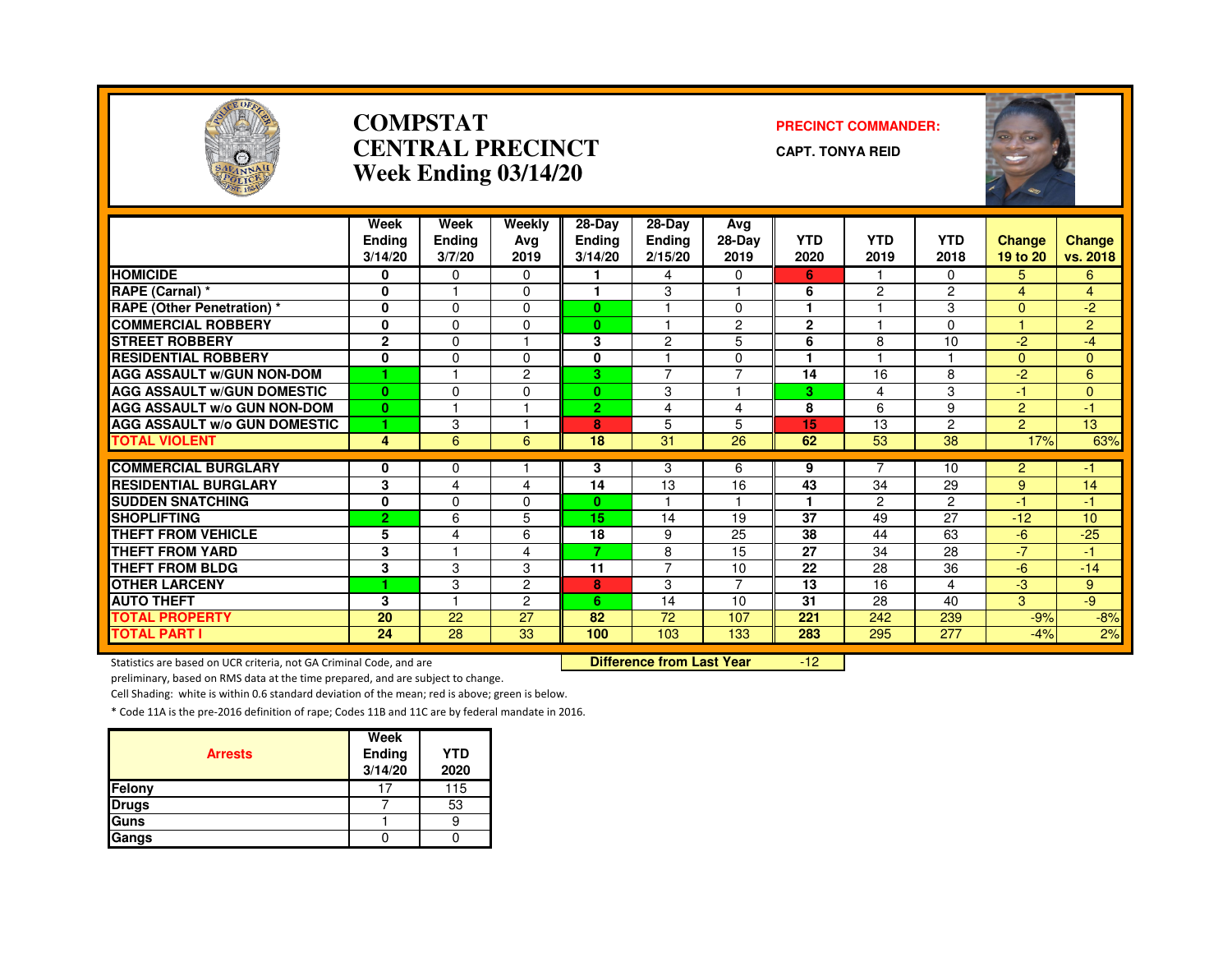

#### **COMPSTATCENTRAL PRECINCTWeek Ending 03/14/20**

#### **PRECINCT COMMANDER:**

**CAPT. TONYA REID**



|                                     | Week<br><b>Ending</b><br>3/14/20 | Week<br><b>Ending</b><br>3/7/20 | Weekly<br>Ava<br>2019 | 28-Day<br><b>Ending</b><br>3/14/20 | $28-Dav$<br><b>Ending</b><br>2/15/20 | Avg<br>28-Day<br>2019 | <b>YTD</b><br>2020 | <b>YTD</b><br>2019 | <b>YTD</b><br>2018 | <b>Change</b><br>19 to 20 | <b>Change</b><br>vs. 2018 |
|-------------------------------------|----------------------------------|---------------------------------|-----------------------|------------------------------------|--------------------------------------|-----------------------|--------------------|--------------------|--------------------|---------------------------|---------------------------|
| <b>HOMICIDE</b>                     | 0                                | $\Omega$                        | $\Omega$              |                                    | 4                                    | $\Omega$              | 6                  |                    | $\Omega$           | 5.                        | 6                         |
| RAPE (Carnal) *                     | 0                                | м                               | $\Omega$              |                                    | 3                                    |                       | 6                  | $\mathcal{P}$      | $\overline{c}$     | 4                         | 4                         |
| <b>RAPE (Other Penetration) *</b>   | $\bf{0}$                         | $\Omega$                        | 0                     | $\mathbf{0}$                       |                                      | $\Omega$              |                    |                    | 3                  | $\overline{0}$            | $-2$                      |
| <b>COMMERCIAL ROBBERY</b>           | 0                                | $\Omega$                        | $\Omega$              | $\mathbf{0}$                       |                                      | 2                     | $\mathbf{2}$       |                    | $\Omega$           |                           | $\overline{2}$            |
| <b>STREET ROBBERY</b>               | $\mathbf{2}$                     | $\Omega$                        |                       | 3                                  | 2                                    | 5                     | 6                  | 8                  | 10                 | $-2$                      | $-4$                      |
| <b>RESIDENTIAL ROBBERY</b>          | $\mathbf{0}$                     | $\Omega$                        | $\Omega$              | 0                                  |                                      | $\Omega$              | ٠                  |                    |                    | $\Omega$                  | $\Omega$                  |
| <b>AGG ASSAULT W/GUN NON-DOM</b>    | 4                                | м                               | $\overline{2}$        | 3.                                 | $\overline{7}$                       | 7                     | 14                 | 16                 | 8                  | $-2$                      | 6                         |
| <b>AGG ASSAULT W/GUN DOMESTIC</b>   | $\mathbf{0}$                     | $\Omega$                        | $\Omega$              | $\bf{0}$                           | 3                                    | 1                     | 3                  | 4                  | 3                  | $-1$                      | $\Omega$                  |
| <b>AGG ASSAULT w/o GUN NON-DOM</b>  | $\mathbf{0}$                     |                                 |                       | $\overline{2}$                     | 4                                    | 4                     | 8                  | 6                  | 9                  | $\overline{2}$            | -1.                       |
| <b>AGG ASSAULT W/o GUN DOMESTIC</b> | 1                                | 3                               |                       | 8                                  | 5                                    | 5                     | 15                 | 13                 | 2                  | $\overline{2}$            | 13                        |
| <b>TOTAL VIOLENT</b>                | 4                                | 6                               | 6                     | 18                                 | 31                                   | 26                    | 62                 | 53                 | 38                 | 17%                       | 63%                       |
|                                     |                                  |                                 |                       |                                    |                                      |                       |                    | $\overline{7}$     |                    |                           |                           |
| <b>COMMERCIAL BURGLARY</b>          | 0                                | $\Omega$                        |                       | 3                                  | 3                                    | 6                     | 9                  |                    | 10                 | $\overline{2}$            | -1                        |
| <b>RESIDENTIAL BURGLARY</b>         | 3                                | 4                               | 4                     | 14                                 | 13                                   | 16                    | 43                 | 34                 | 29                 | 9                         | 14                        |
| <b>SUDDEN SNATCHING</b>             | 0                                | $\Omega$                        | $\Omega$              | $\mathbf{0}$                       |                                      |                       |                    | 2                  | $\overline{c}$     | $-1$                      | -1                        |
| <b>SHOPLIFTING</b>                  | $\overline{2}$                   | 6                               | 5                     | 15                                 | 14                                   | 19                    | 37                 | 49                 | 27                 | $-12$                     | 10                        |
| <b>THEFT FROM VEHICLE</b>           | 5                                | $\overline{4}$                  | 6                     | 18                                 | 9                                    | 25                    | 38                 | 44                 | 63                 | $-6$                      | $-25$                     |
| THEFT FROM YARD                     | 3                                |                                 | 4                     | 7                                  | 8                                    | 15                    | 27                 | 34                 | 28                 | $-7$                      | -1                        |
| <b>THEFT FROM BLDG</b>              | 3                                | 3                               | 3                     | 11                                 | $\overline{7}$                       | 10                    | 22                 | 28                 | 36                 | $-6$                      | $-14$                     |
| <b>OTHER LARCENY</b>                | 1                                | 3                               | $\overline{2}$        | 8                                  | 3                                    | $\overline{7}$        | 13                 | 16                 | 4                  | $-3$                      | 9                         |
| <b>AUTO THEFT</b>                   | 3                                |                                 | $\overline{2}$        | 6                                  | 14                                   | 10                    | 31                 | 28                 | 40                 | 3                         | -9                        |
| <b>TOTAL PROPERTY</b>               | 20                               | 22                              | 27                    | 82                                 | 72                                   | 107                   | 221                | 242                | 239                | $-9%$                     | $-8%$                     |
| <b>TOTAL PART I</b>                 | 24                               | 28                              | 33                    | 100                                | 103                                  | 133                   | 283                | 295                | 277                | $-4%$                     | 2%                        |

Statistics are based on UCR criteria, not GA Criminal Code, and are **Difference from Last Year** 

-12

preliminary, based on RMS data at the time prepared, and are subject to change.

Cell Shading: white is within 0.6 standard deviation of the mean; red is above; green is below.

| <b>Arrests</b> | Week<br>Ending<br>3/14/20 | <b>YTD</b><br>2020 |
|----------------|---------------------------|--------------------|
| Felony         |                           | 115                |
| <b>Drugs</b>   |                           | 53                 |
| Guns           |                           |                    |
| Gangs          |                           |                    |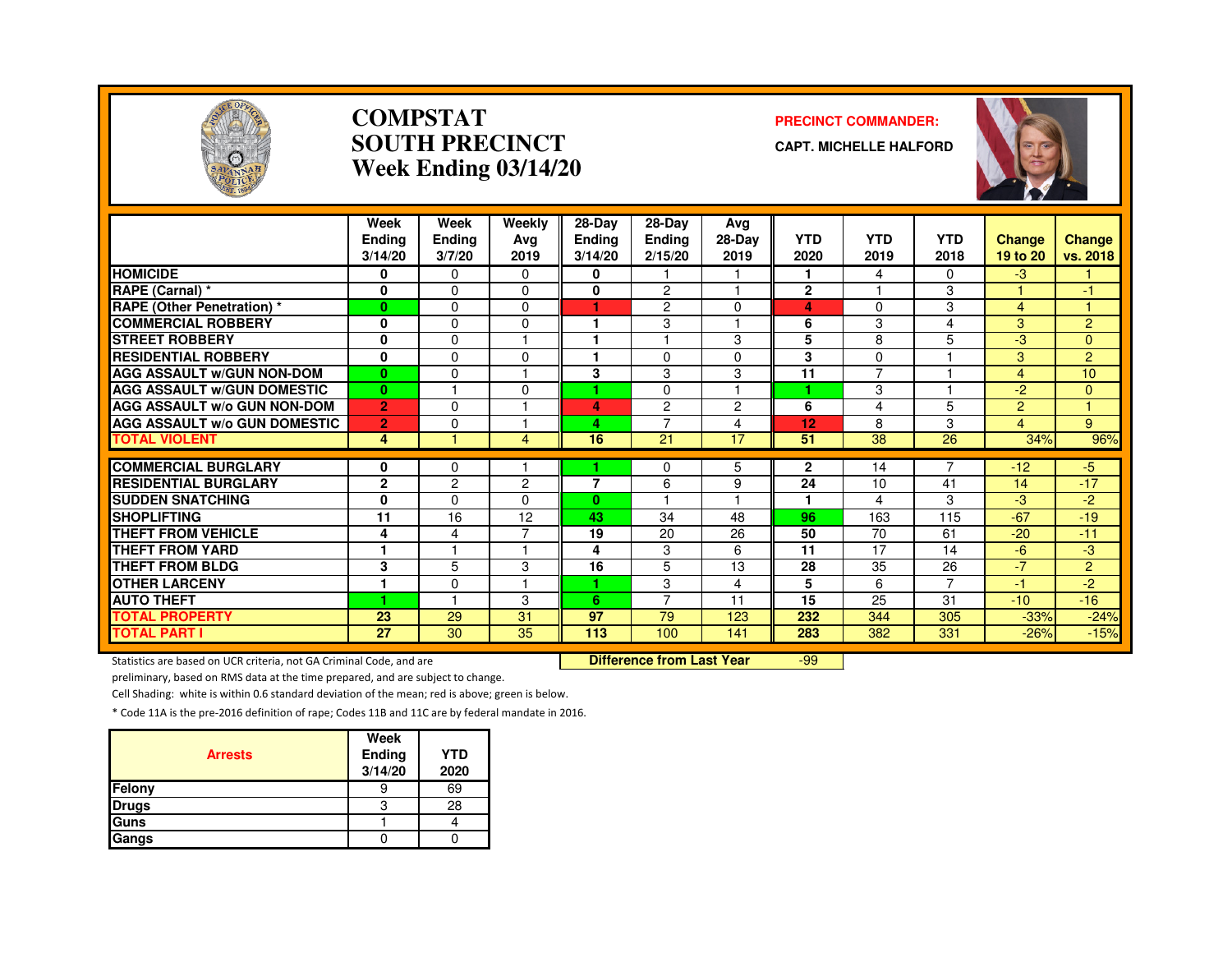

#### **COMPSTATSOUTH PRECINCTWeek Ending 03/14/20**

#### **PRECINCT COMMANDER:**

**CAPT. MICHELLE HALFORD**



|                                               | Week<br><b>Ending</b><br>3/14/20 | Week<br>Ending<br>3/7/20 | Weekly<br>Avg<br>2019 | 28-Day<br><b>Ending</b><br>3/14/20 | $28-Dav$<br><b>Ending</b><br>2/15/20 | Ava<br>28-Day<br>2019    | <b>YTD</b><br>2020 | <b>YTD</b><br>2019 | <b>YTD</b><br>2018 | <b>Change</b><br>19 to 20 | Change<br>vs. 2018 |
|-----------------------------------------------|----------------------------------|--------------------------|-----------------------|------------------------------------|--------------------------------------|--------------------------|--------------------|--------------------|--------------------|---------------------------|--------------------|
| <b>HOMICIDE</b>                               | 0                                | $\mathbf{0}$             | $\Omega$              | 0                                  |                                      |                          | 1                  | 4                  | 0                  | $-3$                      |                    |
| RAPE (Carnal) *                               | $\mathbf 0$                      | $\Omega$                 | $\Omega$              | 0                                  | 2                                    |                          | $\mathbf{2}$       |                    | 3                  |                           | $-1$               |
| <b>RAPE (Other Penetration)</b> *             | $\bf{0}$                         | $\Omega$                 | $\Omega$              | ٠                                  | $\overline{2}$                       | $\Omega$                 | 4                  | 0                  | 3                  | $\overline{4}$            |                    |
| <b>COMMERCIAL ROBBERY</b>                     | $\mathbf 0$                      | $\Omega$                 | $\Omega$              |                                    | 3                                    |                          | 6                  | 3                  | 4                  | 3                         | $\overline{2}$     |
| <b>STREET ROBBERY</b>                         | $\mathbf 0$                      | $\Omega$                 |                       |                                    |                                      | 3                        | 5                  | 8                  | 5                  | -3                        | $\overline{0}$     |
| <b>RESIDENTIAL ROBBERY</b>                    | 0                                | $\Omega$                 | $\Omega$              |                                    | $\Omega$                             | $\Omega$                 | 3                  | $\Omega$           |                    | 3                         | $\overline{2}$     |
| <b>AGG ASSAULT W/GUN NON-DOM</b>              | $\mathbf{0}$                     | $\mathbf 0$              |                       | 3                                  | 3                                    | 3                        | 11                 | $\overline{ }$     |                    | $\overline{4}$            | 10                 |
| <b>AGG ASSAULT W/GUN DOMESTIC</b>             | $\bf{0}$                         |                          | $\Omega$              |                                    | $\Omega$                             | $\overline{\phantom{a}}$ |                    | 3                  |                    | $-2$                      | $\Omega$           |
| <b>AGG ASSAULT w/o GUN NON-DOM</b>            | $\overline{2}$                   | $\mathbf{0}$             |                       | 4                                  | $\overline{2}$                       | $\overline{2}$           | 6                  | 4                  | 5                  | 2                         |                    |
| <b>AGG ASSAULT w/o GUN DOMESTIC</b>           | $\overline{2}$                   | $\Omega$                 |                       | 4                                  | $\overline{7}$                       | $\overline{4}$           | 12                 | 8                  | 3                  | 4                         | 9                  |
| <b>TOTAL VIOLENT</b>                          | 4                                |                          | 4                     | 16                                 | 21                                   | 17                       | 51                 | 38                 | 26                 | 34%                       | 96%                |
| <b>COMMERCIAL BURGLARY</b>                    |                                  |                          |                       |                                    |                                      |                          |                    |                    | 7                  | $-12$                     | $-5$               |
| <b>RESIDENTIAL BURGLARY</b>                   | 0<br>$\mathbf{2}$                | 0<br>$\overline{2}$      | $\overline{2}$        | 7                                  | 0<br>6                               | 5<br>9                   | 2<br>24            | 14<br>10           | 41                 | 14                        | $-17$              |
|                                               |                                  | $\Omega$                 | 0                     |                                    |                                      |                          |                    |                    |                    |                           |                    |
| <b>SUDDEN SNATCHING</b><br><b>SHOPLIFTING</b> | 0<br>11                          | 16                       |                       | 0<br>43                            | 34                                   | 48                       | 96                 | 4<br>163           | 3<br>115           | -3<br>$-67$               | -2                 |
| THEFT FROM VEHICLE                            |                                  |                          | 12<br>⇁               |                                    |                                      |                          | 50                 |                    |                    |                           | $-19$              |
|                                               | 4                                | 4                        |                       | 19                                 | 20                                   | 26                       |                    | 70                 | 61                 | $-20$                     | $-11$              |
| <b>THEFT FROM YARD</b>                        | $\mathbf{1}$                     |                          |                       | 4                                  | 3                                    | 6                        | 11                 | 17                 | 14                 | $-6$                      | -3                 |
| <b>THEFT FROM BLDG</b>                        | 3                                | 5                        | 3                     | 16                                 | 5                                    | 13                       | 28                 | 35                 | 26                 | $-7$                      | $\overline{2}$     |
| <b>OTHER LARCENY</b>                          | 1                                | $\Omega$                 |                       |                                    | 3                                    | 4                        | 5                  | 6                  | 7                  | $-1$                      | $-2$               |
| <b>AUTO THEFT</b>                             | 1                                |                          | 3                     | 6                                  | 7                                    | 11                       | 15                 | 25                 | 31                 | $-10$                     | $-16$              |
| <b>TOTAL PROPERTY</b>                         | 23                               | 29                       | 31                    | 97                                 | 79                                   | 123                      | 232                | 344                | 305                | $-33%$                    | $-24%$             |
| <b>TOTAL PART I</b>                           | 27                               | 30                       | 35                    | 113                                | 100                                  | 141                      | 283                | 382                | 331                | $-26%$                    | $-15%$             |

Statistics are based on UCR criteria, not GA Criminal Code, and are **Difference from Last Year** 

-99

preliminary, based on RMS data at the time prepared, and are subject to change.

Cell Shading: white is within 0.6 standard deviation of the mean; red is above; green is below.

| <b>Arrests</b> | Week<br>Ending<br>3/14/20 | <b>YTD</b><br>2020 |
|----------------|---------------------------|--------------------|
| Felony         |                           | 69                 |
| <b>Drugs</b>   | з                         | 28                 |
| Guns           |                           |                    |
| Gangs          |                           |                    |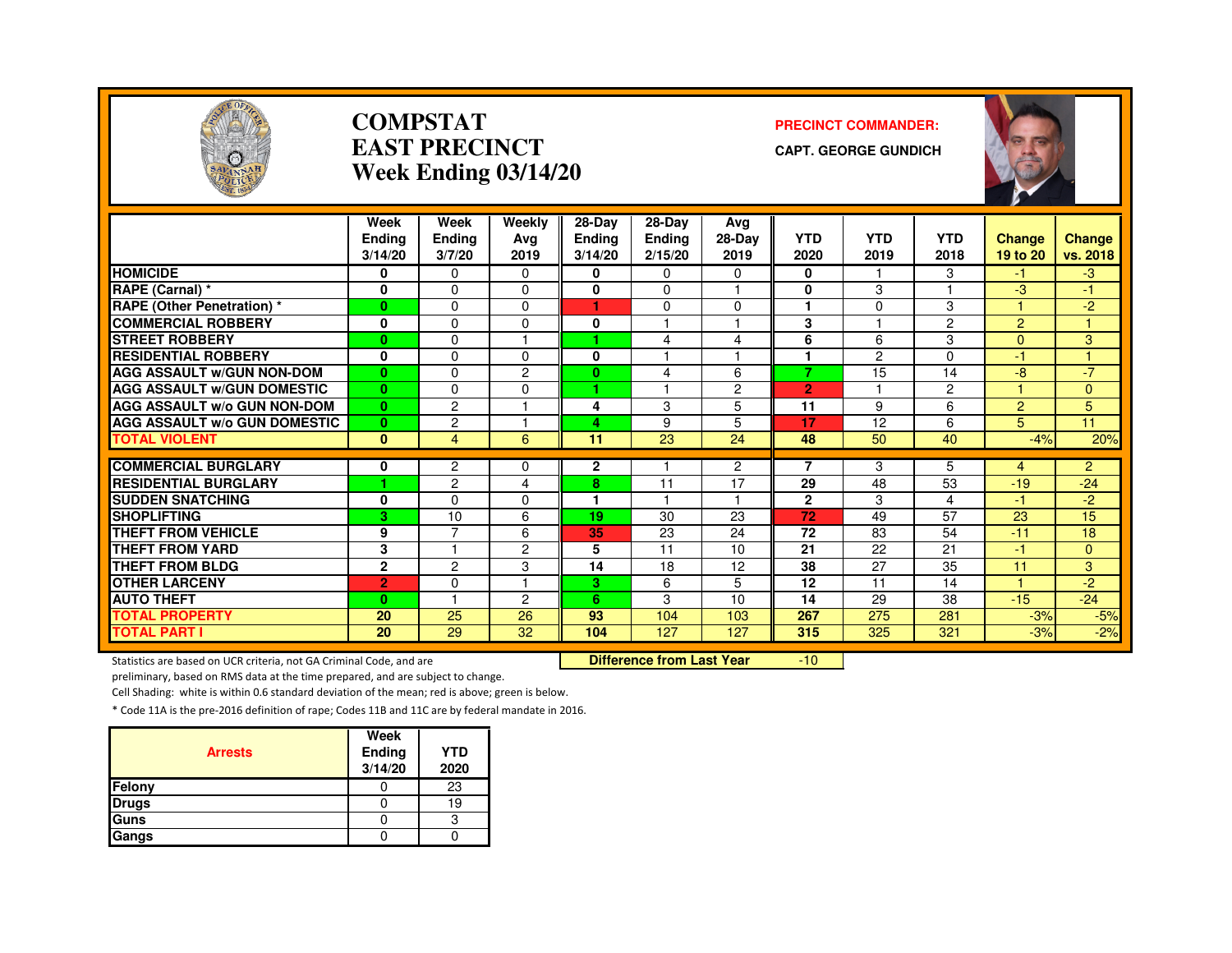

#### **COMPSTATEAST PRECINCTWeek Ending 03/14/20**

#### **PRECINCT COMMANDER:**

**CAPT. GEORGE GUNDICH**



|                                               | Week           | Week                | Weekly   | 28-Day         | $28-Dav$      | Ava                               |                |               |                |                |                         |
|-----------------------------------------------|----------------|---------------------|----------|----------------|---------------|-----------------------------------|----------------|---------------|----------------|----------------|-------------------------|
|                                               | <b>Endina</b>  | Ending              | Ava      | <b>Ending</b>  | <b>Endina</b> | 28-Day                            | <b>YTD</b>     | <b>YTD</b>    | <b>YTD</b>     | Change         | Change                  |
|                                               | 3/14/20        | 3/7/20              | 2019     | 3/14/20        | 2/15/20       | 2019                              | 2020           | 2019          | 2018           | 19 to 20       | vs. 2018                |
| <b>HOMICIDE</b>                               | 0              | $\Omega$            | $\Omega$ | 0              | 0             | 0                                 | 0              |               | 3              | -1.            | $-3$                    |
| RAPE (Carnal) *                               | 0              | $\Omega$            | $\Omega$ | $\bf{0}$       | 0             | ٠                                 | $\bf{0}$       | 3             |                | -3             | -1                      |
| <b>RAPE (Other Penetration)</b> *             | $\bf{0}$       | $\Omega$            | $\Omega$ | 1              | 0             | $\Omega$                          | 1              | $\Omega$      | 3              |                | $-2$                    |
| <b>COMMERCIAL ROBBERY</b>                     | 0              | $\Omega$            | 0        | 0              |               | ٠                                 | 3              |               | $\overline{2}$ | $\overline{2}$ |                         |
| <b>STREET ROBBERY</b>                         | $\bf{0}$       | $\Omega$            |          |                | 4             | 4                                 | 6              | 6             | 3              | $\Omega$       | 3                       |
| <b>RESIDENTIAL ROBBERY</b>                    | 0              | $\Omega$            | $\Omega$ | 0              |               | ٠                                 | ٠              | $\mathcal{P}$ | $\Omega$       | $-1$           |                         |
| <b>AGG ASSAULT w/GUN NON-DOM</b>              | $\bf{0}$       | $\Omega$            | 2        | $\bf{0}$       | 4             | 6                                 | 7              | 15            | 14             | -8             | $-7$                    |
| <b>AGG ASSAULT W/GUN DOMESTIC</b>             | $\mathbf{0}$   | $\Omega$            | $\Omega$ | ٠              |               | $\overline{2}$                    | $\overline{2}$ |               | $\overline{2}$ |                | $\Omega$                |
| AGG ASSAULT w/o GUN NON-DOM                   | $\bf{0}$       | 2                   |          | 4              | 3             | 5                                 | 11             | 9             | 6              | $\overline{2}$ | 5                       |
| <b>AGG ASSAULT w/o GUN DOMESTIC</b>           | $\bf{0}$       | $\overline{c}$      |          | 4              | 9             | 5                                 | 17             | 12            | 6              | 5              | 11                      |
| <b>TOTAL VIOLENT</b>                          | $\mathbf{0}$   | $\overline{4}$      | 6        | 11             | 23            | 24                                | 48             | 50            | 40             | $-4%$          | 20%                     |
| <b>COMMERCIAL BURGLARY</b>                    |                |                     |          | $\overline{2}$ |               |                                   | $\overline{7}$ |               | 5              |                |                         |
| <b>RESIDENTIAL BURGLARY</b>                   | 0<br>٠         | 2<br>$\overline{c}$ | 0<br>4   |                | 11            | $\overline{c}$<br>$\overline{17}$ | 29             | 3<br>48       | 53             | 4<br>$-19$     | $\overline{2}$<br>$-24$ |
|                                               |                |                     |          | 8<br>1         | 1.            | $\blacktriangleleft$              |                |               |                |                |                         |
| <b>SUDDEN SNATCHING</b><br><b>SHOPLIFTING</b> | 0              | $\Omega$            | 0        |                |               |                                   | $\mathbf{2}$   | 3             | 4              | $-1$           | $-2$                    |
|                                               | 3              | 10                  | 6        | 19             | 30            | 23                                | 72             | 49            | 57             | 23             | 15                      |
| <b>THEFT FROM VEHICLE</b>                     | 9              | 7                   | 6        | 35             | 23            | 24                                | 72             | 83            | 54             | $-11$          | 18                      |
| <b>THEFT FROM YARD</b>                        | 3              |                     | 2        | 5              | 11            | 10                                | 21             | 22            | 21             | $-1$           | 0                       |
| <b>THEFT FROM BLDG</b>                        | $\mathbf{2}$   | $\overline{c}$      | 3        | 14             | 18            | 12                                | 38             | 27            | 35             | 11             | 3                       |
| <b>OTHER LARCENY</b>                          | $\overline{2}$ | $\Omega$            |          | 3.             | 6             | 5                                 | 12             | 11            | 14             |                | $-2$                    |
| <b>AUTO THEFT</b>                             | $\bf{0}$       |                     | 2        | 6              | 3             | 10                                | 14             | 29            | 38             | $-15$          | $-24$                   |
| <b>TOTAL PROPERTY</b>                         | 20             | 25                  | 26       | 93             | 104           | 103                               | 267            | 275           | 281            | $-3%$          | $-5%$                   |
| <b>TOTAL PART I</b>                           | 20             | 29                  | 32       | 104            | 127           | 127                               | 315            | 325           | 321            | $-3%$          | $-2%$                   |

Statistics are based on UCR criteria, not GA Criminal Code, and are **Difference from Last Year** 

-10

preliminary, based on RMS data at the time prepared, and are subject to change.

Cell Shading: white is within 0.6 standard deviation of the mean; red is above; green is below.

| <b>Arrests</b> | Week<br>Ending<br>3/14/20 | <b>YTD</b><br>2020 |
|----------------|---------------------------|--------------------|
| Felony         |                           | 23                 |
| <b>Drugs</b>   |                           | 19                 |
| Guns           |                           | с                  |
| Gangs          |                           |                    |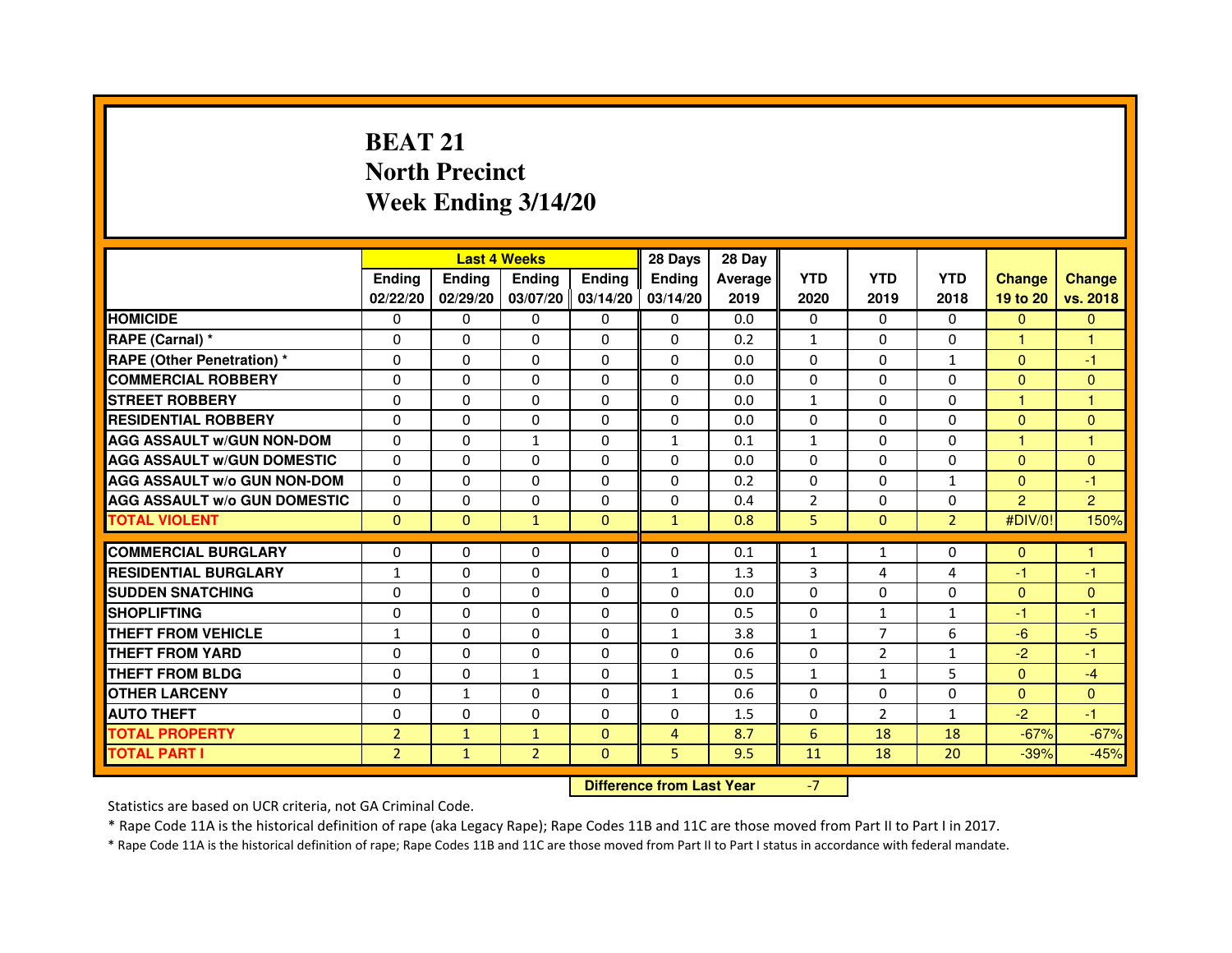# **BEAT 21 North PrecinctWeek Ending 3/14/20**

|                                     |                | <b>Last 4 Weeks</b> |                |                   | 28 Days       | 28 Day  |                |                |                |                |                |
|-------------------------------------|----------------|---------------------|----------------|-------------------|---------------|---------|----------------|----------------|----------------|----------------|----------------|
|                                     | <b>Endina</b>  | <b>Endina</b>       | <b>Endina</b>  | <b>Ending</b>     | <b>Endina</b> | Average | <b>YTD</b>     | <b>YTD</b>     | <b>YTD</b>     | <b>Change</b>  | <b>Change</b>  |
|                                     | 02/22/20       | 02/29/20            |                | 03/07/20 03/14/20 | 03/14/20      | 2019    | 2020           | 2019           | 2018           | 19 to 20       | vs. 2018       |
| <b>HOMICIDE</b>                     | $\Omega$       | 0                   | 0              | 0                 | 0             | 0.0     | $\mathbf{0}$   | 0              | $\mathbf{0}$   | $\mathbf{0}$   | $\mathbf{0}$   |
| RAPE (Carnal) *                     | $\Omega$       | $\Omega$            | $\Omega$       | $\mathbf{0}$      | $\Omega$      | 0.2     | $\mathbf{1}$   | $\Omega$       | $\Omega$       | $\mathbf{1}$   | $\mathbf{1}$   |
| RAPE (Other Penetration) *          | 0              | $\Omega$            | 0              | $\Omega$          | 0             | 0.0     | $\Omega$       | 0              | $\mathbf{1}$   | $\Omega$       | $-1$           |
| <b>COMMERCIAL ROBBERY</b>           | 0              | 0                   | 0              | 0                 | 0             | 0.0     | 0              | 0              | $\Omega$       | $\Omega$       | $\mathbf{0}$   |
| <b>STREET ROBBERY</b>               | 0              | 0                   | 0              | 0                 | 0             | 0.0     | $\mathbf{1}$   | 0              | 0              | 1              | 1              |
| <b>RESIDENTIAL ROBBERY</b>          | 0              | $\Omega$            | 0              | $\Omega$          | $\Omega$      | 0.0     | $\Omega$       | $\Omega$       | $\Omega$       | $\Omega$       | $\Omega$       |
| <b>AGG ASSAULT w/GUN NON-DOM</b>    | $\Omega$       | $\Omega$            | $\mathbf{1}$   | $\mathbf{0}$      | $\mathbf{1}$  | 0.1     | $\mathbf{1}$   | $\Omega$       | $\Omega$       | 1              | 1              |
| <b>AGG ASSAULT w/GUN DOMESTIC</b>   | $\Omega$       | 0                   | 0              | 0                 | $\Omega$      | 0.0     | $\Omega$       | $\Omega$       | $\Omega$       | $\Omega$       | $\Omega$       |
| <b>AGG ASSAULT W/o GUN NON-DOM</b>  | $\Omega$       | $\Omega$            | $\Omega$       | 0                 | $\Omega$      | 0.2     | $\Omega$       | $\Omega$       | 1              | $\Omega$       | $-1$           |
| <b>AGG ASSAULT W/o GUN DOMESTIC</b> | $\Omega$       | $\Omega$            | 0              | $\Omega$          | $\Omega$      | 0.4     | $\overline{2}$ | $\Omega$       | $\Omega$       | $\overline{2}$ | $\overline{2}$ |
| <b>TOTAL VIOLENT</b>                | $\Omega$       | $\Omega$            | $\mathbf{1}$   | $\mathbf{0}$      | $\mathbf{1}$  | 0.8     | 5              | $\mathbf{0}$   | $\overline{2}$ | #DIV/0!        | 150%           |
|                                     |                |                     |                |                   |               |         |                |                |                |                |                |
| <b>COMMERCIAL BURGLARY</b>          | 0              | 0                   | $\Omega$       | 0                 | $\Omega$      | 0.1     | $\mathbf{1}$   | $\mathbf{1}$   | $\Omega$       | $\Omega$       | 1              |
| <b>RESIDENTIAL BURGLARY</b>         | $\mathbf{1}$   | $\Omega$            | 0              | $\Omega$          | 1             | 1.3     | 3              | 4              | $\overline{4}$ | $-1$           | $-1$           |
| <b>SUDDEN SNATCHING</b>             | 0              | 0                   | 0              | 0                 | 0             | 0.0     | 0              | 0              | $\Omega$       | $\Omega$       | $\Omega$       |
| <b>SHOPLIFTING</b>                  | $\mathbf 0$    | 0                   | $\Omega$       | 0                 | $\Omega$      | 0.5     | 0              | $\mathbf{1}$   | $\overline{1}$ | $-1$           | $-1$           |
| <b>THEFT FROM VEHICLE</b>           | $\mathbf{1}$   | $\Omega$            | $\Omega$       | $\Omega$          | $\mathbf{1}$  | 3.8     | $\mathbf{1}$   | $\overline{7}$ | 6              | $-6$           | $-5$           |
| <b>THEFT FROM YARD</b>              | $\Omega$       | 0                   | $\Omega$       | $\Omega$          | $\Omega$      | 0.6     | $\Omega$       | 2              | $\mathbf{1}$   | $-2$           | $-1$           |
| <b>THEFT FROM BLDG</b>              | 0              | 0                   | 1              | 0                 | $\mathbf{1}$  | 0.5     | $\mathbf{1}$   | 1              | 5              | $\Omega$       | $-4$           |
| <b>OTHER LARCENY</b>                | 0              | $\mathbf{1}$        | 0              | $\Omega$          | $\mathbf{1}$  | 0.6     | $\Omega$       | 0              | $\Omega$       | $\Omega$       | $\Omega$       |
| <b>AUTO THEFT</b>                   | $\mathbf 0$    | 0                   | 0              | $\Omega$          | 0             | 1.5     | 0              | $\overline{2}$ | $\mathbf{1}$   | $-2$           | $-1$           |
| <b>TOTAL PROPERTY</b>               | $\overline{2}$ | $\mathbf{1}$        | $\mathbf{1}$   | $\mathbf{0}$      | 4             | 8.7     | 6              | 18             | 18             | $-67%$         | $-67%$         |
| <b>TOTAL PART I</b>                 | $\overline{2}$ | $\mathbf{1}$        | $\overline{2}$ | $\mathbf{0}$      | 5             | 9.5     | 11             | 18             | 20             | $-39%$         | $-45%$         |

 **Difference from Last Year**

-7

Statistics are based on UCR criteria, not GA Criminal Code.

\* Rape Code 11A is the historical definition of rape (aka Legacy Rape); Rape Codes 11B and 11C are those moved from Part II to Part I in 2017.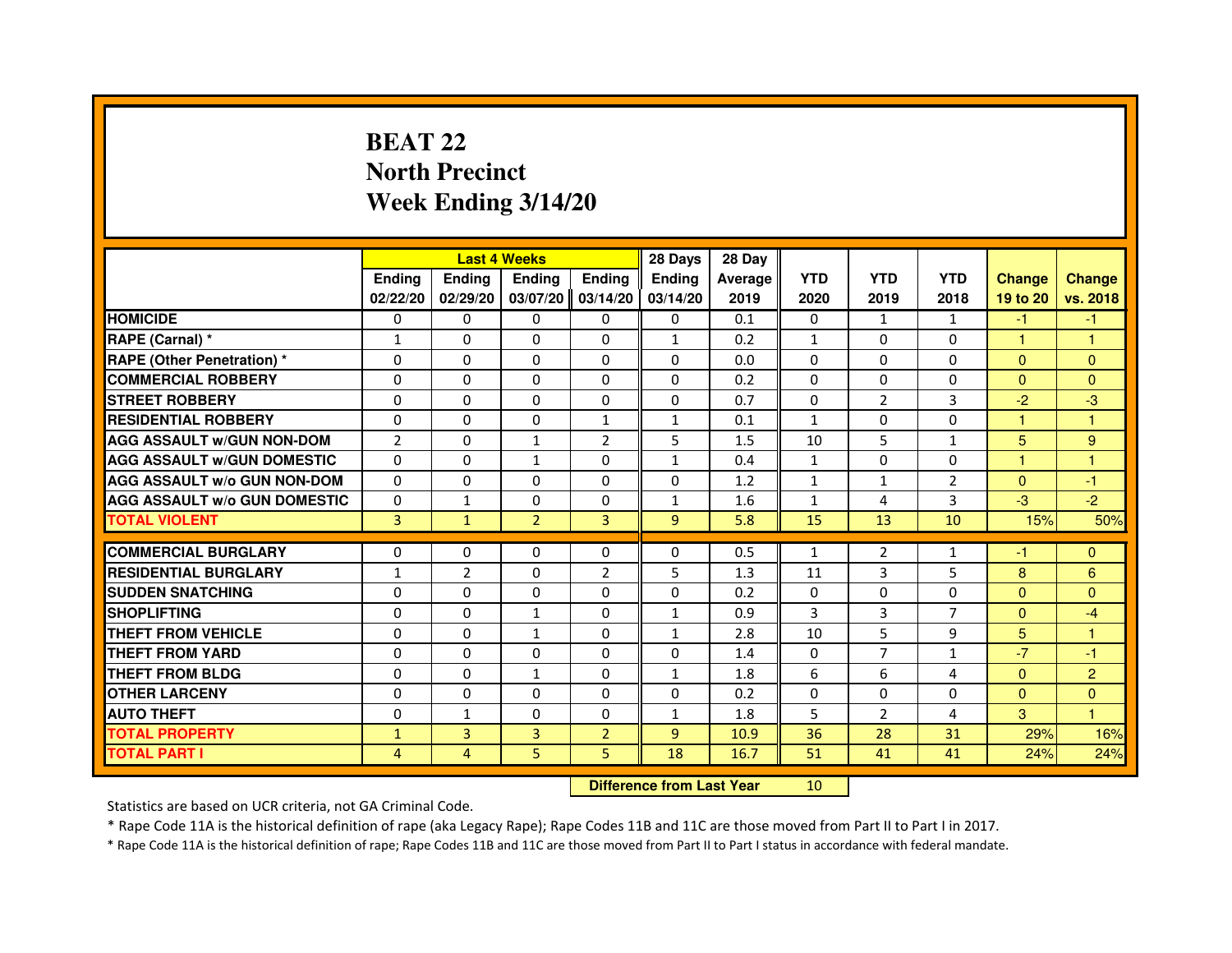# **BEAT 22 North PrecinctWeek Ending 3/14/20**

|                                     |                |                | <b>Last 4 Weeks</b> |                | 28 Days        | 28 Day  |              |                |                |                |                |
|-------------------------------------|----------------|----------------|---------------------|----------------|----------------|---------|--------------|----------------|----------------|----------------|----------------|
|                                     | <b>Ending</b>  | Ending         | <b>Ending</b>       | <b>Ending</b>  | Ending         | Average | <b>YTD</b>   | <b>YTD</b>     | <b>YTD</b>     | <b>Change</b>  | <b>Change</b>  |
|                                     | 02/22/20       | 02/29/20       | 03/07/20            | 03/14/20       | 03/14/20       | 2019    | 2020         | 2019           | 2018           | 19 to 20       | vs. 2018       |
| <b>HOMICIDE</b>                     | 0              | $\Omega$       | 0                   | 0              | $\mathbf{0}$   | 0.1     | $\mathbf{0}$ | $\mathbf{1}$   | $\mathbf{1}$   | $-1$           | $-1$           |
| RAPE (Carnal) *                     | $\mathbf{1}$   | 0              | 0                   | 0              | $\mathbf{1}$   | 0.2     | $\mathbf{1}$ | 0              | 0              | $\mathbf{1}$   | 1              |
| RAPE (Other Penetration) *          | $\Omega$       | $\Omega$       | $\Omega$            | $\Omega$       | $\Omega$       | 0.0     | $\Omega$     | $\Omega$       | $\Omega$       | $\Omega$       | $\mathbf{0}$   |
| <b>COMMERCIAL ROBBERY</b>           | 0              | $\Omega$       | $\Omega$            | $\Omega$       | $\Omega$       | 0.2     | $\Omega$     | $\Omega$       | $\Omega$       | $\Omega$       | $\mathbf{0}$   |
| <b>STREET ROBBERY</b>               | $\Omega$       | $\Omega$       | $\Omega$            | $\Omega$       | $\Omega$       | 0.7     | $\Omega$     | $\overline{2}$ | 3              | $-2$           | $-3$           |
| <b>RESIDENTIAL ROBBERY</b>          | 0              | 0              | 0                   | $\mathbf{1}$   | $\mathbf{1}$   | 0.1     | $\mathbf{1}$ | 0              | $\Omega$       | $\mathbf{1}$   | $\mathbf{1}$   |
| <b>AGG ASSAULT w/GUN NON-DOM</b>    | $\overline{2}$ | $\Omega$       | $\mathbf{1}$        | $\overline{2}$ | 5              | 1.5     | 10           | 5              | $\mathbf{1}$   | 5              | 9              |
| <b>AGG ASSAULT W/GUN DOMESTIC</b>   | $\Omega$       | $\Omega$       | $\mathbf{1}$        | $\Omega$       | $\mathbf{1}$   | 0.4     | $\mathbf{1}$ | $\Omega$       | $\Omega$       | $\mathbf{1}$   | $\mathbf{1}$   |
| <b>AGG ASSAULT W/o GUN NON-DOM</b>  | $\Omega$       | $\Omega$       | $\Omega$            | $\Omega$       | $\Omega$       | 1.2     | $\mathbf{1}$ | $\mathbf{1}$   | 2              | $\Omega$       | $-1$           |
| <b>AGG ASSAULT w/o GUN DOMESTIC</b> | $\Omega$       | $\mathbf{1}$   | $\Omega$            | $\Omega$       | $\mathbf{1}$   | 1.6     | $\mathbf{1}$ | 4              | 3              | $-3$           | $-2$           |
| <b>TOTAL VIOLENT</b>                | 3              | $\mathbf{1}$   | $\overline{2}$      | 3              | 9              | 5.8     | 15           | 13             | 10             | 15%            | 50%            |
| <b>COMMERCIAL BURGLARY</b>          | 0              | 0              | 0                   | 0              | 0              | 0.5     | $\mathbf{1}$ | $\overline{2}$ | $\mathbf{1}$   | $-1$           | $\mathbf{0}$   |
| <b>RESIDENTIAL BURGLARY</b>         | $\mathbf{1}$   | $\overline{2}$ | $\Omega$            | $\overline{2}$ | 5              | 1.3     | 11           | 3              | 5              | 8              | 6              |
| <b>SUDDEN SNATCHING</b>             | $\Omega$       | $\Omega$       | $\Omega$            | $\Omega$       | $\Omega$       | 0.2     | $\Omega$     | $\Omega$       | 0              | $\Omega$       | $\mathbf{0}$   |
| <b>SHOPLIFTING</b>                  | 0              | $\Omega$       | $\mathbf{1}$        | 0              | $\mathbf{1}$   | 0.9     | 3            | 3              | $\overline{7}$ | $\Omega$       | $-4$           |
| <b>THEFT FROM VEHICLE</b>           | 0              | 0              | $\mathbf{1}$        | $\Omega$       | $\mathbf{1}$   | 2.8     | 10           | 5              | 9              | 5 <sup>5</sup> | 1              |
| <b>THEFT FROM YARD</b>              | $\Omega$       | $\Omega$       | $\Omega$            | $\Omega$       | $\Omega$       | 1.4     | $\Omega$     | $\overline{7}$ | $\mathbf{1}$   | $-7$           | $-1$           |
| <b>THEFT FROM BLDG</b>              | $\Omega$       | $\Omega$       | $\mathbf{1}$        | $\Omega$       | $\mathbf{1}$   | 1.8     | 6            | 6              | 4              | $\Omega$       | $\overline{2}$ |
| <b>OTHER LARCENY</b>                | 0              | $\Omega$       | $\Omega$            | $\Omega$       | $\Omega$       | 0.2     | $\Omega$     | $\Omega$       | 0              | $\mathbf{0}$   | $\overline{0}$ |
| <b>AUTO THEFT</b>                   | $\Omega$       | $\mathbf{1}$   | $\Omega$            | $\Omega$       | $\mathbf{1}$   | 1.8     | 5            | $\overline{2}$ | 4              | 3              | $\mathbf{1}$   |
| <b>TOTAL PROPERTY</b>               | $\mathbf{1}$   | 3              | 3                   | $\overline{2}$ | $\overline{9}$ | 10.9    | 36           | 28             | 31             | 29%            | 16%            |
| <b>TOTAL PART I</b>                 | $\overline{4}$ | $\overline{4}$ | 5                   | 5              | 18             | 16.7    | 51           | 41             | 41             | 24%            | 24%            |
|                                     |                |                |                     |                |                |         |              |                |                |                |                |

 **Difference from Last Year**

Statistics are based on UCR criteria, not GA Criminal Code.

\* Rape Code 11A is the historical definition of rape (aka Legacy Rape); Rape Codes 11B and 11C are those moved from Part II to Part I in 2017.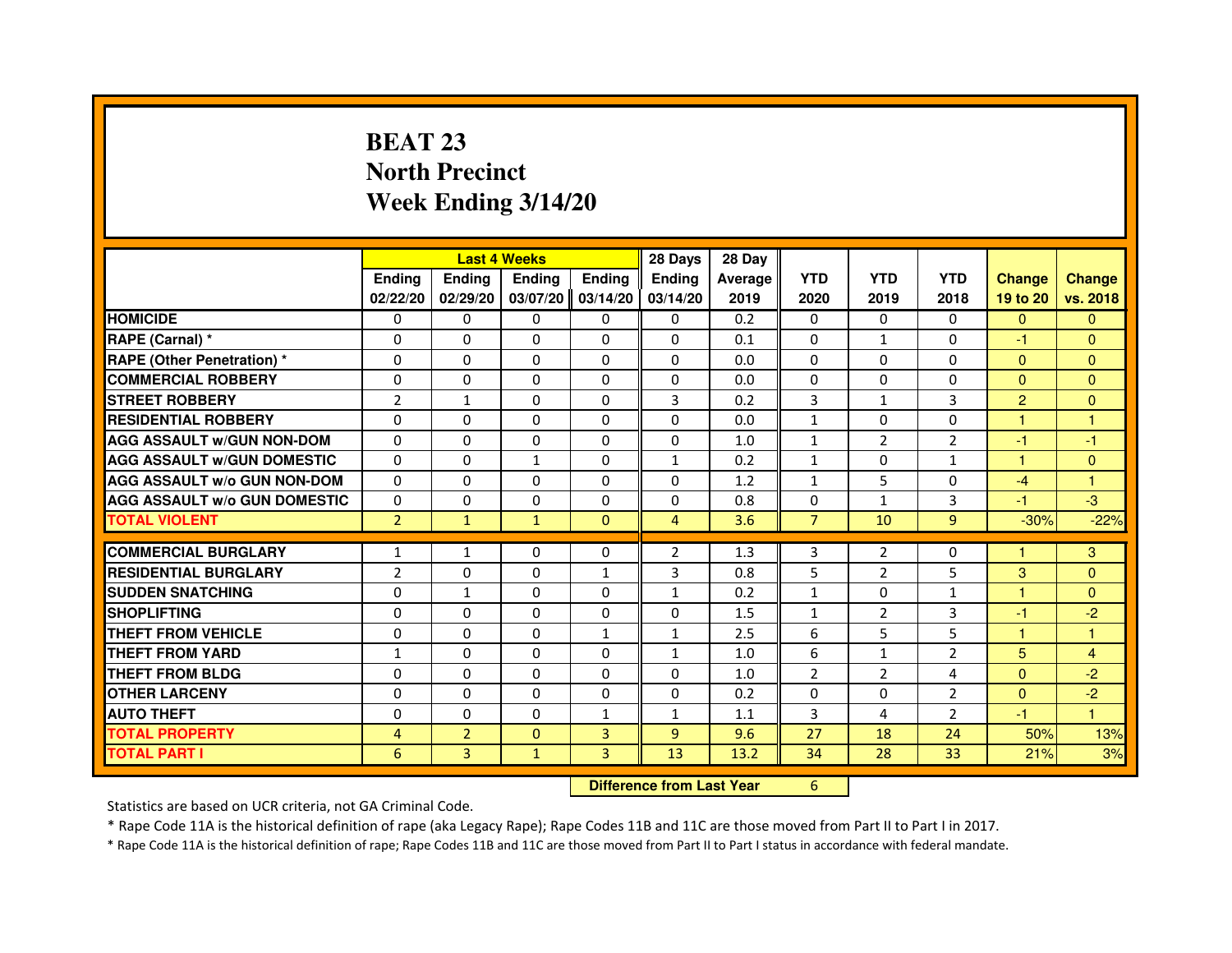# **BEAT 23 North PrecinctWeek Ending 3/14/20**

|                                     |                | <b>Last 4 Weeks</b> |                                  |                | 28 Days        | 28 Day  |                |                |                |                      |                |
|-------------------------------------|----------------|---------------------|----------------------------------|----------------|----------------|---------|----------------|----------------|----------------|----------------------|----------------|
|                                     | <b>Ending</b>  | Ending              | <b>Ending</b>                    | <b>Ending</b>  | Ending         | Average | <b>YTD</b>     | <b>YTD</b>     | <b>YTD</b>     | <b>Change</b>        | <b>Change</b>  |
|                                     | 02/22/20       | 02/29/20            | 03/07/20                         | 03/14/20       | 03/14/20       | 2019    | 2020           | 2019           | 2018           | 19 to 20             | vs. 2018       |
| <b>HOMICIDE</b>                     | $\Omega$       | $\Omega$            | $\Omega$                         | $\Omega$       | $\Omega$       | 0.2     | $\Omega$       | $\Omega$       | $\Omega$       | $\Omega$             | $\mathbf{0}$   |
| RAPE (Carnal) *                     | 0              | $\Omega$            | $\Omega$                         | $\Omega$       | $\Omega$       | 0.1     | $\Omega$       | $\mathbf{1}$   | $\Omega$       | $-1$                 | $\mathbf{0}$   |
| <b>RAPE (Other Penetration) *</b>   | $\Omega$       | $\Omega$            | $\Omega$                         | $\Omega$       | $\Omega$       | 0.0     | $\Omega$       | $\Omega$       | $\Omega$       | $\Omega$             | $\Omega$       |
| <b>COMMERCIAL ROBBERY</b>           | 0              | 0                   | $\Omega$                         | $\Omega$       | $\Omega$       | 0.0     | $\Omega$       | $\Omega$       | $\Omega$       | $\Omega$             | $\mathbf{0}$   |
| <b>STREET ROBBERY</b>               | $\overline{2}$ | $\mathbf{1}$        | $\Omega$                         | $\Omega$       | 3              | 0.2     | 3              | $\mathbf{1}$   | 3              | $\overline{2}$       | $\mathbf{0}$   |
| <b>RESIDENTIAL ROBBERY</b>          | $\Omega$       | $\Omega$            | $\Omega$                         | $\Omega$       | $\Omega$       | 0.0     | $\mathbf{1}$   | $\Omega$       | $\Omega$       | $\blacktriangleleft$ | $\mathbf{1}$   |
| <b>AGG ASSAULT w/GUN NON-DOM</b>    | $\Omega$       | $\Omega$            | $\Omega$                         | $\Omega$       | $\Omega$       | 1.0     | $\mathbf{1}$   | 2              | $\overline{2}$ | $-1$                 | -1             |
| <b>AGG ASSAULT w/GUN DOMESTIC</b>   | $\Omega$       | $\Omega$            | $\mathbf{1}$                     | $\Omega$       | $\mathbf{1}$   | 0.2     | $\mathbf{1}$   | $\Omega$       | $\mathbf{1}$   | $\mathbf{1}$         | $\mathbf{0}$   |
| <b>AGG ASSAULT W/o GUN NON-DOM</b>  | $\Omega$       | $\Omega$            | $\Omega$                         | 0              | $\Omega$       | 1.2     | $\mathbf{1}$   | 5              | 0              | $-4$                 | 1              |
| <b>AGG ASSAULT W/o GUN DOMESTIC</b> | $\Omega$       | 0                   | $\Omega$                         | $\Omega$       | $\Omega$       | 0.8     | $\Omega$       | $\mathbf{1}$   | 3              | $-1$                 | $-3$           |
| <b>TOTAL VIOLENT</b>                | $\overline{2}$ | $\mathbf{1}$        | $\mathbf{1}$                     | $\mathbf{0}$   | $\overline{4}$ | 3.6     | $\overline{7}$ | 10             | 9              | $-30%$               | $-22%$         |
| <b>COMMERCIAL BURGLARY</b>          | 1              | 1                   | 0                                | 0              | $\overline{2}$ | 1.3     | 3              | $\overline{2}$ | 0              | 1                    | 3              |
| <b>RESIDENTIAL BURGLARY</b>         | $\overline{2}$ | $\Omega$            | $\Omega$                         | $\mathbf{1}$   | 3              | 0.8     | 5              | $\overline{2}$ | 5              | 3                    | $\mathbf{0}$   |
| <b>SUDDEN SNATCHING</b>             | $\Omega$       | $\mathbf{1}$        | $\Omega$                         | $\Omega$       | $\mathbf{1}$   | 0.2     | $\mathbf{1}$   | $\Omega$       | $\mathbf{1}$   | 1                    | $\Omega$       |
| <b>SHOPLIFTING</b>                  | 0              | 0                   | 0                                | 0              | 0              | 1.5     | $\mathbf{1}$   | $\overline{2}$ | 3              | $-1$                 | $-2$           |
| <b>THEFT FROM VEHICLE</b>           | $\Omega$       | $\Omega$            | $\Omega$                         | $\mathbf{1}$   | $\mathbf{1}$   | 2.5     | 6              | 5              | 5              | $\mathbf{1}$         | $\mathbf{1}$   |
| <b>THEFT FROM YARD</b>              | $\mathbf{1}$   | 0                   | $\Omega$                         | 0              | $\mathbf{1}$   | 1.0     | 6              | $\mathbf{1}$   | $\overline{2}$ | 5                    | $\overline{4}$ |
| <b>THEFT FROM BLDG</b>              | $\Omega$       | $\Omega$            | $\Omega$                         | $\Omega$       | $\Omega$       | 1.0     | $\overline{2}$ | 2              | 4              | $\Omega$             | $-2$           |
| <b>OTHER LARCENY</b>                | $\Omega$       | $\Omega$            | $\Omega$                         | $\Omega$       | $\Omega$       | 0.2     | $\Omega$       | $\Omega$       | $\overline{2}$ | $\Omega$             | $-2$           |
| <b>AUTO THEFT</b>                   | $\Omega$       | $\Omega$            | $\Omega$                         | $\mathbf{1}$   | $\mathbf{1}$   | 1.1     | $\overline{3}$ | 4              | $\overline{2}$ | $-1$                 | $\mathbf{1}$   |
| <b>TOTAL PROPERTY</b>               | 4              | $\overline{2}$      | $\Omega$                         | $\overline{3}$ | $\overline{9}$ | 9.6     | 27             | 18             | 24             | 50%                  | 13%            |
| <b>TOTAL PART I</b>                 | 6              | $\overline{3}$      | $\mathbf{1}$                     | 3              | 13             | 13.2    | 34             | 28             | 33             | 21%                  | 3%             |
|                                     |                |                     | <b>Difference from Last Year</b> |                | 6              |         |                |                |                |                      |                |

 **Difference from Last Year**

Statistics are based on UCR criteria, not GA Criminal Code.

\* Rape Code 11A is the historical definition of rape (aka Legacy Rape); Rape Codes 11B and 11C are those moved from Part II to Part I in 2017.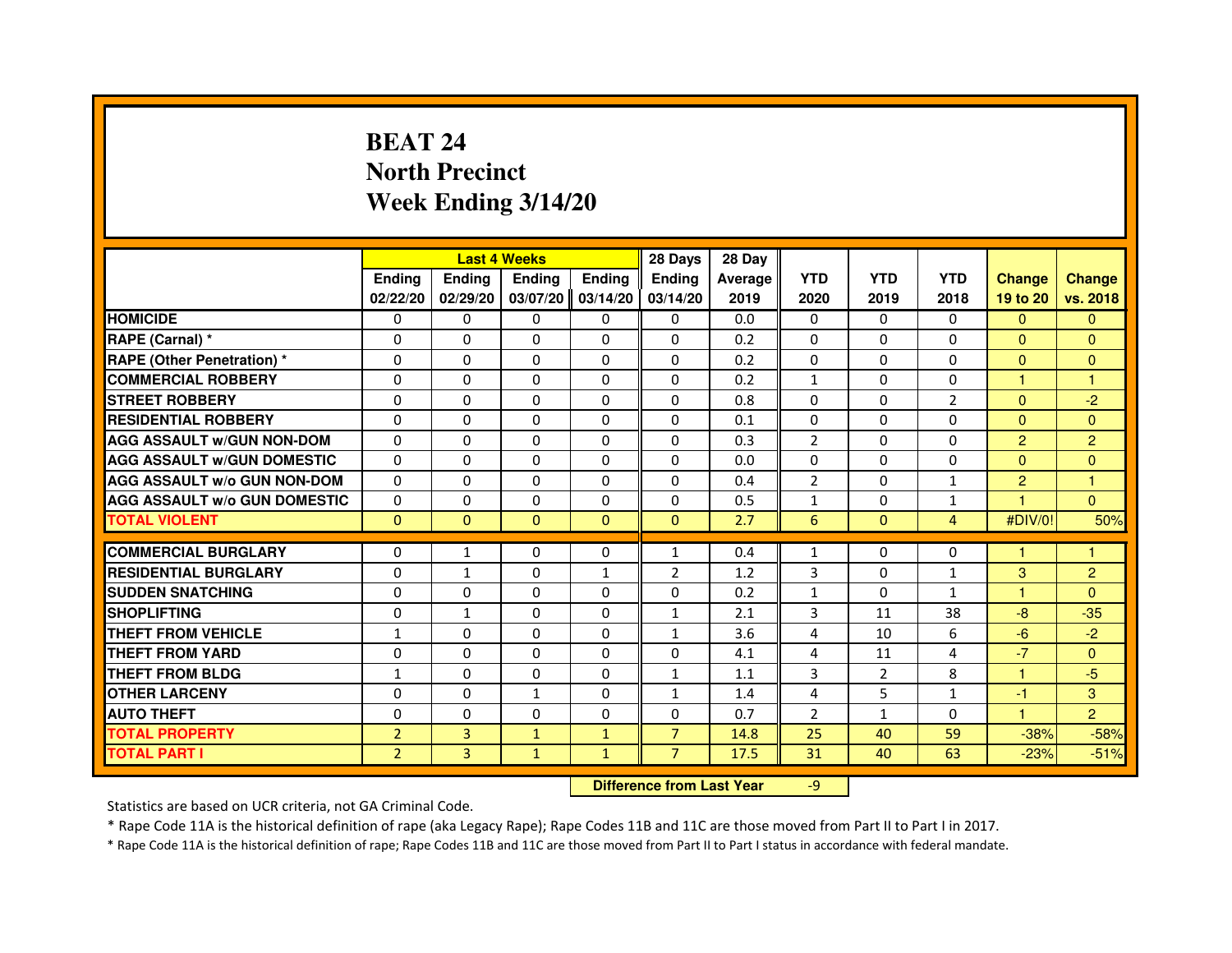# **BEAT 24 North PrecinctWeek Ending 3/14/20**

|                                     |                | <b>Last 4 Weeks</b> |                                  |               | 28 Days        | 28 Day  |                |                |                |                |                |
|-------------------------------------|----------------|---------------------|----------------------------------|---------------|----------------|---------|----------------|----------------|----------------|----------------|----------------|
|                                     | <b>Ending</b>  | Ending              | <b>Ending</b>                    | <b>Ending</b> | Ending         | Average | <b>YTD</b>     | <b>YTD</b>     | <b>YTD</b>     | <b>Change</b>  | <b>Change</b>  |
|                                     | 02/22/20       | 02/29/20            | 03/07/20                         | 03/14/20      | 03/14/20       | 2019    | 2020           | 2019           | 2018           | 19 to 20       | vs. 2018       |
| <b>HOMICIDE</b>                     | 0              | $\Omega$            | 0                                | 0             | $\mathbf{0}$   | 0.0     | $\mathbf{0}$   | $\Omega$       | $\Omega$       | $\mathbf{0}$   | $\mathbf{0}$   |
| RAPE (Carnal) *                     | 0              | 0                   | 0                                | 0             | 0              | 0.2     | 0              | 0              | 0              | $\Omega$       | $\mathbf{0}$   |
| RAPE (Other Penetration) *          | $\Omega$       | $\Omega$            | $\Omega$                         | $\Omega$      | $\Omega$       | 0.2     | $\Omega$       | $\Omega$       | $\Omega$       | $\Omega$       | $\overline{0}$ |
| <b>COMMERCIAL ROBBERY</b>           | 0              | $\Omega$            | $\Omega$                         | $\Omega$      | $\Omega$       | 0.2     | $\mathbf{1}$   | $\Omega$       | $\Omega$       | $\mathbf{1}$   | $\mathbf{1}$   |
| <b>STREET ROBBERY</b>               | $\Omega$       | $\Omega$            | $\Omega$                         | $\Omega$      | $\Omega$       | 0.8     | $\Omega$       | $\Omega$       | $\overline{2}$ | $\Omega$       | $-2$           |
| <b>RESIDENTIAL ROBBERY</b>          | 0              | 0                   | 0                                | 0             | 0              | 0.1     | 0              | 0              | $\Omega$       | $\Omega$       | $\overline{0}$ |
| <b>AGG ASSAULT w/GUN NON-DOM</b>    | $\Omega$       | $\Omega$            | $\Omega$                         | $\Omega$      | $\Omega$       | 0.3     | $\overline{2}$ | $\Omega$       | 0              | $\overline{2}$ | $\overline{2}$ |
| <b>AGG ASSAULT W/GUN DOMESTIC</b>   | $\Omega$       | $\Omega$            | $\Omega$                         | $\Omega$      | $\Omega$       | 0.0     | $\Omega$       | $\Omega$       | $\Omega$       | $\Omega$       | $\Omega$       |
| <b>AGG ASSAULT W/o GUN NON-DOM</b>  | $\Omega$       | $\Omega$            | $\Omega$                         | $\Omega$      | $\Omega$       | 0.4     | $\overline{2}$ | $\Omega$       | $\mathbf{1}$   | $\overline{2}$ | $\mathbf{1}$   |
| <b>AGG ASSAULT w/o GUN DOMESTIC</b> | $\Omega$       | $\Omega$            | $\Omega$                         | $\Omega$      | $\Omega$       | 0.5     | $\mathbf{1}$   | $\Omega$       | $\mathbf{1}$   |                | $\Omega$       |
| <b>TOTAL VIOLENT</b>                | $\mathbf{0}$   | $\mathbf{0}$        | $\mathbf{0}$                     | $\mathbf{0}$  | $\mathbf{0}$   | 2.7     | $6\phantom{1}$ | $\mathbf{0}$   | $\overline{4}$ | #DIV/0!        | 50%            |
| <b>COMMERCIAL BURGLARY</b>          | 0              | 1                   | 0                                | 0             | $\mathbf{1}$   | 0.4     | $\mathbf{1}$   | 0              | 0              | 1              | 1              |
| <b>RESIDENTIAL BURGLARY</b>         | 0              | 1                   | $\Omega$                         | 1             | $\overline{2}$ | 1.2     | 3              | $\Omega$       | $\mathbf{1}$   | 3              | $\overline{2}$ |
| <b>SUDDEN SNATCHING</b>             | $\Omega$       | $\Omega$            | $\Omega$                         | $\Omega$      | $\Omega$       | 0.2     | $\mathbf{1}$   | $\Omega$       | $\mathbf{1}$   | $\mathbf{1}$   | $\Omega$       |
| <b>SHOPLIFTING</b>                  | 0              | $\mathbf{1}$        | 0                                | $\Omega$      | $\mathbf{1}$   | 2.1     | 3              | 11             | 38             | $-8-$          | $-35$          |
| <b>THEFT FROM VEHICLE</b>           | 1              | 0                   | $\Omega$                         | $\Omega$      | $\mathbf{1}$   | 3.6     | 4              | 10             | 6              | $-6$           | $-2$           |
| <b>THEFT FROM YARD</b>              | $\Omega$       | $\Omega$            | $\Omega$                         | $\Omega$      | $\Omega$       | 4.1     | $\overline{4}$ | 11             | $\overline{4}$ | $-7$           | $\overline{0}$ |
| <b>THEFT FROM BLDG</b>              | $\mathbf{1}$   | $\Omega$            | $\Omega$                         | $\Omega$      | $\mathbf{1}$   | 1.1     | 3              | $\overline{2}$ | 8              | $\mathbf{1}$   | $-5$           |
| <b>OTHER LARCENY</b>                | $\Omega$       | $\Omega$            | $\mathbf{1}$                     | $\Omega$      | $\mathbf{1}$   | 1.4     | 4              | 5              | $\mathbf{1}$   | -1             | 3              |
| <b>AUTO THEFT</b>                   | $\Omega$       | $\Omega$            | $\Omega$                         | $\Omega$      | $\Omega$       | 0.7     | $\overline{2}$ | $\mathbf{1}$   | $\Omega$       | $\mathbf{1}$   | $\overline{2}$ |
| <b>TOTAL PROPERTY</b>               | $\overline{2}$ | 3                   | $\mathbf{1}$                     | $\mathbf{1}$  | $\overline{7}$ | 14.8    | 25             | 40             | 59             | $-38%$         | $-58%$         |
| <b>TOTAL PART I</b>                 | $\overline{2}$ | 3                   | $\mathbf{1}$                     | $\mathbf{1}$  | $\overline{7}$ | 17.5    | 31             | 40             | 63             | $-23%$         | $-51%$         |
|                                     |                |                     | <b>Difference from Last Year</b> |               | $-9$           |         |                |                |                |                |                |

 **Difference from Last Year**

Statistics are based on UCR criteria, not GA Criminal Code.

\* Rape Code 11A is the historical definition of rape (aka Legacy Rape); Rape Codes 11B and 11C are those moved from Part II to Part I in 2017.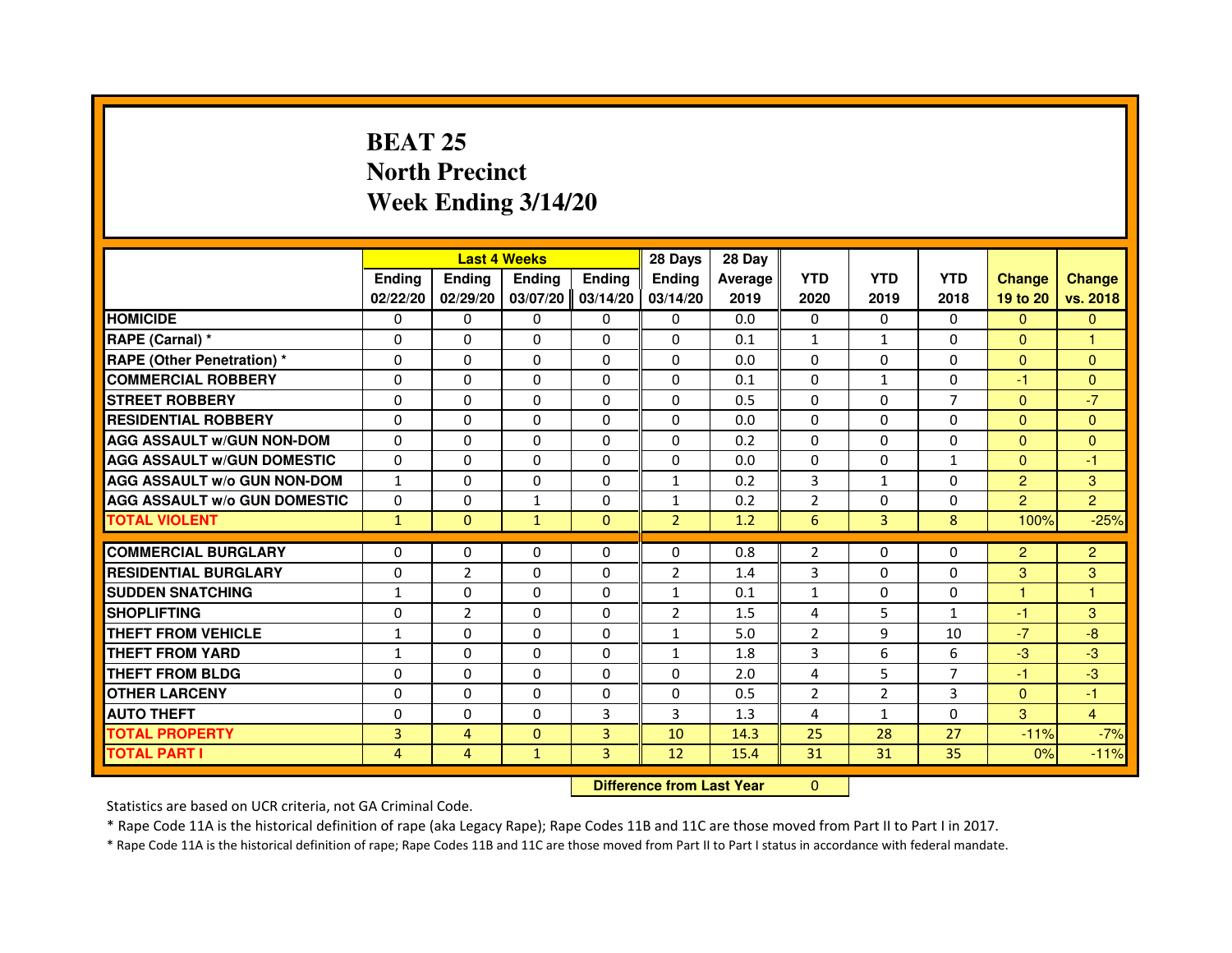# **BEAT 25 North PrecinctWeek Ending 3/14/20**

|                                     |                |                | <b>Last 4 Weeks</b>              |                | 28 Days        | 28 Day  |                |                |                |                |                |
|-------------------------------------|----------------|----------------|----------------------------------|----------------|----------------|---------|----------------|----------------|----------------|----------------|----------------|
|                                     | <b>Ending</b>  | <b>Ending</b>  | <b>Ending</b>                    | <b>Ending</b>  | Ending         | Average | <b>YTD</b>     | <b>YTD</b>     | <b>YTD</b>     | <b>Change</b>  | <b>Change</b>  |
|                                     | 02/22/20       | 02/29/20       | 03/07/20                         | 03/14/20       | 03/14/20       | 2019    | 2020           | 2019           | 2018           | 19 to 20       | vs. 2018       |
| <b>HOMICIDE</b>                     | $\Omega$       | $\Omega$       | 0                                | $\Omega$       | 0              | 0.0     | $\Omega$       | $\Omega$       | $\Omega$       | $\Omega$       | $\mathbf{0}$   |
| RAPE (Carnal) *                     | 0              | $\Omega$       | $\Omega$                         | $\Omega$       | $\Omega$       | 0.1     | 1              | $\mathbf{1}$   | $\Omega$       | $\mathbf{0}$   | 1              |
| <b>RAPE (Other Penetration) *</b>   | $\Omega$       | $\Omega$       | $\Omega$                         | $\Omega$       | $\Omega$       | 0.0     | $\mathbf{0}$   | $\mathbf{0}$   | $\Omega$       | $\Omega$       | $\Omega$       |
| <b>COMMERCIAL ROBBERY</b>           | $\Omega$       | $\mathbf{0}$   | $\mathbf{0}$                     | $\Omega$       | $\Omega$       | 0.1     | $\mathbf{0}$   | $\mathbf{1}$   | $\Omega$       | $-1$           | $\overline{0}$ |
| <b>STREET ROBBERY</b>               | $\Omega$       | $\Omega$       | $\Omega$                         | $\Omega$       | $\Omega$       | 0.5     | $\mathbf{0}$   | $\mathbf{0}$   | $\overline{7}$ | $\Omega$       | $-7$           |
| <b>RESIDENTIAL ROBBERY</b>          | $\Omega$       | $\Omega$       | $\Omega$                         | $\Omega$       | $\Omega$       | 0.0     | $\mathbf{0}$   | $\Omega$       | $\Omega$       | $\Omega$       | $\Omega$       |
| <b>AGG ASSAULT W/GUN NON-DOM</b>    | $\Omega$       | $\Omega$       | $\Omega$                         | $\Omega$       | $\Omega$       | 0.2     | $\Omega$       | $\Omega$       | $\Omega$       | $\Omega$       | $\Omega$       |
| <b>AGG ASSAULT W/GUN DOMESTIC</b>   | $\Omega$       | $\Omega$       | $\Omega$                         | $\Omega$       | $\Omega$       | 0.0     | $\Omega$       | $\Omega$       | $\mathbf{1}$   | $\Omega$       | $-1$           |
| <b>AGG ASSAULT w/o GUN NON-DOM</b>  | $\mathbf{1}$   | 0              | 0                                | 0              | 1              | 0.2     | 3              | $\mathbf{1}$   | 0              | 2              | 3              |
| <b>AGG ASSAULT W/o GUN DOMESTIC</b> | $\Omega$       | 0              | $\mathbf{1}$                     | $\Omega$       | $\mathbf{1}$   | 0.2     | $\overline{2}$ | $\mathbf{0}$   | $\Omega$       | $\overline{2}$ | $\overline{2}$ |
| <b>TOTAL VIOLENT</b>                | $\mathbf{1}$   | $\mathbf{0}$   | $\mathbf{1}$                     | $\mathbf{0}$   | $\overline{2}$ | 1.2     | 6              | 3              | 8              | 100%           | $-25%$         |
| <b>COMMERCIAL BURGLARY</b>          | $\Omega$       | $\Omega$       | $\Omega$                         | $\Omega$       | $\Omega$       | 0.8     | $\overline{2}$ | $\mathbf{0}$   | $\Omega$       | $\overline{2}$ | $\overline{c}$ |
| <b>RESIDENTIAL BURGLARY</b>         | $\Omega$       | $\overline{2}$ | $\Omega$                         | $\Omega$       | $\overline{2}$ | 1.4     | 3              | $\Omega$       | $\Omega$       | 3              | 3              |
| <b>SUDDEN SNATCHING</b>             | $\mathbf{1}$   | $\Omega$       | $\Omega$                         | $\Omega$       | $\mathbf{1}$   | 0.1     | $\mathbf{1}$   | $\Omega$       | $\Omega$       | $\mathbf{1}$   | $\mathbf{1}$   |
| <b>SHOPLIFTING</b>                  | 0              | $\overline{2}$ | 0                                | 0              | $\overline{2}$ | 1.5     | 4              | 5              | $\mathbf{1}$   | $-1$           | 3              |
| <b>THEFT FROM VEHICLE</b>           | 1              | $\Omega$       | $\Omega$                         | $\Omega$       | $\mathbf{1}$   | 5.0     | $\overline{2}$ | 9              | 10             | $-7$           | $-8$           |
| <b>THEFT FROM YARD</b>              | $\mathbf{1}$   | $\Omega$       | $\Omega$                         | 0              | $\mathbf{1}$   | 1.8     | 3              | 6              | 6              | $-3$           | $-3$           |
| <b>THEFT FROM BLDG</b>              | $\Omega$       | $\Omega$       | $\Omega$                         | $\Omega$       | $\Omega$       | 2.0     | 4              | 5              | $\overline{7}$ | $-1$           | $-3$           |
| <b>OTHER LARCENY</b>                | $\Omega$       | $\Omega$       | $\Omega$                         | $\Omega$       | $\Omega$       | 0.5     | $\overline{2}$ | $\overline{2}$ | 3              | $\mathbf{0}$   | $-1$           |
| <b>AUTO THEFT</b>                   | $\Omega$       | $\Omega$       | $\Omega$                         | $\overline{3}$ | 3              | 1.3     | 4              | $\mathbf{1}$   | $\Omega$       | 3              | $\overline{4}$ |
| <b>TOTAL PROPERTY</b>               | $\overline{3}$ | $\overline{4}$ | $\Omega$                         | 3              | 10             | 14.3    | 25             | 28             | 27             | $-11%$         | $-7%$          |
| <b>TOTAL PART I</b>                 | $\overline{4}$ | $\overline{4}$ | $\mathbf{1}$                     | 3              | 12             | 15.4    | 31             | 31             | 35             | 0%             | $-11%$         |
|                                     |                |                | <b>Difference from Last Year</b> |                | $\mathbf{0}$   |         |                |                |                |                |                |

 **Difference from Last Year**

Statistics are based on UCR criteria, not GA Criminal Code.

\* Rape Code 11A is the historical definition of rape (aka Legacy Rape); Rape Codes 11B and 11C are those moved from Part II to Part I in 2017.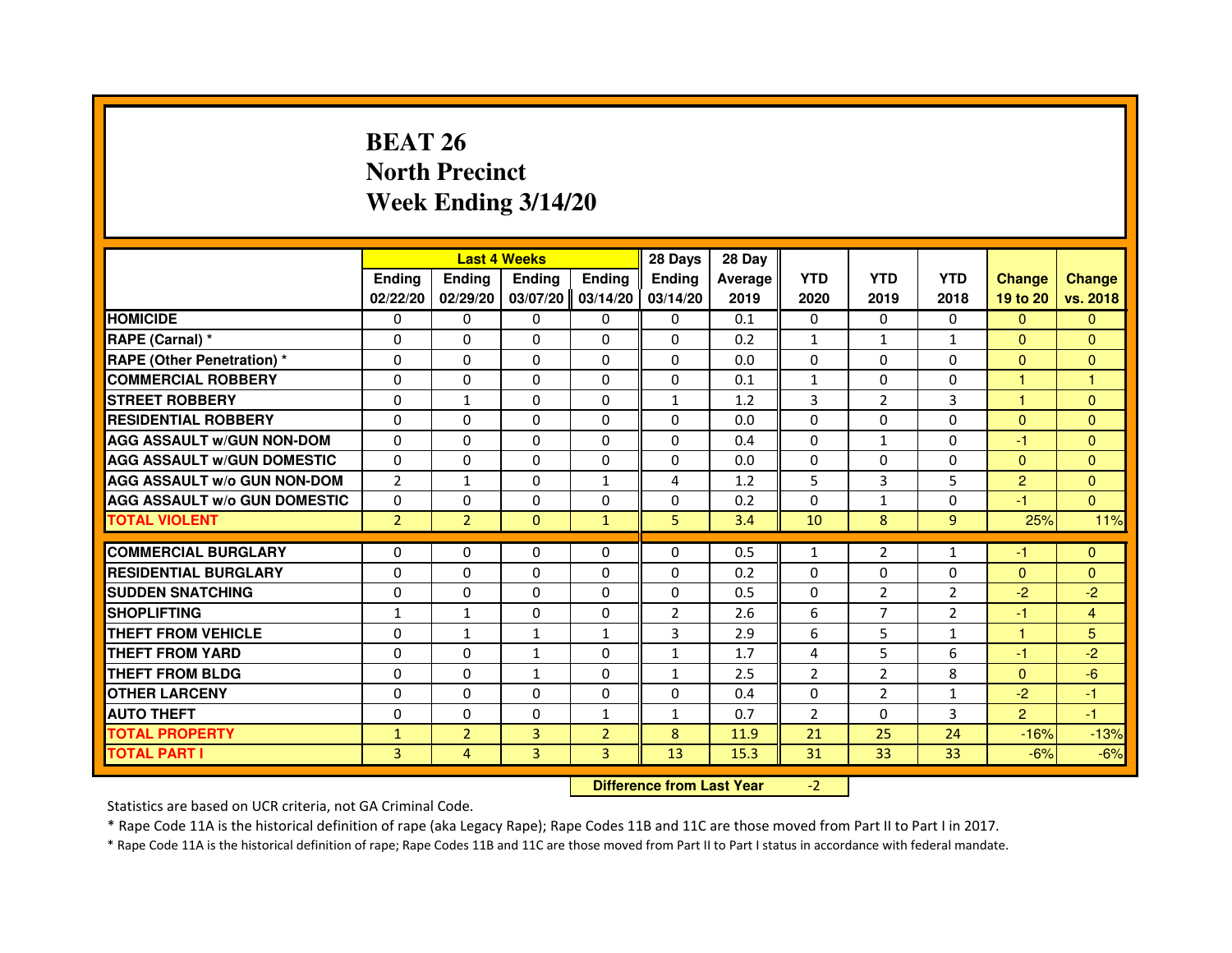# **BEAT 26 North PrecinctWeek Ending 3/14/20**

|                                     |                | <b>Last 4 Weeks</b> |                                  |                | 28 Days        | 28 Day  |                |                |                |                |                |
|-------------------------------------|----------------|---------------------|----------------------------------|----------------|----------------|---------|----------------|----------------|----------------|----------------|----------------|
|                                     | <b>Ending</b>  | Ending              | <b>Ending</b>                    | <b>Ending</b>  | Ending         | Average | <b>YTD</b>     | <b>YTD</b>     | <b>YTD</b>     | <b>Change</b>  | <b>Change</b>  |
|                                     | 02/22/20       | 02/29/20            | 03/07/20                         | 03/14/20       | 03/14/20       | 2019    | 2020           | 2019           | 2018           | 19 to 20       | vs. 2018       |
| <b>HOMICIDE</b>                     | $\Omega$       | $\Omega$            | $\Omega$                         | $\Omega$       | $\mathbf{0}$   | 0.1     | $\Omega$       | $\Omega$       | $\Omega$       | $\Omega$       | $\mathbf{0}$   |
| RAPE (Carnal) *                     | 0              | $\Omega$            | $\Omega$                         | $\Omega$       | $\Omega$       | 0.2     | $\mathbf{1}$   | $\mathbf{1}$   | $\mathbf{1}$   | $\mathbf{0}$   | $\mathbf{0}$   |
| <b>RAPE (Other Penetration) *</b>   | $\Omega$       | $\Omega$            | $\Omega$                         | $\Omega$       | $\Omega$       | 0.0     | $\Omega$       | $\Omega$       | $\Omega$       | $\Omega$       | $\mathbf{0}$   |
| <b>COMMERCIAL ROBBERY</b>           | $\Omega$       | 0                   | $\Omega$                         | $\Omega$       | $\Omega$       | 0.1     | $\mathbf{1}$   | $\Omega$       | $\Omega$       | $\mathbf{1}$   | $\mathbf{1}$   |
| <b>STREET ROBBERY</b>               | $\Omega$       | $\mathbf{1}$        | $\Omega$                         | $\Omega$       | $\mathbf{1}$   | 1.2     | 3              | 2              | 3              | $\mathbf{1}$   | $\mathbf{0}$   |
| <b>RESIDENTIAL ROBBERY</b>          | $\Omega$       | $\Omega$            | $\Omega$                         | $\Omega$       | $\Omega$       | 0.0     | $\Omega$       | $\Omega$       | $\Omega$       | $\Omega$       | $\mathbf{0}$   |
| <b>AGG ASSAULT w/GUN NON-DOM</b>    | $\Omega$       | $\Omega$            | $\Omega$                         | $\Omega$       | $\Omega$       | 0.4     | $\Omega$       | $\mathbf{1}$   | $\Omega$       | -1             | $\mathbf{0}$   |
| <b>AGG ASSAULT w/GUN DOMESTIC</b>   | $\Omega$       | $\Omega$            | $\Omega$                         | $\Omega$       | $\Omega$       | 0.0     | $\Omega$       | $\Omega$       | $\Omega$       | $\Omega$       | $\mathbf{0}$   |
| <b>AGG ASSAULT W/o GUN NON-DOM</b>  | $\overline{2}$ | $\mathbf{1}$        | 0                                | 1              | 4              | 1.2     | 5              | 3              | 5              | $\overline{2}$ | $\mathbf{0}$   |
| <b>AGG ASSAULT W/o GUN DOMESTIC</b> | $\Omega$       | 0                   | $\Omega$                         | $\Omega$       | $\Omega$       | 0.2     | $\Omega$       | $\mathbf{1}$   | $\Omega$       | $-1$           | $\Omega$       |
| <b>TOTAL VIOLENT</b>                | $\overline{2}$ | $\overline{2}$      | $\mathbf{0}$                     | $\mathbf{1}$   | 5              | 3.4     | 10             | 8              | 9              | 25%            | 11%            |
| <b>COMMERCIAL BURGLARY</b>          | $\Omega$       | 0                   | 0                                | 0              | $\Omega$       | 0.5     | $\mathbf{1}$   | 2              | $\mathbf{1}$   | $-1$           | $\Omega$       |
| <b>RESIDENTIAL BURGLARY</b>         | $\Omega$       | $\Omega$            | $\Omega$                         | $\Omega$       | $\Omega$       | 0.2     | $\Omega$       | $\Omega$       | $\Omega$       | $\Omega$       | $\overline{0}$ |
| <b>SUDDEN SNATCHING</b>             | $\Omega$       | $\Omega$            | $\Omega$                         | $\Omega$       | $\Omega$       | 0.5     | $\Omega$       | $\overline{2}$ | $\overline{2}$ | $-2$           | $-2$           |
| <b>SHOPLIFTING</b>                  | $\mathbf{1}$   | 1                   | 0                                | 0              | $\overline{2}$ | 2.6     | 6              | 7              | 2              | -1             | 4              |
| <b>THEFT FROM VEHICLE</b>           | $\Omega$       | $\mathbf{1}$        | $\mathbf{1}$                     | $\mathbf{1}$   | 3              | 2.9     | 6              | 5              | $\mathbf{1}$   | $\mathbf{1}$   | 5 <sup>5</sup> |
| <b>THEFT FROM YARD</b>              | 0              | 0                   | $\mathbf{1}$                     | 0              | $\mathbf{1}$   | 1.7     | 4              | 5              | 6              | $-1$           | $-2$           |
| <b>THEFT FROM BLDG</b>              | $\Omega$       | $\Omega$            | $\mathbf{1}$                     | $\Omega$       | $\mathbf{1}$   | 2.5     | $\overline{2}$ | 2              | 8              | $\Omega$       | $-6$           |
| <b>OTHER LARCENY</b>                | $\Omega$       | $\Omega$            | $\Omega$                         | $\Omega$       | $\Omega$       | 0.4     | $\Omega$       | $\overline{2}$ | $\mathbf{1}$   | $-2$           | $-1$           |
| <b>AUTO THEFT</b>                   | $\Omega$       | $\Omega$            | $\Omega$                         | $\mathbf{1}$   | $\mathbf{1}$   | 0.7     | $\overline{2}$ | $\Omega$       | 3              | $\overline{2}$ | $-1$           |
| <b>TOTAL PROPERTY</b>               | $\mathbf{1}$   | $\overline{2}$      | $\overline{3}$                   | $\overline{2}$ | 8              | 11.9    | 21             | 25             | 24             | $-16%$         | $-13%$         |
| <b>TOTAL PART I</b>                 | $\overline{3}$ | $\overline{4}$      | 3                                | 3              | 13             | 15.3    | 31             | 33             | 33             | $-6%$          | $-6%$          |
|                                     |                |                     | <b>Difference from Last Year</b> |                | $-2$           |         |                |                |                |                |                |

 **Difference from Last Year**

Statistics are based on UCR criteria, not GA Criminal Code.

\* Rape Code 11A is the historical definition of rape (aka Legacy Rape); Rape Codes 11B and 11C are those moved from Part II to Part I in 2017.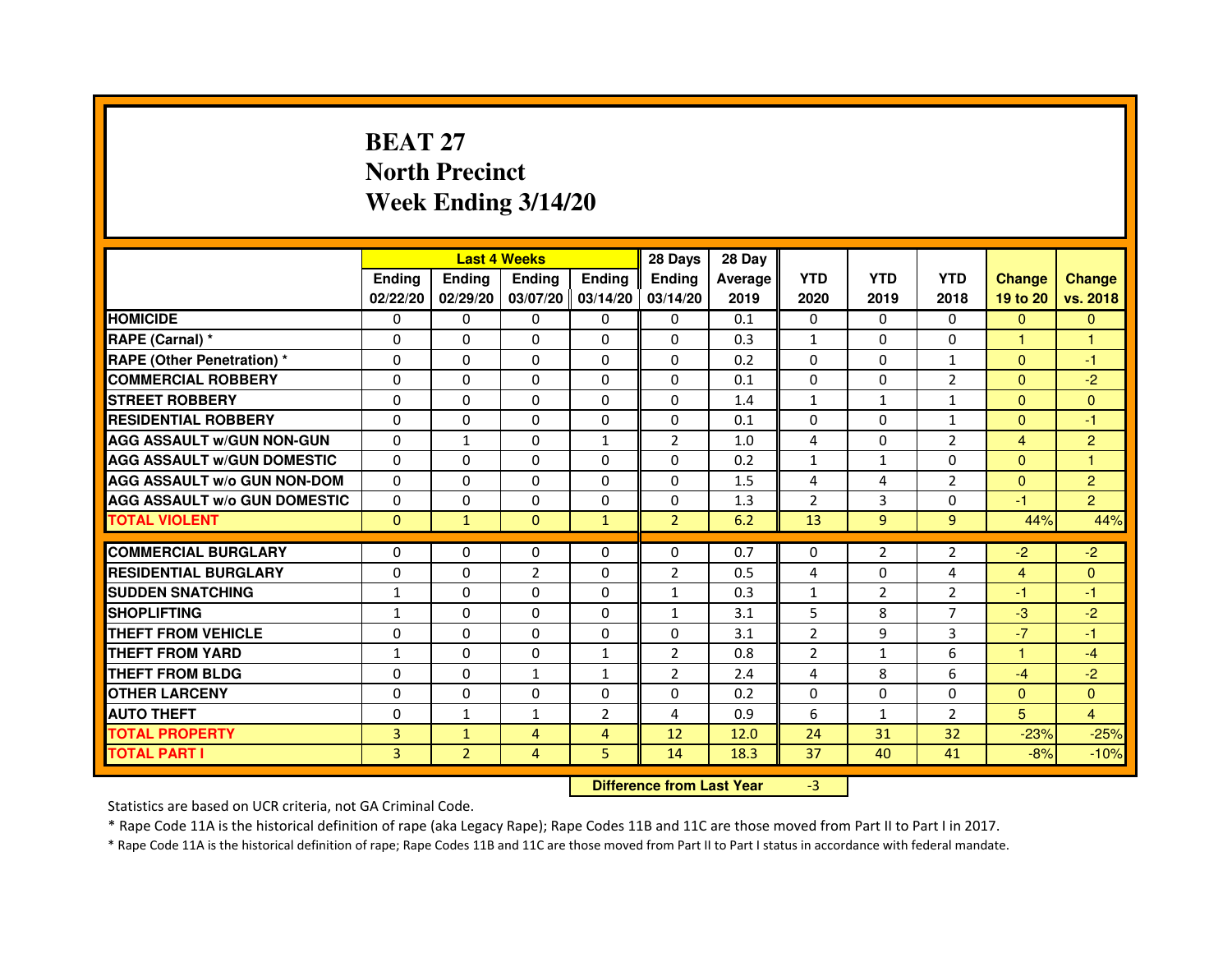# **BEAT 27 North PrecinctWeek Ending 3/14/20**

|                                     |               | <b>Last 4 Weeks</b> |                                  |                   | 28 Days        | 28 Day  |                |                |                |                |                |
|-------------------------------------|---------------|---------------------|----------------------------------|-------------------|----------------|---------|----------------|----------------|----------------|----------------|----------------|
|                                     | <b>Ending</b> | <b>Ending</b>       | <b>Ending</b>                    | <b>Ending</b>     | <b>Ending</b>  | Average | <b>YTD</b>     | <b>YTD</b>     | <b>YTD</b>     | <b>Change</b>  | <b>Change</b>  |
|                                     | 02/22/20      | 02/29/20            |                                  | 03/07/20 03/14/20 | 03/14/20       | 2019    | 2020           | 2019           | 2018           | 19 to 20       | vs. 2018       |
| <b>HOMICIDE</b>                     | 0             | $\Omega$            | $\Omega$                         | $\Omega$          | 0              | 0.1     | $\Omega$       | $\Omega$       | 0              | $\Omega$       | $\Omega$       |
| RAPE (Carnal) *                     | 0             | $\Omega$            | 0                                | $\Omega$          | $\mathbf{0}$   | 0.3     | $\mathbf{1}$   | $\Omega$       | 0              | 1.             | 1              |
| <b>RAPE (Other Penetration) *</b>   | $\mathbf 0$   | 0                   | $\Omega$                         | $\mathbf{0}$      | $\Omega$       | 0.2     | $\Omega$       | $\Omega$       | $\mathbf{1}$   | $\Omega$       | $-1$           |
| <b>COMMERCIAL ROBBERY</b>           | $\mathbf 0$   | $\Omega$            | $\Omega$                         | $\mathbf{0}$      | $\mathbf{0}$   | 0.1     | $\Omega$       | $\mathbf{0}$   | $\overline{2}$ | $\Omega$       | $-2$           |
| <b>STREET ROBBERY</b>               | $\Omega$      | $\Omega$            | $\Omega$                         | $\Omega$          | $\Omega$       | 1.4     | $\mathbf{1}$   | $\mathbf{1}$   | $\mathbf{1}$   | $\Omega$       | $\Omega$       |
| <b>RESIDENTIAL ROBBERY</b>          | 0             | $\Omega$            | 0                                | $\Omega$          | $\Omega$       | 0.1     | 0              | $\Omega$       | $\mathbf{1}$   | $\Omega$       | $-1$           |
| <b>AGG ASSAULT W/GUN NON-GUN</b>    | $\Omega$      | $\mathbf{1}$        | $\Omega$                         | $\mathbf{1}$      | $\overline{2}$ | 1.0     | 4              | $\Omega$       | $\overline{2}$ | $\overline{4}$ | $\overline{c}$ |
| <b>AGG ASSAULT W/GUN DOMESTIC</b>   | $\Omega$      | $\Omega$            | $\Omega$                         | $\Omega$          | $\Omega$       | 0.2     | $\mathbf{1}$   | $\mathbf{1}$   | $\Omega$       | $\Omega$       | $\mathbf{1}$   |
| <b>AGG ASSAULT W/o GUN NON-DOM</b>  | $\Omega$      | 0                   | 0                                | $\mathbf{0}$      | 0              | 1.5     | 4              | 4              | 2              | $\mathbf{0}$   | $\overline{c}$ |
| <b>AGG ASSAULT W/o GUN DOMESTIC</b> | $\Omega$      | 0                   | 0                                | $\Omega$          | 0              | 1.3     | $\overline{2}$ | 3              | $\Omega$       | $-1$           | $\overline{2}$ |
| <b>TOTAL VIOLENT</b>                | $\mathbf{0}$  | $\mathbf{1}$        | $\mathbf{0}$                     | $\mathbf{1}$      | $\overline{2}$ | 6.2     | 13             | 9              | 9              | 44%            | 44%            |
| <b>COMMERCIAL BURGLARY</b>          | 0             | 0                   | 0                                | 0                 | 0              | 0.7     | 0              | 2              | $\overline{2}$ | $-2$           | $-2$           |
| <b>RESIDENTIAL BURGLARY</b>         | $\Omega$      | $\Omega$            | $\overline{2}$                   | $\mathbf{0}$      | $\overline{2}$ | 0.5     | 4              | $\Omega$       | 4              | $\overline{4}$ | $\mathbf{0}$   |
| <b>SUDDEN SNATCHING</b>             | $\mathbf{1}$  | 0                   | $\Omega$                         | $\Omega$          | $\mathbf{1}$   | 0.3     | $\mathbf{1}$   | $\overline{2}$ | $\overline{2}$ | $-1$           | $-1$           |
| <b>SHOPLIFTING</b>                  | 1             | 0                   | 0                                | $\mathbf{0}$      | $\mathbf{1}$   | 3.1     | 5              | 8              | 7              | $-3$           | $-2$           |
| THEFT FROM VEHICLE                  | 0             | $\Omega$            | 0                                | $\mathbf{0}$      | 0              | 3.1     | $\overline{2}$ | 9              | 3              | $-7$           | $-1$           |
| <b>THEFT FROM YARD</b>              | $\mathbf{1}$  | 0                   | $\Omega$                         | $\mathbf{1}$      | $\overline{2}$ | 0.8     | $\overline{2}$ | $\mathbf{1}$   | 6              | $\mathbf{1}$   | $-4$           |
| <b>THEFT FROM BLDG</b>              | 0             | $\Omega$            | $\mathbf{1}$                     | $\mathbf{1}$      | $\overline{2}$ | 2.4     | 4              | 8              | 6              | $-4$           | $-2$           |
| <b>OTHER LARCENY</b>                | 0             | $\Omega$            | 0                                | $\mathbf{0}$      | $\Omega$       | 0.2     | $\Omega$       | $\Omega$       | $\Omega$       | $\Omega$       | $\Omega$       |
| <b>AUTO THEFT</b>                   | $\Omega$      | $\mathbf{1}$        | $\mathbf{1}$                     | $\overline{2}$    | 4              | 0.9     | 6              | $\mathbf{1}$   | $\overline{2}$ | 5              | 4              |
| <b>TOTAL PROPERTY</b>               | 3             | $\mathbf{1}$        | $\overline{4}$                   | $\overline{4}$    | 12             | 12.0    | 24             | 31             | 32             | $-23%$         | $-25%$         |
| <b>TOTAL PART I</b>                 | 3             |                     | $\overline{4}$                   | 5                 | 14             |         | 37             | 40             | 41             |                |                |
|                                     |               | $\overline{2}$      |                                  |                   |                | 18.3    |                |                |                | $-8%$          | $-10%$         |
|                                     |               |                     | <b>Difference from Last Year</b> |                   | $-3$           |         |                |                |                |                |                |

 **Difference from Last Year**

Statistics are based on UCR criteria, not GA Criminal Code.

\* Rape Code 11A is the historical definition of rape (aka Legacy Rape); Rape Codes 11B and 11C are those moved from Part II to Part I in 2017.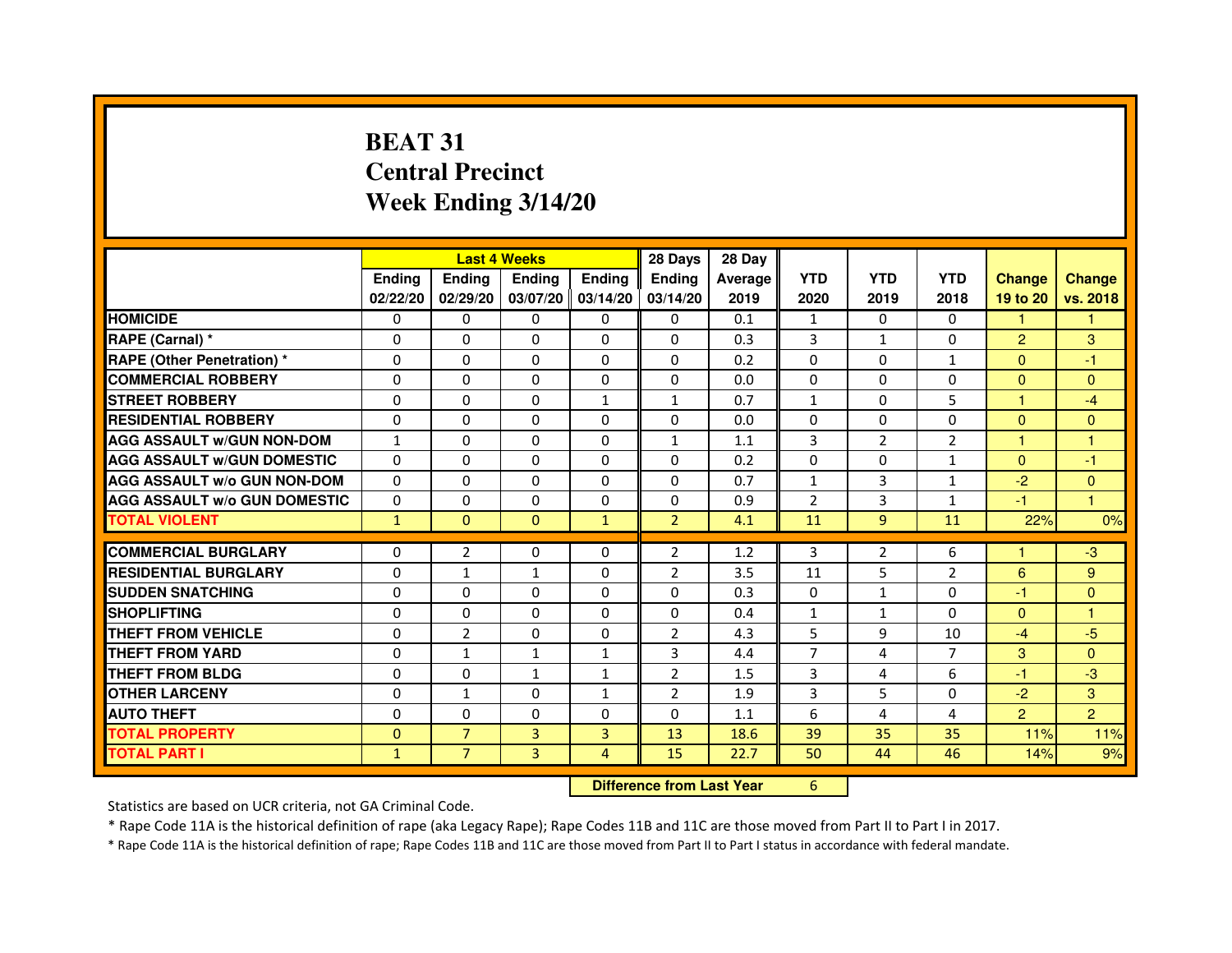# **BEAT 31 Central PrecinctWeek Ending 3/14/20**

|                                     |               |                | <b>Last 4 Weeks</b> |                   | 28 Days        | 28 Day                           |                |                |                |                      |                |
|-------------------------------------|---------------|----------------|---------------------|-------------------|----------------|----------------------------------|----------------|----------------|----------------|----------------------|----------------|
|                                     | <b>Ending</b> | Ending         | <b>Ending</b>       | <b>Ending</b>     | <b>Ending</b>  | Average                          | <b>YTD</b>     | <b>YTD</b>     | <b>YTD</b>     | <b>Change</b>        | <b>Change</b>  |
|                                     | 02/22/20      | 02/29/20       |                     | 03/07/20 03/14/20 | 03/14/20       | 2019                             | 2020           | 2019           | 2018           | 19 to 20             | vs. 2018       |
| <b>HOMICIDE</b>                     | 0             | 0              | $\mathbf{0}$        | $\Omega$          | 0              | 0.1                              | $\mathbf{1}$   | 0              | $\Omega$       | $\mathbf{1}$         | $\mathbf{1}$   |
| RAPE (Carnal) *                     | 0             | 0              | 0                   | 0                 | $\Omega$       | 0.3                              | 3              | $\mathbf{1}$   | 0              | $\overline{2}$       | 3              |
| <b>RAPE (Other Penetration) *</b>   | $\Omega$      | 0              | 0                   | $\mathbf{0}$      | $\Omega$       | 0.2                              | $\Omega$       | $\Omega$       | $\mathbf{1}$   | $\Omega$             | $-1$           |
| <b>COMMERCIAL ROBBERY</b>           | 0             | 0              | $\Omega$            | $\mathbf{0}$      | $\Omega$       | 0.0                              | $\Omega$       | $\Omega$       | $\Omega$       | $\overline{0}$       | $\mathbf{0}$   |
| <b>STREET ROBBERY</b>               | 0             | $\Omega$       | $\Omega$            | $\mathbf{1}$      | $\mathbf{1}$   | 0.7                              | $\mathbf{1}$   | $\Omega$       | 5              | $\blacktriangleleft$ | $-4$           |
| <b>RESIDENTIAL ROBBERY</b>          | 0             | 0              | $\Omega$            | $\mathbf{0}$      | $\Omega$       | 0.0                              | $\Omega$       | 0              | $\Omega$       | $\overline{0}$       | $\overline{0}$ |
| <b>AGG ASSAULT w/GUN NON-DOM</b>    | $\mathbf{1}$  | $\Omega$       | 0                   | $\mathbf{0}$      | $\mathbf{1}$   | 1.1                              | 3              | $\overline{2}$ | $\overline{2}$ | $\blacktriangleleft$ | $\mathbf{1}$   |
| <b>AGG ASSAULT W/GUN DOMESTIC</b>   | $\Omega$      | $\Omega$       | $\Omega$            | $\Omega$          | $\Omega$       | 0.2                              | $\Omega$       | $\Omega$       | $\mathbf{1}$   | $\Omega$             | $-1$           |
| <b>AGG ASSAULT W/o GUN NON-DOM</b>  | $\Omega$      | $\Omega$       | $\Omega$            | $\Omega$          | $\Omega$       | 0.7                              | $\mathbf{1}$   | 3              | $\mathbf{1}$   | $-2$                 | $\mathbf{0}$   |
| <b>AGG ASSAULT w/o GUN DOMESTIC</b> | $\Omega$      | $\Omega$       | 0                   | $\Omega$          | 0              | 0.9                              | $\overline{2}$ | 3              | $\mathbf{1}$   | $-1$                 | $\overline{1}$ |
| <b>TOTAL VIOLENT</b>                | $\mathbf{1}$  | $\mathbf{0}$   | $\mathbf{0}$        | $\mathbf{1}$      | $\overline{2}$ | 4.1                              | 11             | 9              | 11             | 22%                  | 0%             |
| <b>COMMERCIAL BURGLARY</b>          | 0             | 2              | 0                   | $\mathbf{0}$      | 2              | 1.2                              | 3              | 2              | 6              | -1                   | -3             |
| <b>RESIDENTIAL BURGLARY</b>         | 0             | 1              | $\mathbf{1}$        | $\mathbf{0}$      | $\overline{2}$ | 3.5                              | 11             | 5              | $\overline{2}$ | 6                    | 9              |
| <b>SUDDEN SNATCHING</b>             | $\Omega$      | $\Omega$       | $\Omega$            | $\Omega$          | $\Omega$       | 0.3                              | $\Omega$       | $\mathbf{1}$   | $\Omega$       | $-1$                 | $\mathbf{0}$   |
| <b>SHOPLIFTING</b>                  | $\Omega$      | $\Omega$       | 0                   | $\Omega$          | 0              | 0.4                              | $\mathbf{1}$   | $\mathbf{1}$   | $\Omega$       | $\Omega$             | 1              |
| THEFT FROM VEHICLE                  | 0             | $\overline{2}$ | 0                   | 0                 | $\overline{2}$ | 4.3                              | 5              | 9              | 10             | $-4$                 | $-5$           |
| <b>THEFT FROM YARD</b>              | 0             | $\mathbf{1}$   | $\mathbf{1}$        | $\mathbf{1}$      | 3              | 4.4                              | 7              | 4              | $\overline{7}$ | 3                    | $\mathbf{0}$   |
| <b>THEFT FROM BLDG</b>              | 0             | $\Omega$       | $\mathbf{1}$        | $\mathbf{1}$      | $\overline{2}$ | 1.5                              | 3              | 4              | 6              | $-1$                 | $-3$           |
| <b>OTHER LARCENY</b>                | $\Omega$      | $\mathbf{1}$   | $\Omega$            | $\mathbf{1}$      | $\overline{2}$ | 1.9                              | 3              | 5              | $\Omega$       | $-2$                 | 3              |
| <b>AUTO THEFT</b>                   | $\Omega$      | 0              | $\Omega$            | $\Omega$          | $\Omega$       | 1.1                              | 6              | 4              | 4              | $\overline{2}$       | $\overline{2}$ |
| <b>TOTAL PROPERTY</b>               | $\Omega$      | $\overline{7}$ | $\overline{3}$      | 3                 | 13             | 18.6                             | 39             | 35             | 35             | 11%                  | 11%            |
| <b>TOTAL PART I</b>                 | $\mathbf{1}$  | $\overline{7}$ | 3                   | $\overline{4}$    | 15             | 22.7                             | 50             | 44             | 46             | 14%                  | 9%             |
|                                     |               |                |                     |                   |                | <b>Difference from Last Year</b> | 6              |                |                |                      |                |

#### **Difference from Last Year**

Statistics are based on UCR criteria, not GA Criminal Code.

\* Rape Code 11A is the historical definition of rape (aka Legacy Rape); Rape Codes 11B and 11C are those moved from Part II to Part I in 2017.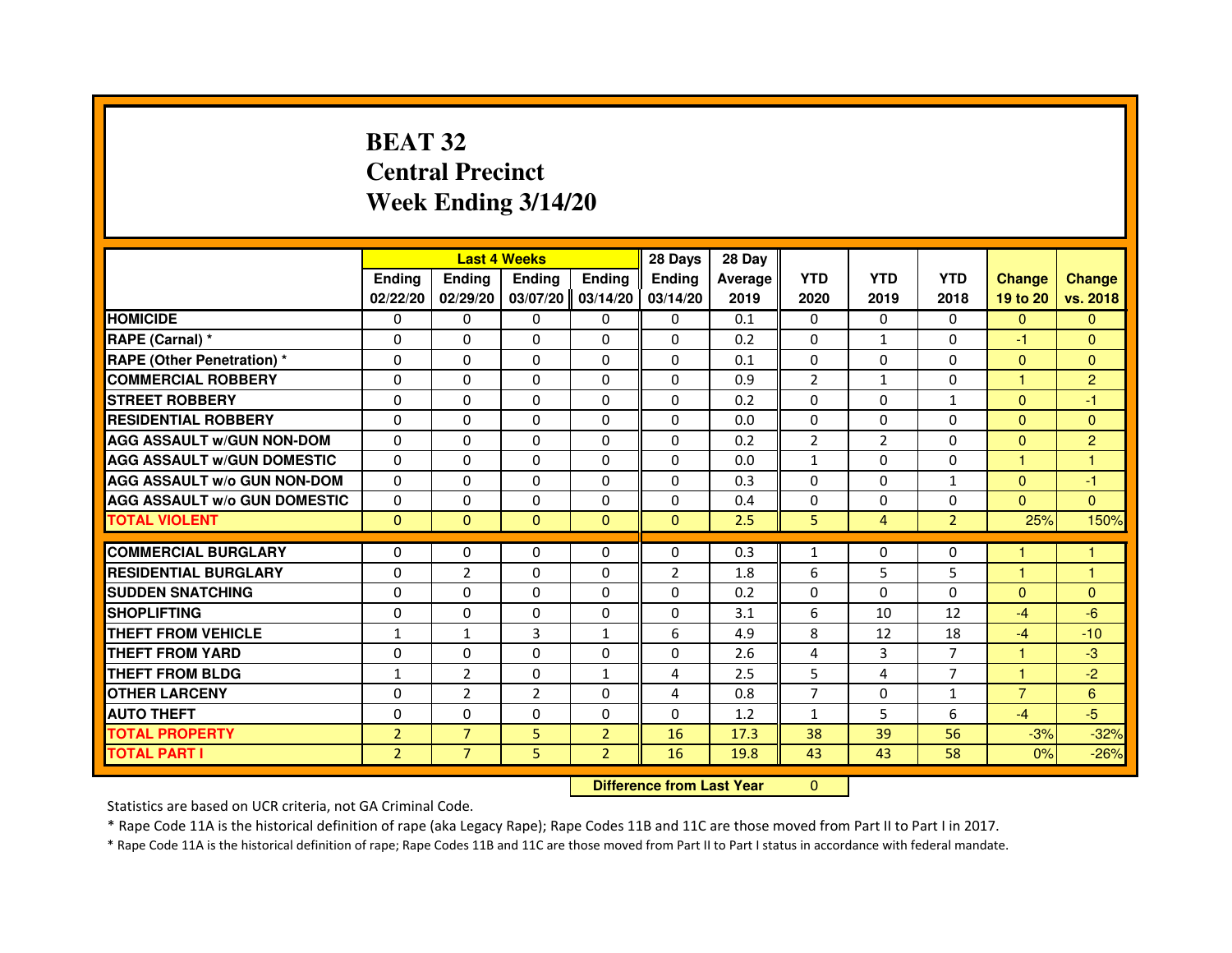# **BEAT 32 Central PrecinctWeek Ending 3/14/20**

|                                     |                | <b>Last 4 Weeks</b> |                                  |                | 28 Days        | 28 Day  |                |                |                |                |                |
|-------------------------------------|----------------|---------------------|----------------------------------|----------------|----------------|---------|----------------|----------------|----------------|----------------|----------------|
|                                     | <b>Ending</b>  | Ending              | <b>Ending</b>                    | <b>Ending</b>  | Ending         | Average | <b>YTD</b>     | <b>YTD</b>     | <b>YTD</b>     | <b>Change</b>  | <b>Change</b>  |
|                                     | 02/22/20       | 02/29/20            | 03/07/20                         | 03/14/20       | 03/14/20       | 2019    | 2020           | 2019           | 2018           | 19 to 20       | vs. 2018       |
| <b>HOMICIDE</b>                     | 0              | $\Omega$            | 0                                | 0              | $\mathbf{0}$   | 0.1     | $\mathbf{0}$   | $\Omega$       | $\Omega$       | $\mathbf{0}$   | $\mathbf{0}$   |
| RAPE (Carnal) *                     | 0              | 0                   | 0                                | 0              | 0              | 0.2     | 0              | $\mathbf{1}$   | 0              | $-1$           | $\mathbf{0}$   |
| RAPE (Other Penetration) *          | $\Omega$       | $\Omega$            | $\Omega$                         | $\Omega$       | $\Omega$       | 0.1     | $\Omega$       | $\Omega$       | $\Omega$       | $\Omega$       | $\overline{0}$ |
| <b>COMMERCIAL ROBBERY</b>           | 0              | $\Omega$            | $\Omega$                         | $\Omega$       | $\Omega$       | 0.9     | $\overline{2}$ | $\mathbf{1}$   | $\Omega$       | $\mathbf{1}$   | $\overline{2}$ |
| <b>STREET ROBBERY</b>               | $\Omega$       | $\Omega$            | $\Omega$                         | $\Omega$       | $\Omega$       | 0.2     | $\Omega$       | $\Omega$       | $\mathbf{1}$   | $\Omega$       | $-1$           |
| <b>RESIDENTIAL ROBBERY</b>          | 0              | 0                   | 0                                | 0              | 0              | 0.0     | 0              | 0              | $\Omega$       | $\Omega$       | $\mathbf{0}$   |
| <b>AGG ASSAULT w/GUN NON-DOM</b>    | $\Omega$       | $\Omega$            | $\Omega$                         | $\Omega$       | $\Omega$       | 0.2     | $\overline{2}$ | $\overline{2}$ | 0              | $\Omega$       | $\overline{2}$ |
| <b>AGG ASSAULT W/GUN DOMESTIC</b>   | $\Omega$       | $\Omega$            | $\Omega$                         | $\Omega$       | $\Omega$       | 0.0     | $\mathbf{1}$   | $\Omega$       | $\Omega$       | $\mathbf{1}$   | $\mathbf{1}$   |
| <b>AGG ASSAULT W/o GUN NON-DOM</b>  | $\Omega$       | $\Omega$            | $\Omega$                         | $\Omega$       | $\Omega$       | 0.3     | $\Omega$       | $\Omega$       | $\mathbf{1}$   | $\Omega$       | $-1$           |
| <b>AGG ASSAULT w/o GUN DOMESTIC</b> | $\Omega$       | $\Omega$            | $\Omega$                         | $\Omega$       | $\Omega$       | 0.4     | $\Omega$       | $\Omega$       | $\Omega$       | $\Omega$       | $\Omega$       |
| <b>TOTAL VIOLENT</b>                | $\mathbf{0}$   | $\mathbf{0}$        | $\mathbf{0}$                     | $\mathbf{0}$   | $\mathbf{0}$   | 2.5     | 5              | $\overline{4}$ | $\overline{2}$ | 25%            | 150%           |
| <b>COMMERCIAL BURGLARY</b>          | 0              | 0                   | 0                                | 0              | 0              | 0.3     | $\mathbf{1}$   | 0              | 0              | 1              | 1              |
| <b>RESIDENTIAL BURGLARY</b>         | 0              | $\overline{2}$      | $\Omega$                         | $\Omega$       | $\overline{2}$ | 1.8     | 6              | 5              | 5              | $\mathbf{1}$   | $\mathbf{1}$   |
| <b>SUDDEN SNATCHING</b>             | $\Omega$       | $\Omega$            | $\Omega$                         | $\Omega$       | $\Omega$       | 0.2     | $\Omega$       | $\Omega$       | $\Omega$       | $\Omega$       | $\mathbf{0}$   |
| <b>SHOPLIFTING</b>                  | 0              | $\Omega$            | 0                                | $\Omega$       | $\Omega$       | 3.1     | 6              | 10             | 12             | $-4$           | $-6$           |
| <b>THEFT FROM VEHICLE</b>           | 1              | $\mathbf{1}$        | 3                                | $\mathbf{1}$   | 6              | 4.9     | 8              | 12             | 18             | $-4$           | $-10$          |
| <b>THEFT FROM YARD</b>              | $\Omega$       | $\Omega$            | $\Omega$                         | $\Omega$       | $\Omega$       | 2.6     | $\overline{4}$ | 3              | $\overline{7}$ | $\mathbf{1}$   | $-3$           |
| <b>THEFT FROM BLDG</b>              | $\mathbf{1}$   | $\overline{2}$      | $\Omega$                         | $\mathbf{1}$   | 4              | 2.5     | 5              | 4              | $\overline{7}$ | $\mathbf{1}$   | $-2$           |
| <b>OTHER LARCENY</b>                | 0              | $\overline{2}$      | $\overline{2}$                   | $\Omega$       | 4              | 0.8     | $\overline{7}$ | 0              | 1              | $\overline{7}$ | 6              |
| <b>AUTO THEFT</b>                   | $\Omega$       | $\Omega$            | $\Omega$                         | $\Omega$       | $\Omega$       | 1.2     | $\mathbf{1}$   | 5              | 6              | $-4$           | $-5$           |
| <b>TOTAL PROPERTY</b>               | $\overline{2}$ | $\overline{7}$      | 5                                | $\overline{2}$ | 16             | 17.3    | 38             | 39             | 56             | $-3%$          | $-32%$         |
| <b>TOTAL PART I</b>                 | $\overline{2}$ | $\overline{7}$      | 5                                | $\overline{2}$ | 16             | 19.8    | 43             | 43             | 58             | 0%             | $-26%$         |
|                                     |                |                     | <b>Difference from Last Year</b> |                | $\mathbf{0}$   |         |                |                |                |                |                |

 **Difference from Last Year**

Statistics are based on UCR criteria, not GA Criminal Code.

\* Rape Code 11A is the historical definition of rape (aka Legacy Rape); Rape Codes 11B and 11C are those moved from Part II to Part I in 2017.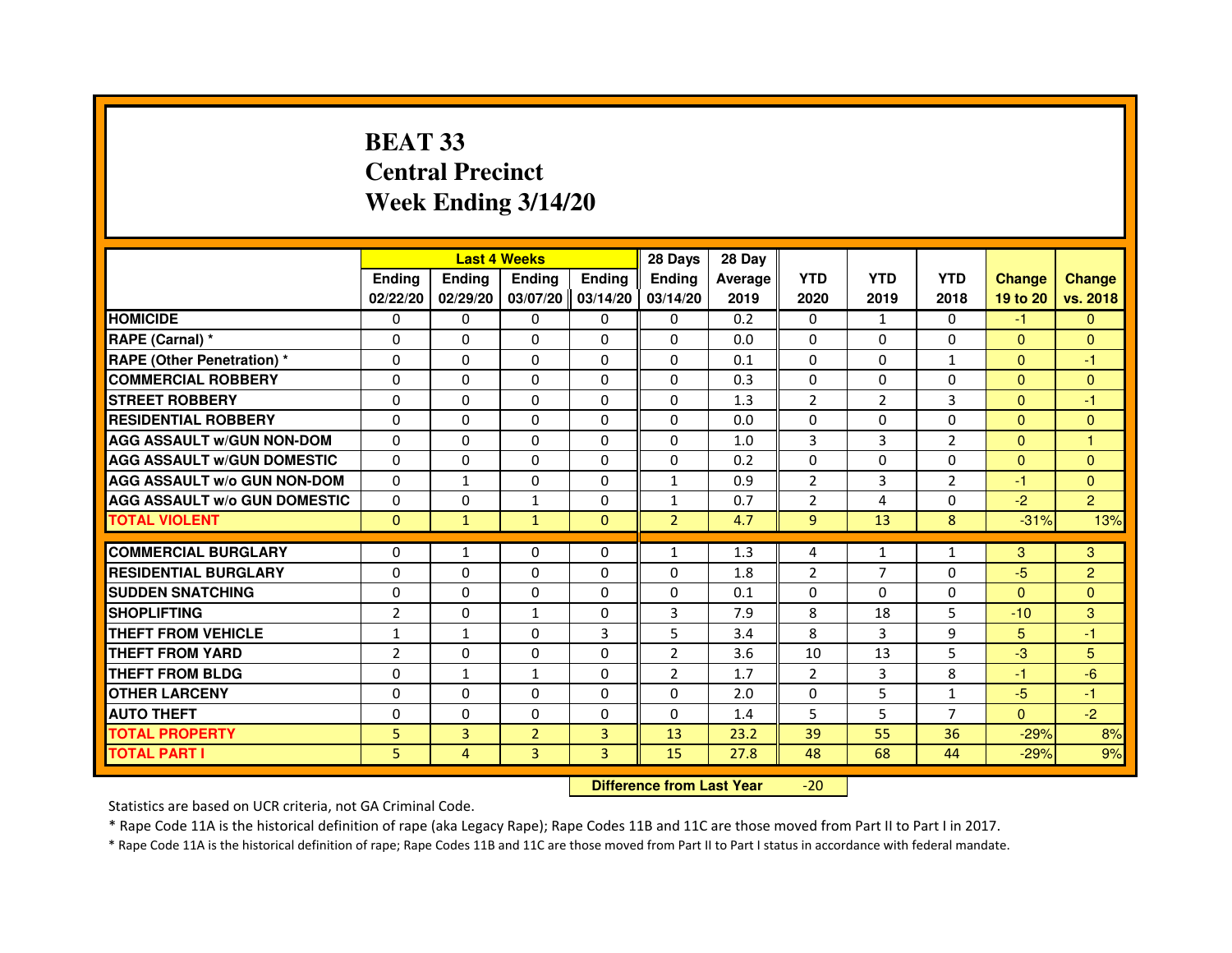# **BEAT 33 Central PrecinctWeek Ending 3/14/20**

|                                     |                | <b>Last 4 Weeks</b> |                |                   | 28 Days        | 28 Day  |                |                |                |               |                |
|-------------------------------------|----------------|---------------------|----------------|-------------------|----------------|---------|----------------|----------------|----------------|---------------|----------------|
|                                     | <b>Ending</b>  | <b>Endina</b>       | <b>Endina</b>  | <b>Ending</b>     | <b>Endina</b>  | Average | <b>YTD</b>     | <b>YTD</b>     | <b>YTD</b>     | <b>Change</b> | <b>Change</b>  |
|                                     | 02/22/20       | 02/29/20            |                | 03/07/20 03/14/20 | 03/14/20       | 2019    | 2020           | 2019           | 2018           | 19 to 20      | vs. 2018       |
| <b>HOMICIDE</b>                     | 0              | 0                   | 0              | 0                 | 0              | 0.2     | 0              | $\mathbf{1}$   | 0              | -1.           | $\mathbf{0}$   |
| RAPE (Carnal) *                     | $\Omega$       | $\Omega$            | $\Omega$       | $\Omega$          | $\Omega$       | 0.0     | $\Omega$       | $\Omega$       | $\Omega$       | $\Omega$      | $\mathbf{0}$   |
| <b>RAPE (Other Penetration) *</b>   | $\Omega$       | $\Omega$            | $\Omega$       | $\Omega$          | $\Omega$       | 0.1     | $\Omega$       | $\Omega$       | $\mathbf{1}$   | $\Omega$      | $-1$           |
| <b>COMMERCIAL ROBBERY</b>           | 0              | 0                   | $\Omega$       | 0                 | $\Omega$       | 0.3     | 0              | 0              | 0              | $\Omega$      | $\mathbf{0}$   |
| <b>STREET ROBBERY</b>               | 0              | 0                   | 0              | $\mathbf{0}$      | 0              | 1.3     | $\overline{2}$ | $\overline{2}$ | 3              | $\Omega$      | $-1$           |
| <b>RESIDENTIAL ROBBERY</b>          | 0              | $\Omega$            | $\Omega$       | $\Omega$          | $\Omega$       | 0.0     | $\Omega$       | $\Omega$       | $\Omega$       | $\Omega$      | $\Omega$       |
| <b>AGG ASSAULT W/GUN NON-DOM</b>    | $\Omega$       | $\mathbf 0$         | $\Omega$       | $\mathbf{0}$      | $\Omega$       | 1.0     | $\overline{3}$ | $\overline{3}$ | $\overline{2}$ | $\Omega$      | $\mathbf{1}$   |
| <b>AGG ASSAULT W/GUN DOMESTIC</b>   | $\Omega$       | 0                   | $\Omega$       | $\mathbf{0}$      | 0              | 0.2     | $\Omega$       | 0              | $\Omega$       | $\Omega$      | $\Omega$       |
| <b>AGG ASSAULT W/o GUN NON-DOM</b>  | $\Omega$       | $\mathbf{1}$        | $\Omega$       | 0                 | $\mathbf{1}$   | 0.9     | $\overline{2}$ | 3              | $\overline{2}$ | $-1$          | $\Omega$       |
| <b>AGG ASSAULT W/o GUN DOMESTIC</b> | $\Omega$       | $\Omega$            | $\mathbf{1}$   | $\Omega$          | $\mathbf{1}$   | 0.7     | $\overline{2}$ | 4              | $\Omega$       | $-2$          | $\overline{2}$ |
| <b>TOTAL VIOLENT</b>                | $\mathbf{0}$   | $\mathbf{1}$        | $\mathbf{1}$   | $\Omega$          | $\overline{2}$ | 4.7     | 9              | 13             | 8              | $-31%$        | 13%            |
|                                     |                |                     |                |                   |                |         |                |                |                |               |                |
| <b>COMMERCIAL BURGLARY</b>          | 0              | 1                   | 0              | 0                 | $\mathbf{1}$   | 1.3     | 4              | $\mathbf{1}$   | $\mathbf{1}$   | 3             | 3              |
| <b>RESIDENTIAL BURGLARY</b>         | 0              | 0                   | 0              | $\Omega$          | $\Omega$       | 1.8     | $\overline{2}$ | $\overline{7}$ | 0              | -5            | $\overline{2}$ |
| <b>SUDDEN SNATCHING</b>             | 0              | 0                   | 0              | 0                 | $\Omega$       | 0.1     | $\Omega$       | $\Omega$       | $\Omega$       | $\Omega$      | $\Omega$       |
| <b>SHOPLIFTING</b>                  | $\overline{2}$ | $\mathbf 0$         | $\mathbf{1}$   | $\Omega$          | 3              | 7.9     | 8              | 18             | 5              | $-10$         | 3              |
| <b>THEFT FROM VEHICLE</b>           | $\mathbf{1}$   | $\mathbf{1}$        | $\Omega$       | 3                 | 5              | 3.4     | 8              | 3              | 9              | 5             | $-1$           |
| <b>THEFT FROM YARD</b>              | $\overline{2}$ | 0                   | $\Omega$       | $\Omega$          | 2              | 3.6     | 10             | 13             | 5              | $-3$          | 5              |
| THEFT FROM BLDG                     | 0              | $\mathbf{1}$        | 1              | 0                 | $\overline{2}$ | 1.7     | $\overline{2}$ | 3              | 8              | $-1$          | $-6$           |
| <b>OTHER LARCENY</b>                | 0              | $\Omega$            | $\Omega$       | $\Omega$          | $\Omega$       | 2.0     | $\Omega$       | 5              | $\mathbf{1}$   | $-5$          | $-1$           |
| <b>AUTO THEFT</b>                   | $\mathbf 0$    | $\mathbf 0$         | $\Omega$       | $\Omega$          | $\Omega$       | 1.4     | 5              | 5              | $\overline{7}$ | $\Omega$      | $-2$           |
| <b>TOTAL PROPERTY</b>               | 5              | 3                   | $\overline{2}$ | 3                 | 13             | 23.2    | 39             | 55             | 36             | $-29%$        | 8%             |
| <b>TOTAL PART I</b>                 | 5              | 4                   | 3              | 3                 | 15             | 27.8    | 48             | 68             | 44             | $-29%$        | 9%             |

 **Difference from Last Year**-20

Statistics are based on UCR criteria, not GA Criminal Code.

\* Rape Code 11A is the historical definition of rape (aka Legacy Rape); Rape Codes 11B and 11C are those moved from Part II to Part I in 2017.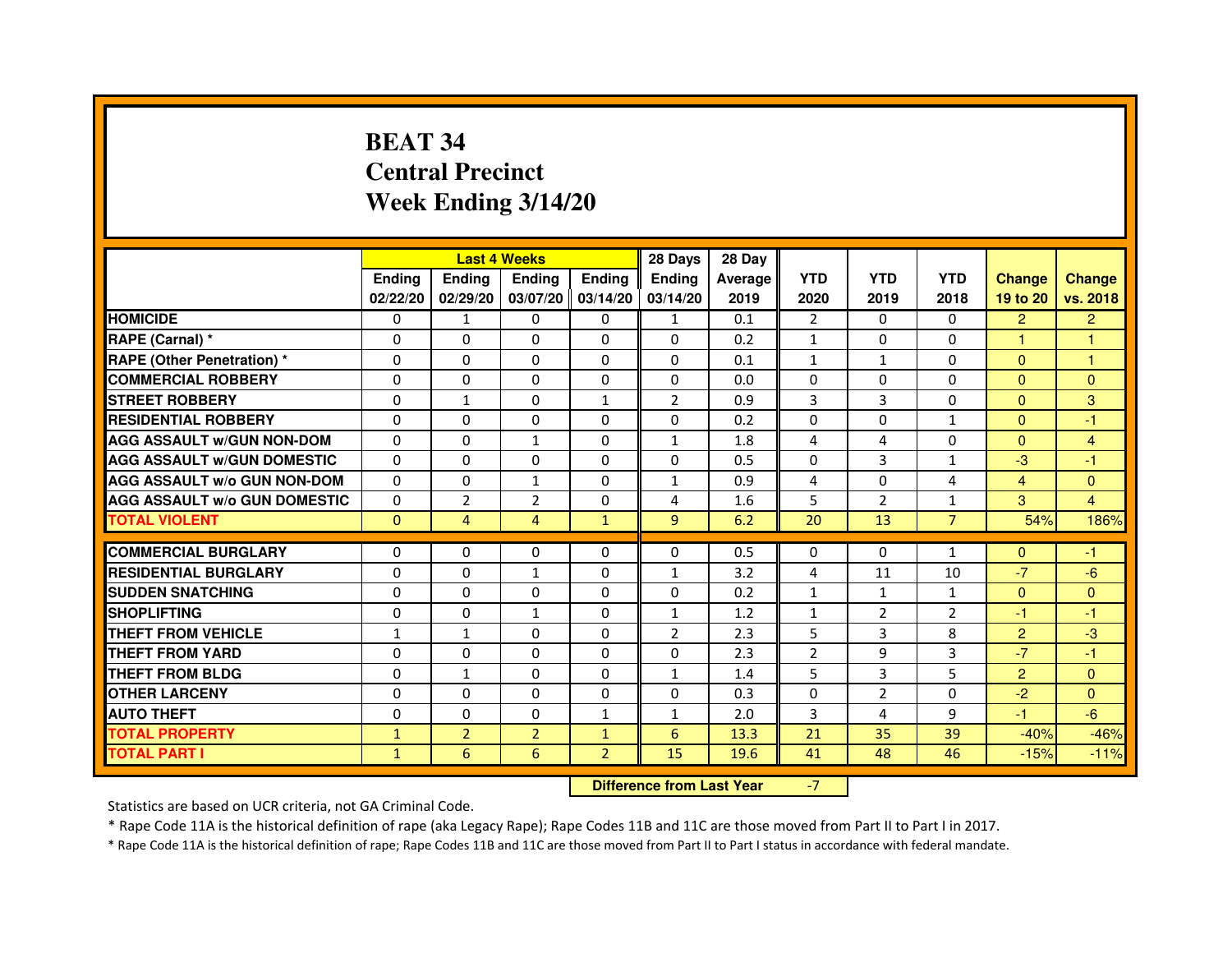# **BEAT 34 Central PrecinctWeek Ending 3/14/20**

|                                     |               | <b>Last 4 Weeks</b> |                |                     | 28 Days        | 28 Day  |                |                |                |                |                |
|-------------------------------------|---------------|---------------------|----------------|---------------------|----------------|---------|----------------|----------------|----------------|----------------|----------------|
|                                     | <b>Endina</b> | <b>Endina</b>       | <b>Endina</b>  | <b>Ending</b>       | <b>Endina</b>  | Average | <b>YTD</b>     | <b>YTD</b>     | <b>YTD</b>     | <b>Change</b>  | <b>Change</b>  |
|                                     | 02/22/20      | 02/29/20            |                | $03/07/20$ 03/14/20 | 03/14/20       | 2019    | 2020           | 2019           | 2018           | 19 to 20       | vs. 2018       |
| <b>HOMICIDE</b>                     | 0             | 1                   | 0              | 0                   | $\mathbf{1}$   | 0.1     | $\overline{2}$ | 0              | 0              | $\overline{2}$ | $\overline{2}$ |
| RAPE (Carnal) *                     | $\Omega$      | $\Omega$            | $\Omega$       | $\Omega$            | $\Omega$       | 0.2     | $\mathbf{1}$   | $\Omega$       | $\Omega$       | $\mathbf{1}$   | $\mathbf{1}$   |
| <b>RAPE (Other Penetration) *</b>   | 0             | $\Omega$            | 0              | 0                   | 0              | 0.1     | $\mathbf{1}$   | $\mathbf{1}$   | $\Omega$       | $\Omega$       | 1              |
| <b>COMMERCIAL ROBBERY</b>           | 0             | 0                   | 0              | $\Omega$            | 0              | 0.0     | $\Omega$       | $\Omega$       | $\Omega$       | $\overline{0}$ | $\mathbf{0}$   |
| <b>STREET ROBBERY</b>               | 0             | $\mathbf{1}$        | 0              | $\mathbf{1}$        | $\overline{2}$ | 0.9     | 3              | 3              | $\Omega$       | $\Omega$       | 3              |
| <b>RESIDENTIAL ROBBERY</b>          | $\Omega$      | $\Omega$            | 0              | 0                   | $\Omega$       | 0.2     | $\Omega$       | $\Omega$       | $\mathbf{1}$   | $\Omega$       | -1             |
| <b>AGG ASSAULT W/GUN NON-DOM</b>    | $\Omega$      | $\mathbf 0$         | $\mathbf{1}$   | $\Omega$            | $\mathbf{1}$   | 1.8     | 4              | 4              | $\Omega$       | $\Omega$       | $\overline{4}$ |
| <b>AGG ASSAULT w/GUN DOMESTIC</b>   | $\Omega$      | $\Omega$            | 0              | 0                   | $\Omega$       | 0.5     | $\Omega$       | 3              | $\mathbf{1}$   | $-3$           | $-1$           |
| <b>AGG ASSAULT w/o GUN NON-DOM</b>  | $\Omega$      | 0                   | 1              | 0                   | 1              | 0.9     | 4              | $\Omega$       | 4              | 4              | $\mathbf{0}$   |
| <b>AGG ASSAULT w/o GUN DOMESTIC</b> | $\Omega$      | $\overline{2}$      | $\overline{2}$ | $\Omega$            | 4              | 1.6     | 5              | $\overline{2}$ | $\mathbf{1}$   | 3              | $\overline{4}$ |
| <b>TOTAL VIOLENT</b>                | $\Omega$      | 4                   | $\overline{4}$ | $\mathbf{1}$        | 9              | 6.2     | 20             | 13             | $\overline{7}$ | 54%            | 186%           |
|                                     |               |                     |                |                     |                |         |                |                |                |                |                |
| <b>COMMERCIAL BURGLARY</b>          | 0             | 0                   | 0              | 0                   | $\Omega$       | 0.5     | $\Omega$       | $\Omega$       | $\mathbf{1}$   | $\Omega$       | $-1$           |
| <b>RESIDENTIAL BURGLARY</b>         | $\Omega$      | $\Omega$            | $\mathbf{1}$   | $\Omega$            | $\mathbf{1}$   | 3.2     | $\overline{4}$ | 11             | 10             | $-7$           | $-6$           |
| <b>SUDDEN SNATCHING</b>             | $\Omega$      | 0                   | 0              | 0                   | $\mathbf 0$    | 0.2     | $\mathbf{1}$   | $\mathbf{1}$   | $\mathbf{1}$   | $\Omega$       | $\mathbf{0}$   |
| <b>SHOPLIFTING</b>                  | 0             | 0                   | $\mathbf{1}$   | 0                   | $\mathbf{1}$   | 1.2     | $\mathbf{1}$   | $\overline{2}$ | $\overline{2}$ | $-1$           | -1             |
| <b>THEFT FROM VEHICLE</b>           | 1             | $\mathbf{1}$        | $\Omega$       | $\mathbf{0}$        | $\overline{2}$ | 2.3     | 5              | 3              | 8              | $\overline{2}$ | $-3$           |
| <b>THEFT FROM YARD</b>              | $\Omega$      | $\Omega$            | $\Omega$       | $\Omega$            | $\Omega$       | 2.3     | $\overline{2}$ | 9              | 3              | $-7$           | $-1$           |
| <b>THEFT FROM BLDG</b>              | 0             | 1                   | 0              | 0                   | $\mathbf{1}$   | 1.4     | 5              | 3              | 5              | $\overline{2}$ | $\mathbf{0}$   |
| <b>OTHER LARCENY</b>                | $\Omega$      | $\Omega$            | 0              | 0                   | $\Omega$       | 0.3     | $\Omega$       | $\overline{2}$ | $\Omega$       | $-2$           | $\mathbf{0}$   |
| <b>AUTO THEFT</b>                   | 0             | 0                   | $\Omega$       | $\mathbf{1}$        | $\mathbf{1}$   | 2.0     | $\overline{3}$ | 4              | 9              | $-1$           | $-6$           |
| <b>TOTAL PROPERTY</b>               | $\mathbf{1}$  | $\overline{2}$      | $\overline{2}$ | $\mathbf{1}$        | 6              | 13.3    | 21             | 35             | 39             | $-40%$         | $-46%$         |
| <b>TOTAL PART I</b>                 | $\mathbf{1}$  | 6                   | 6              | $\overline{2}$      | 15             | 19.6    | 41             | 48             | 46             | $-15%$         | $-11%$         |

 **Difference from Last Year**

-7

Statistics are based on UCR criteria, not GA Criminal Code.

\* Rape Code 11A is the historical definition of rape (aka Legacy Rape); Rape Codes 11B and 11C are those moved from Part II to Part I in 2017.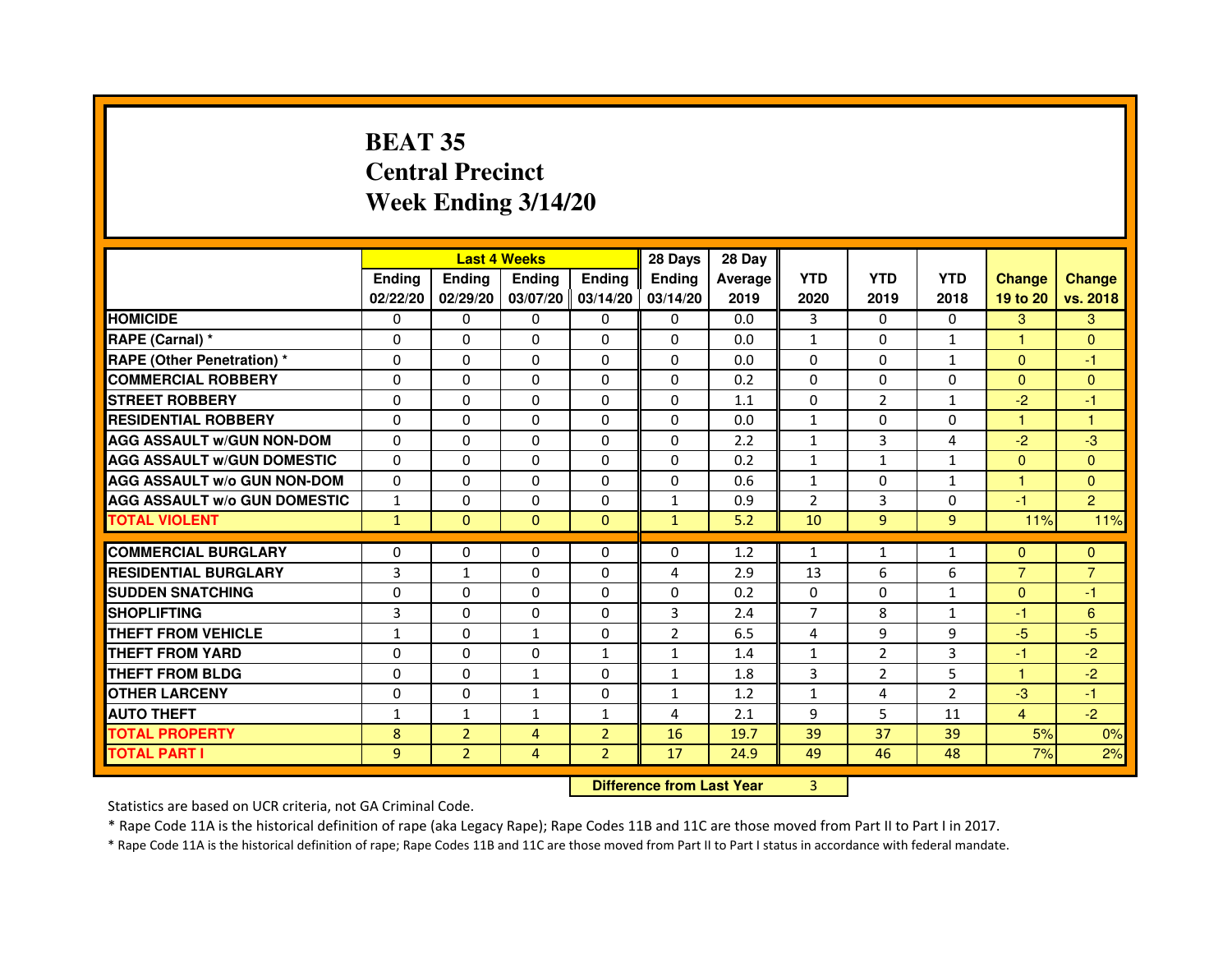# **BEAT 35 Central PrecinctWeek Ending 3/14/20**

|                                     |               | <b>Last 4 Weeks</b> |                                  |                   | 28 Days        | 28 Day  |                |                |                |                |                |
|-------------------------------------|---------------|---------------------|----------------------------------|-------------------|----------------|---------|----------------|----------------|----------------|----------------|----------------|
|                                     | <b>Ending</b> | Ending              | <b>Ending</b>                    | <b>Ending</b>     | <b>Ending</b>  | Average | <b>YTD</b>     | <b>YTD</b>     | <b>YTD</b>     | <b>Change</b>  | <b>Change</b>  |
|                                     | 02/22/20      | 02/29/20            |                                  | 03/07/20 03/14/20 | 03/14/20       | 2019    | 2020           | 2019           | 2018           | 19 to 20       | vs. 2018       |
| <b>HOMICIDE</b>                     | 0             | 0                   | $\mathbf{0}$                     | $\Omega$          | 0              | 0.0     | 3              | $\Omega$       | 0              | 3              | 3              |
| RAPE (Carnal) *                     | 0             | $\mathbf{0}$        | 0                                | 0                 | $\Omega$       | 0.0     | 1              | 0              | 1              | 1              | $\mathbf{0}$   |
| <b>RAPE (Other Penetration) *</b>   | 0             | 0                   | 0                                | $\mathbf{0}$      | $\Omega$       | 0.0     | 0              | $\mathbf{0}$   | $\mathbf{1}$   | $\mathbf{0}$   | $-1$           |
| <b>COMMERCIAL ROBBERY</b>           | $\mathbf 0$   | 0                   | $\Omega$                         | $\mathbf{0}$      | $\mathbf{0}$   | 0.2     | $\mathbf{0}$   | $\mathbf{0}$   | $\Omega$       | $\Omega$       | $\mathbf{0}$   |
| <b>STREET ROBBERY</b>               | 0             | $\Omega$            | $\Omega$                         | $\Omega$          | $\Omega$       | 1.1     | $\Omega$       | 2              | $\mathbf{1}$   | $-2$           | $-1$           |
| <b>RESIDENTIAL ROBBERY</b>          | 0             | 0                   | $\Omega$                         | 0                 | $\Omega$       | 0.0     | $\mathbf{1}$   | $\Omega$       | $\Omega$       | 1.             | 1              |
| <b>AGG ASSAULT W/GUN NON-DOM</b>    | $\Omega$      | $\Omega$            | 0                                | $\Omega$          | $\Omega$       | 2.2     | $\mathbf{1}$   | 3              | 4              | $-2$           | $-3$           |
| <b>AGG ASSAULT W/GUN DOMESTIC</b>   | $\Omega$      | $\Omega$            | $\Omega$                         | $\Omega$          | $\Omega$       | 0.2     | $\mathbf{1}$   | $\mathbf{1}$   | $\mathbf{1}$   | $\Omega$       | $\Omega$       |
| <b>AGG ASSAULT W/o GUN NON-DOM</b>  | $\Omega$      | $\Omega$            | $\Omega$                         | $\Omega$          | $\Omega$       | 0.6     | $\mathbf{1}$   | $\Omega$       | $\mathbf{1}$   | $\mathbf{1}$   | $\Omega$       |
| <b>AGG ASSAULT W/o GUN DOMESTIC</b> | $\mathbf{1}$  | 0                   | 0                                | $\Omega$          | $\mathbf{1}$   | 0.9     | $\overline{2}$ | 3              | $\Omega$       | $-1$           | $\overline{2}$ |
| <b>TOTAL VIOLENT</b>                | $\mathbf{1}$  | $\mathbf{0}$        | $\mathbf{0}$                     | $\mathbf{0}$      | $\mathbf{1}$   | 5.2     | 10             | 9              | 9              | 11%            | 11%            |
| <b>COMMERCIAL BURGLARY</b>          | 0             | 0                   | 0                                | 0                 | 0              | 1.2     | 1              | $\mathbf{1}$   | 1              | $\mathbf{0}$   | $\mathbf{0}$   |
| <b>RESIDENTIAL BURGLARY</b>         | 3             | $\mathbf{1}$        | $\Omega$                         | $\mathbf{0}$      | 4              | 2.9     | 13             | 6              | 6              | $\overline{7}$ | $\overline{7}$ |
| <b>SUDDEN SNATCHING</b>             | 0             | $\Omega$            | $\Omega$                         | $\Omega$          | $\Omega$       | 0.2     | $\Omega$       | $\Omega$       | $\mathbf{1}$   | $\Omega$       | $-1$           |
| <b>SHOPLIFTING</b>                  | 3             | $\mathbf{0}$        | 0                                | $\mathbf{0}$      | 3              | 2.4     | 7              | 8              | $\mathbf{1}$   | $-1$           | 6              |
| THEFT FROM VEHICLE                  | $\mathbf{1}$  | 0                   | $\mathbf{1}$                     | $\Omega$          | $\overline{2}$ | 6.5     | 4              | 9              | 9              | $-5$           | $-5$           |
| <b>THEFT FROM YARD</b>              | $\Omega$      | 0                   | $\Omega$                         | $\mathbf{1}$      | $\mathbf{1}$   | 1.4     | $\mathbf{1}$   | $\overline{2}$ | 3              | $-1$           | $-2$           |
| <b>THEFT FROM BLDG</b>              | 0             | $\Omega$            | $\mathbf{1}$                     | $\Omega$          | $\mathbf{1}$   | 1.8     | 3              | $\overline{2}$ | 5              | $\mathbf{1}$   | $-2$           |
| <b>OTHER LARCENY</b>                | 0             | $\Omega$            | $\mathbf{1}$                     | $\Omega$          | $\mathbf{1}$   | 1.2     | $\mathbf{1}$   | 4              | $\overline{2}$ | $-3$           | $-1$           |
| <b>AUTO THEFT</b>                   | $\mathbf{1}$  | 1                   | $\mathbf{1}$                     | $\mathbf{1}$      | 4              | 2.1     | 9              | 5              | 11             | $\overline{4}$ | $-2$           |
| <b>TOTAL PROPERTY</b>               | 8             | $\overline{2}$      | $\overline{4}$                   | $\overline{2}$    | 16             | 19.7    | 39             | 37             | 39             | 5%             | 0%             |
| <b>TOTAL PART I</b>                 | 9             | $\overline{2}$      | $\overline{4}$                   | $\overline{2}$    | 17             | 24.9    | 49             | 46             | 48             | 7%             | 2%             |
|                                     |               |                     | <b>Difference from Last Year</b> |                   | $\overline{3}$ |         |                |                |                |                |                |

 **Difference from Last Year**

Statistics are based on UCR criteria, not GA Criminal Code.

\* Rape Code 11A is the historical definition of rape (aka Legacy Rape); Rape Codes 11B and 11C are those moved from Part II to Part I in 2017.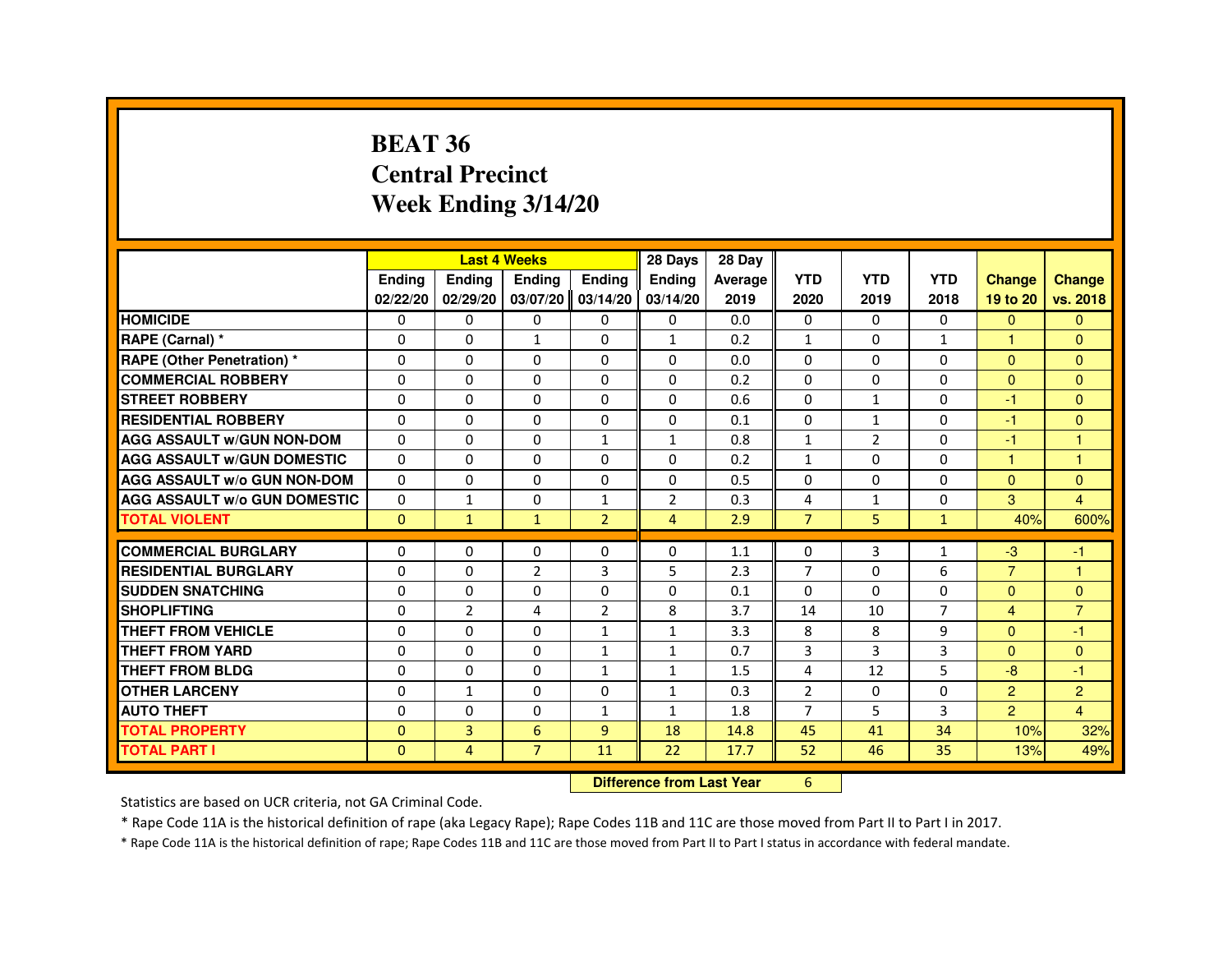#### **BEAT 36 Central PrecinctWeek Ending 3/14/20**

|                                     |               |                | <b>Last 4 Weeks</b> |                   | 28 Days        | 28 Day  |                |                |                |                |                      |
|-------------------------------------|---------------|----------------|---------------------|-------------------|----------------|---------|----------------|----------------|----------------|----------------|----------------------|
|                                     | <b>Endina</b> | <b>Endina</b>  | <b>Endina</b>       | <b>Ending</b>     | <b>Endina</b>  | Average | <b>YTD</b>     | <b>YTD</b>     | <b>YTD</b>     | <b>Change</b>  | <b>Change</b>        |
|                                     | 02/22/20      | 02/29/20       |                     | 03/07/20 03/14/20 | 03/14/20       | 2019    | 2020           | 2019           | 2018           | 19 to 20       | vs. 2018             |
| <b>HOMICIDE</b>                     | $\Omega$      | $\Omega$       | $\mathbf{0}$        | $\Omega$          | 0              | 0.0     | $\Omega$       | $\mathbf{0}$   | $\mathbf{0}$   | $\Omega$       | $\Omega$             |
| RAPE (Carnal) *                     | $\Omega$      | $\Omega$       | $\mathbf{1}$        | $\Omega$          | $\mathbf{1}$   | 0.2     | $\mathbf{1}$   | $\Omega$       | $\mathbf{1}$   | 1              | $\Omega$             |
| <b>RAPE (Other Penetration)*</b>    | 0             | 0              | 0                   | 0                 | 0              | 0.0     | 0              | 0              | 0              | $\Omega$       | $\Omega$             |
| <b>COMMERCIAL ROBBERY</b>           | 0             | 0              | 0                   | 0                 | 0              | 0.2     | 0              | 0              | $\Omega$       | $\Omega$       | $\Omega$             |
| <b>STREET ROBBERY</b>               | $\mathbf 0$   | 0              | $\Omega$            | $\mathbf{0}$      | $\Omega$       | 0.6     | $\Omega$       | $\mathbf{1}$   | $\Omega$       | -1             | $\Omega$             |
| <b>RESIDENTIAL ROBBERY</b>          | $\Omega$      | $\Omega$       | $\Omega$            | $\mathbf{0}$      | $\Omega$       | 0.1     | $\Omega$       | $\mathbf{1}$   | $\Omega$       | $-1$           | $\Omega$             |
| <b>AGG ASSAULT W/GUN NON-DOM</b>    | $\Omega$      | $\Omega$       | $\Omega$            | $\mathbf{1}$      | $\mathbf{1}$   | 0.8     | $\mathbf{1}$   | $\overline{2}$ | $\Omega$       | $-1$           | $\blacktriangleleft$ |
| <b>AGG ASSAULT W/GUN DOMESTIC</b>   | 0             | 0              | 0                   | 0                 | 0              | 0.2     | 1              | 0              | 0              | 1              | 1                    |
| <b>AGG ASSAULT W/o GUN NON-DOM</b>  | $\Omega$      | 0              | 0                   | 0                 | 0              | 0.5     | 0              | 0              | $\Omega$       | $\Omega$       | $\Omega$             |
| <b>AGG ASSAULT W/o GUN DOMESTIC</b> | $\Omega$      | $\mathbf{1}$   | 0                   | $\mathbf{1}$      | $\overline{2}$ | 0.3     | 4              | $\mathbf{1}$   | $\Omega$       | 3              | $\overline{4}$       |
| <b>TOTAL VIOLENT</b>                | $\mathbf{0}$  | $\mathbf{1}$   | $\mathbf{1}$        | $\overline{2}$    | $\overline{4}$ | 2.9     | $\overline{7}$ | 5              | $\mathbf{1}$   | 40%            | 600%                 |
|                                     |               |                |                     |                   |                |         |                |                |                |                |                      |
| <b>COMMERCIAL BURGLARY</b>          | 0             | 0              | 0                   | 0                 | 0              | 1.1     | $\Omega$       | 3              | 1              | -3             | -1                   |
| <b>RESIDENTIAL BURGLARY</b>         | 0             | 0              | $\overline{2}$      | 3                 | 5              | 2.3     | $\overline{7}$ | 0              | 6              | $\overline{7}$ | -1                   |
| <b>SUDDEN SNATCHING</b>             | $\Omega$      | $\Omega$       | 0                   | $\Omega$          | $\Omega$       | 0.1     | $\Omega$       | $\Omega$       | $\Omega$       | $\Omega$       | $\Omega$             |
| <b>SHOPLIFTING</b>                  | $\Omega$      | $\overline{2}$ | 4                   | $\overline{2}$    | 8              | 3.7     | 14             | 10             | $\overline{7}$ | $\overline{4}$ | $\overline{7}$       |
| <b>THEFT FROM VEHICLE</b>           | 0             | 0              | 0                   | 1                 | $\mathbf{1}$   | 3.3     | 8              | 8              | 9              | $\Omega$       | -1                   |
| <b>THEFT FROM YARD</b>              | $\Omega$      | $\Omega$       | 0                   | $\mathbf{1}$      | $\mathbf{1}$   | 0.7     | 3              | 3              | 3              | $\Omega$       | $\Omega$             |
| <b>THEFT FROM BLDG</b>              | $\Omega$      | 0              | 0                   | $\mathbf{1}$      | $\mathbf{1}$   | 1.5     | 4              | 12             | 5              | -8             | $-1$                 |
| <b>OTHER LARCENY</b>                | 0             | $\mathbf{1}$   | 0                   | $\Omega$          | $\mathbf{1}$   | 0.3     | $\overline{2}$ | 0              | 0              | $\overline{2}$ | $\overline{2}$       |
| <b>AUTO THEFT</b>                   | $\Omega$      | 0              | $\Omega$            | $\mathbf{1}$      | $\mathbf{1}$   | 1.8     | $\overline{7}$ | 5              | 3              | $\overline{2}$ | $\overline{4}$       |
| <b>TOTAL PROPERTY</b>               | $\Omega$      | 3              | 6                   | 9                 | 18             | 14.8    | 45             | 41             | 34             | 10%            | 32%                  |
| <b>TOTAL PART I</b>                 | $\Omega$      | $\overline{4}$ | $\overline{7}$      | 11                | 22             | 17.7    | 52             | 46             | 35             | 13%            | 49%                  |

**Difference from Last Year** 6

Statistics are based on UCR criteria, not GA Criminal Code.

\* Rape Code 11A is the historical definition of rape (aka Legacy Rape); Rape Codes 11B and 11C are those moved from Part II to Part I in 2017.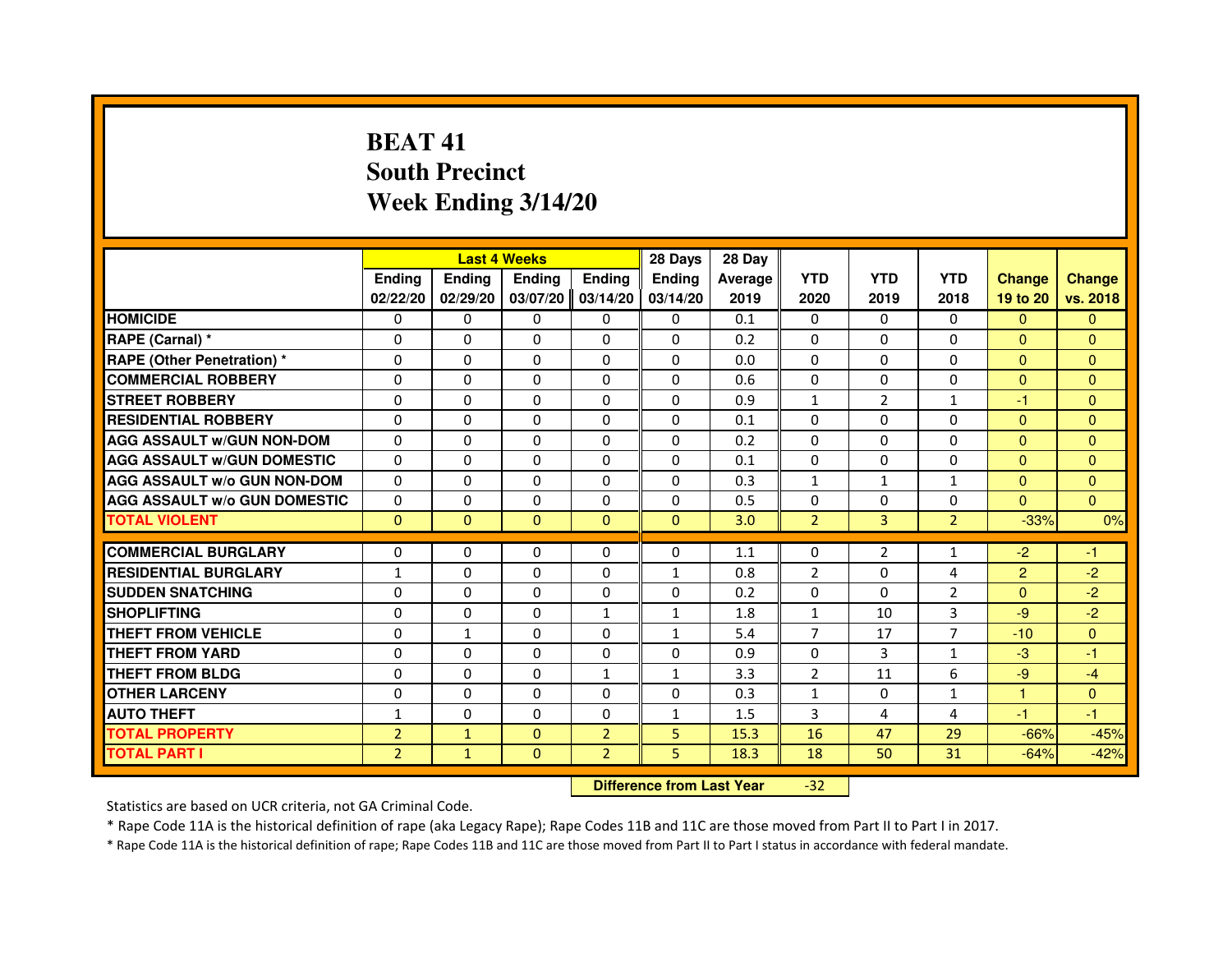# **BEAT 41 South PrecinctWeek Ending 3/14/20**

|                                     |                |              | <b>Last 4 Weeks</b>              |                | 28 Days       | 28 Day  |                |                |                |                |                |
|-------------------------------------|----------------|--------------|----------------------------------|----------------|---------------|---------|----------------|----------------|----------------|----------------|----------------|
|                                     | <b>Ending</b>  | Ending       | <b>Ending</b>                    | <b>Ending</b>  | <b>Ending</b> | Average | <b>YTD</b>     | <b>YTD</b>     | <b>YTD</b>     | <b>Change</b>  | <b>Change</b>  |
|                                     | 02/22/20       | 02/29/20     | 03/07/20                         | 03/14/20       | 03/14/20      | 2019    | 2020           | 2019           | 2018           | 19 to 20       | vs. 2018       |
| <b>HOMICIDE</b>                     | $\Omega$       | $\Omega$     | $\Omega$                         | $\mathbf{0}$   | $\mathbf{0}$  | 0.1     | $\Omega$       | 0              | $\Omega$       | $\Omega$       | $\Omega$       |
| RAPE (Carnal) *                     | 0              | $\Omega$     | $\Omega$                         | $\Omega$       | $\Omega$      | 0.2     | $\Omega$       | $\Omega$       | $\Omega$       | $\Omega$       | $\Omega$       |
| <b>RAPE (Other Penetration) *</b>   | $\Omega$       | $\Omega$     | $\Omega$                         | $\Omega$       | $\Omega$      | 0.0     | $\Omega$       | $\Omega$       | $\Omega$       | $\Omega$       | $\overline{0}$ |
| <b>COMMERCIAL ROBBERY</b>           | $\Omega$       | $\Omega$     | $\Omega$                         | $\Omega$       | $\Omega$      | 0.6     | $\Omega$       | $\Omega$       | $\Omega$       | $\mathbf{0}$   | $\mathbf{0}$   |
| <b>STREET ROBBERY</b>               | $\Omega$       | $\Omega$     | $\Omega$                         | $\Omega$       | $\Omega$      | 0.9     | $\mathbf{1}$   | 2              | $\mathbf{1}$   | $-1$           | $\overline{0}$ |
| <b>RESIDENTIAL ROBBERY</b>          | $\Omega$       | $\Omega$     | $\Omega$                         | $\Omega$       | $\Omega$      | 0.1     | $\Omega$       | $\Omega$       | $\Omega$       | $\mathbf{0}$   | $\Omega$       |
| <b>AGG ASSAULT W/GUN NON-DOM</b>    | $\Omega$       | $\Omega$     | $\Omega$                         | $\Omega$       | $\Omega$      | 0.2     | $\Omega$       | $\Omega$       | $\Omega$       | $\Omega$       | $\Omega$       |
| <b>AGG ASSAULT W/GUN DOMESTIC</b>   | $\Omega$       | $\Omega$     | $\Omega$                         | $\Omega$       | $\Omega$      | 0.1     | $\Omega$       | $\Omega$       | $\Omega$       | $\Omega$       | $\Omega$       |
| <b>AGG ASSAULT w/o GUN NON-DOM</b>  | 0              | 0            | 0                                | $\mathbf{0}$   | $\mathbf{0}$  | 0.3     | $\mathbf{1}$   | $\mathbf{1}$   | $\mathbf{1}$   | $\Omega$       | $\mathbf{0}$   |
| <b>AGG ASSAULT W/o GUN DOMESTIC</b> | $\Omega$       | 0            | $\Omega$                         | $\Omega$       | $\Omega$      | 0.5     | $\Omega$       | 0              | $\Omega$       | $\Omega$       | $\Omega$       |
| <b>TOTAL VIOLENT</b>                | $\mathbf{0}$   | $\mathbf{0}$ | $\mathbf 0$                      | $\mathbf{0}$   | $\mathbf{0}$  | 3.0     | $\overline{2}$ | 3              | $\overline{2}$ | $-33%$         | 0%             |
| <b>COMMERCIAL BURGLARY</b>          | $\Omega$       | $\Omega$     | 0                                | $\Omega$       | $\Omega$      | 1.1     | $\Omega$       | $\overline{2}$ | $\mathbf{1}$   | $-2$           | $-1$           |
| <b>RESIDENTIAL BURGLARY</b>         | $\mathbf{1}$   | $\Omega$     | $\Omega$                         | $\Omega$       | $\mathbf{1}$  | 0.8     | $\overline{2}$ | $\Omega$       | $\overline{4}$ | $\overline{2}$ | $-2$           |
| <b>SUDDEN SNATCHING</b>             | $\Omega$       | $\Omega$     | $\Omega$                         | $\Omega$       | $\Omega$      | 0.2     | $\Omega$       | $\Omega$       | $\mathfrak{p}$ | $\Omega$       | $-2$           |
| <b>SHOPLIFTING</b>                  | 0              | 0            | 0                                | 1              | 1             | 1.8     | $\mathbf{1}$   | 10             | 3              | $-9$           | $-2$           |
| <b>THEFT FROM VEHICLE</b>           | $\Omega$       | $\mathbf{1}$ | $\Omega$                         | $\Omega$       | 1             | 5.4     | $\overline{7}$ | 17             | 7              | $-10$          | $\overline{0}$ |
| <b>THEFT FROM YARD</b>              | 0              | 0            | $\Omega$                         | 0              | 0             | 0.9     | 0              | 3              | $\mathbf{1}$   | $-3$           | $-1$           |
| <b>THEFT FROM BLDG</b>              | $\Omega$       | $\Omega$     | $\Omega$                         | $\mathbf{1}$   | $\mathbf{1}$  | 3.3     | $\overline{2}$ | 11             | 6              | $-9$           | $-4$           |
| <b>OTHER LARCENY</b>                | $\Omega$       | $\Omega$     | $\Omega$                         | $\Omega$       | $\Omega$      | 0.3     | $\mathbf{1}$   | 0              | $\mathbf{1}$   | $\mathbf{1}$   | $\Omega$       |
| <b>AUTO THEFT</b>                   | $\mathbf{1}$   | $\Omega$     | $\Omega$                         | $\Omega$       | $\mathbf{1}$  | 1.5     | $\overline{3}$ | 4              | 4              | $-1$           | $-1$           |
| <b>TOTAL PROPERTY</b>               | $\overline{2}$ | $\mathbf{1}$ | $\Omega$                         | $\overline{2}$ | 5             | 15.3    | 16             | 47             | 29             | $-66%$         | $-45%$         |
| <b>TOTAL PART I</b>                 | $\overline{2}$ | $\mathbf{1}$ | $\mathbf{0}$                     | $\overline{2}$ | 5             | 18.3    | 18             | 50             | 31             | $-64%$         | $-42%$         |
|                                     |                |              | <b>Difference from Last Year</b> |                | $-32$         |         |                |                |                |                |                |

Statistics are based on UCR criteria, not GA Criminal Code.

\* Rape Code 11A is the historical definition of rape (aka Legacy Rape); Rape Codes 11B and 11C are those moved from Part II to Part I in 2017.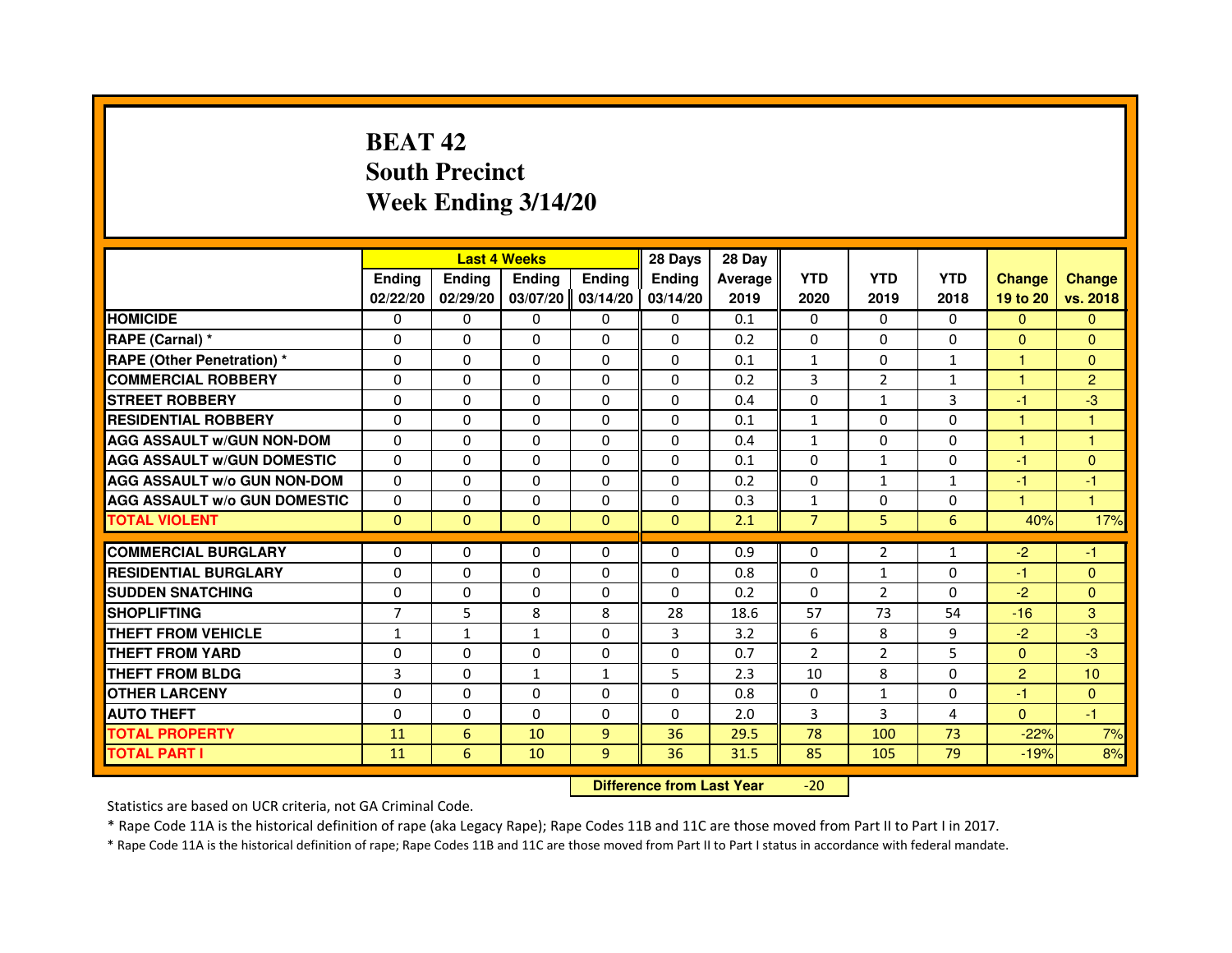# **BEAT 42 South PrecinctWeek Ending 3/14/20**

|                                     |                | <b>Last 4 Weeks</b> |               |                | 28 Days        | 28 Day  |                |              |              |                      |                      |
|-------------------------------------|----------------|---------------------|---------------|----------------|----------------|---------|----------------|--------------|--------------|----------------------|----------------------|
|                                     | <b>Endina</b>  | Ending              | <b>Endina</b> | <b>Endina</b>  | <b>Ending</b>  | Average | <b>YTD</b>     | <b>YTD</b>   | <b>YTD</b>   | <b>Change</b>        | <b>Change</b>        |
|                                     | 02/22/20       | 02/29/20            | 03/07/20      | 03/14/20       | 03/14/20       | 2019    | 2020           | 2019         | 2018         | 19 to 20             | vs. 2018             |
| <b>HOMICIDE</b>                     | 0              | $\Omega$            | 0             | 0              | 0              | 0.1     | $\mathbf{0}$   | 0            | $\mathbf{0}$ | $\Omega$             | $\mathbf{0}$         |
| RAPE (Carnal) *                     | $\Omega$       | $\Omega$            | $\Omega$      | $\Omega$       | $\Omega$       | 0.2     | $\Omega$       | $\Omega$     | $\Omega$     | $\Omega$             | $\mathbf{0}$         |
| <b>RAPE (Other Penetration) *</b>   | $\Omega$       | $\Omega$            | $\Omega$      | $\Omega$       | $\Omega$       | 0.1     | $\mathbf{1}$   | $\Omega$     | $\mathbf{1}$ | $\mathbf{1}$         | $\mathbf{0}$         |
| <b>COMMERCIAL ROBBERY</b>           | 0              | 0                   | 0             | 0              | $\Omega$       | 0.2     | 3              | 2            | $\mathbf{1}$ | 1                    | $\overline{2}$       |
| <b>STREET ROBBERY</b>               | $\Omega$       | $\Omega$            | $\Omega$      | $\Omega$       | $\Omega$       | 0.4     | $\Omega$       | $\mathbf{1}$ | 3            | $-1$                 | $-3$                 |
| <b>RESIDENTIAL ROBBERY</b>          | $\Omega$       | $\Omega$            | $\Omega$      | $\Omega$       | $\Omega$       | 0.1     | $\mathbf{1}$   | $\Omega$     | $\Omega$     | 1                    | 1                    |
| <b>AGG ASSAULT W/GUN NON-DOM</b>    | $\Omega$       | $\Omega$            | $\Omega$      | $\Omega$       | $\Omega$       | 0.4     | $\mathbf{1}$   | $\Omega$     | $\Omega$     | 1                    | $\mathbf{1}$         |
| <b>AGG ASSAULT W/GUN DOMESTIC</b>   | $\Omega$       | $\Omega$            | $\Omega$      | $\Omega$       | $\Omega$       | 0.1     | $\Omega$       | $\mathbf{1}$ | $\Omega$     | $-1$                 | $\mathbf{0}$         |
| <b>AGG ASSAULT W/o GUN NON-DOM</b>  | 0              | 0                   | $\Omega$      | 0              | 0              | 0.2     | 0              | $\mathbf{1}$ | 1            | -1                   | -1                   |
| <b>AGG ASSAULT W/o GUN DOMESTIC</b> | $\Omega$       | 0                   | 0             | 0              | $\Omega$       | 0.3     | $\mathbf{1}$   | 0            | 0            | $\blacktriangleleft$ | $\blacktriangleleft$ |
| <b>TOTAL VIOLENT</b>                | $\Omega$       | $\Omega$            | $\Omega$      | $\Omega$       | $\mathbf{0}$   | 2.1     | $\overline{7}$ | 5            | 6            | 40%                  | 17%                  |
|                                     |                |                     |               |                |                |         |                |              |              |                      |                      |
| <b>COMMERCIAL BURGLARY</b>          | 0              | 0                   | 0             | 0              | 0              | 0.9     | 0              | 2            | $\mathbf{1}$ | $-2$                 | -1                   |
| <b>RESIDENTIAL BURGLARY</b>         | $\Omega$       | 0                   | 0             | 0              | 0              | 0.8     | $\Omega$       | $\mathbf{1}$ | 0            | -1                   | $\Omega$             |
| <b>SUDDEN SNATCHING</b>             | $\Omega$       | $\Omega$            | $\Omega$      | $\Omega$       | $\Omega$       | 0.2     | $\Omega$       | 2            | $\Omega$     | $-2$                 | $\mathbf{0}$         |
| <b>SHOPLIFTING</b>                  | $\overline{7}$ | 5                   | 8             | 8              | 28             | 18.6    | 57             | 73           | 54           | $-16$                | 3                    |
| <b>THEFT FROM VEHICLE</b>           | $\mathbf{1}$   | $\mathbf{1}$        | $\mathbf{1}$  | $\Omega$       | $\overline{3}$ | 3.2     | 6              | 8            | 9            | $-2$                 | $-3$                 |
| <b>THEFT FROM YARD</b>              | $\Omega$       | $\Omega$            | $\Omega$      | $\Omega$       | $\Omega$       | 0.7     | $\overline{2}$ | 2            | 5            | $\Omega$             | $-3$                 |
| <b>THEFT FROM BLDG</b>              | 3              | $\Omega$            | 1             | 1              | 5              | 2.3     | 10             | 8            | $\Omega$     | $\overline{2}$       | 10                   |
| <b>OTHER LARCENY</b>                | $\Omega$       | $\Omega$            | $\Omega$      | $\Omega$       | $\Omega$       | 0.8     | $\Omega$       | $\mathbf{1}$ | 0            | $-1$                 | $\Omega$             |
| <b>AUTO THEFT</b>                   | $\Omega$       | 0                   | $\Omega$      | 0              | $\Omega$       | 2.0     | 3              | 3            | 4            | $\overline{0}$       | $-1$                 |
| <b>TOTAL PROPERTY</b>               | 11             | 6                   | 10            | $\overline{9}$ | 36             | 29.5    | 78             | 100          | 73           | $-22%$               | 7%                   |
| <b>TOTAL PART I</b>                 | 11             | 6                   | 10            | 9              | 36             | 31.5    | 85             | 105          | 79           | $-19%$               | 8%                   |

 **Difference from Last Year**-20

Statistics are based on UCR criteria, not GA Criminal Code.

\* Rape Code 11A is the historical definition of rape (aka Legacy Rape); Rape Codes 11B and 11C are those moved from Part II to Part I in 2017.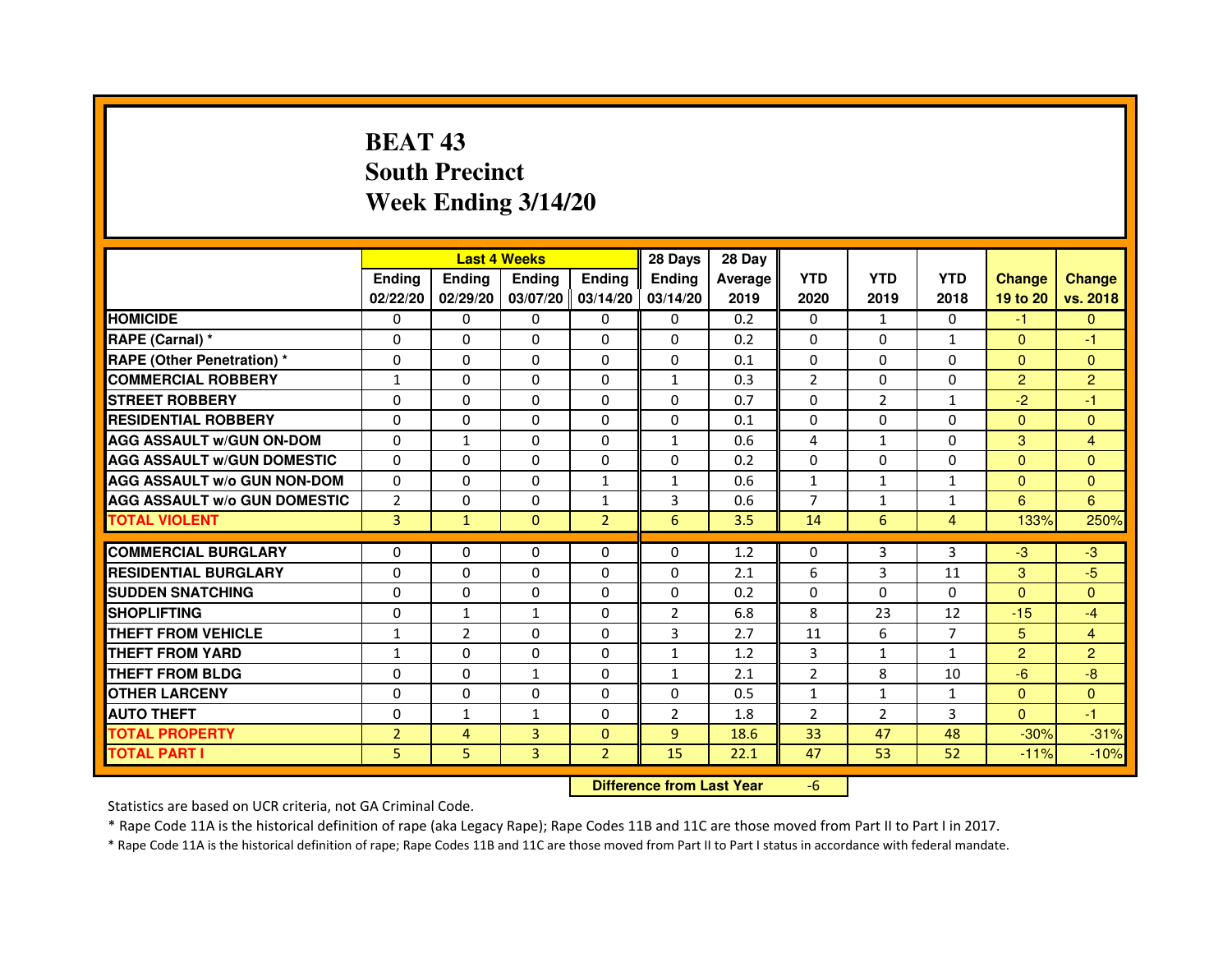# **BEAT 43 South PrecinctWeek Ending 3/14/20**

|                                     |                | <b>Last 4 Weeks</b> |                                  |                   | 28 Days        | 28 Day  |                |                |              |                |                |
|-------------------------------------|----------------|---------------------|----------------------------------|-------------------|----------------|---------|----------------|----------------|--------------|----------------|----------------|
|                                     | <b>Ending</b>  | <b>Ending</b>       | <b>Ending</b>                    | <b>Ending</b>     | <b>Ending</b>  | Average | <b>YTD</b>     | <b>YTD</b>     | <b>YTD</b>   | <b>Change</b>  | <b>Change</b>  |
|                                     | 02/22/20       | 02/29/20            |                                  | 03/07/20 03/14/20 | 03/14/20       | 2019    | 2020           | 2019           | 2018         | 19 to 20       | vs. 2018       |
| <b>HOMICIDE</b>                     | 0              | $\Omega$            | $\Omega$                         | $\Omega$          | 0              | 0.2     | $\Omega$       | $\mathbf{1}$   | 0            | $-1$           | $\Omega$       |
| RAPE (Carnal) *                     | 0              | $\Omega$            | 0                                | $\Omega$          | $\mathbf{0}$   | 0.2     | $\Omega$       | $\mathbf{0}$   | $\mathbf{1}$ | $\mathbf{0}$   | $-1$           |
| <b>RAPE (Other Penetration) *</b>   | $\mathbf 0$    | 0                   | $\Omega$                         | $\mathbf{0}$      | $\Omega$       | 0.1     | $\Omega$       | $\Omega$       | $\Omega$     | $\Omega$       | $\Omega$       |
| <b>COMMERCIAL ROBBERY</b>           | $\mathbf{1}$   | 0                   | $\Omega$                         | $\mathbf{0}$      | $\mathbf{1}$   | 0.3     | $\overline{2}$ | $\mathbf{0}$   | $\Omega$     | $\overline{2}$ | $\overline{2}$ |
| <b>STREET ROBBERY</b>               | $\Omega$       | $\Omega$            | $\Omega$                         | $\mathbf{0}$      | $\Omega$       | 0.7     | $\Omega$       | $\overline{2}$ | $\mathbf{1}$ | $-2$           | $-1$           |
| <b>RESIDENTIAL ROBBERY</b>          | 0              | $\Omega$            | 0                                | $\mathbf{0}$      | $\Omega$       | 0.1     | 0              | $\Omega$       | $\Omega$     | $\Omega$       | $\Omega$       |
| <b>AGG ASSAULT w/GUN ON-DOM</b>     | $\Omega$       | $\mathbf{1}$        | $\Omega$                         | $\mathbf{0}$      | $\mathbf{1}$   | 0.6     | 4              | $\mathbf{1}$   | $\Omega$     | 3              | 4              |
| <b>AGG ASSAULT W/GUN DOMESTIC</b>   | $\Omega$       | $\Omega$            | $\Omega$                         | $\mathbf{0}$      | $\Omega$       | 0.2     | $\Omega$       | $\Omega$       | $\Omega$     | $\Omega$       | $\Omega$       |
| <b>AGG ASSAULT W/o GUN NON-DOM</b>  | $\Omega$       | 0                   | 0                                | $\mathbf{1}$      | $\mathbf{1}$   | 0.6     | $\mathbf{1}$   | $\mathbf{1}$   | $\mathbf{1}$ | $\Omega$       | $\mathbf{0}$   |
| <b>AGG ASSAULT W/o GUN DOMESTIC</b> | $\overline{2}$ | 0                   | 0                                | $\mathbf{1}$      | 3              | 0.6     | 7              | $\mathbf{1}$   | $\mathbf{1}$ | 6              | 6              |
| <b>TOTAL VIOLENT</b>                | 3              | $\mathbf{1}$        | $\mathbf{0}$                     | $\overline{2}$    | 6              | 3.5     | 14             | 6              | 4            | 133%           | 250%           |
| <b>COMMERCIAL BURGLARY</b>          | 0              | 0                   | 0                                | 0                 | 0              | 1.2     | 0              | 3              | 3            | $-3$           | $-3$           |
| <b>RESIDENTIAL BURGLARY</b>         | $\Omega$       | $\Omega$            | $\Omega$                         | $\mathbf{0}$      | $\mathbf{0}$   | 2.1     | 6              | 3              | 11           | 3              | $-5$           |
| <b>SUDDEN SNATCHING</b>             | $\Omega$       | 0                   | $\Omega$                         | $\Omega$          | $\Omega$       | 0.2     | $\Omega$       | $\Omega$       | $\Omega$     | $\Omega$       | $\Omega$       |
| <b>SHOPLIFTING</b>                  | 0              | $\mathbf{1}$        | 1                                | $\mathbf{0}$      | 2              | 6.8     | 8              | 23             | 12           | $-15$          | $-4$           |
| THEFT FROM VEHICLE                  | $\mathbf{1}$   | $\overline{2}$      | 0                                | $\Omega$          | 3              | 2.7     | 11             | 6              | 7            | 5              | 4              |
| <b>THEFT FROM YARD</b>              | $\mathbf{1}$   | 0                   | $\Omega$                         | $\mathbf 0$       | $\mathbf{1}$   | 1.2     | 3              | $\mathbf{1}$   | $\mathbf{1}$ | $\overline{2}$ | $\overline{2}$ |
| <b>THEFT FROM BLDG</b>              | 0              | $\Omega$            | $\mathbf{1}$                     | $\mathbf{0}$      | $\mathbf{1}$   | 2.1     | 2              | 8              | 10           | $-6$           | $-8$           |
| <b>OTHER LARCENY</b>                | 0              | $\Omega$            | 0                                | $\Omega$          | $\Omega$       | 0.5     | $\mathbf{1}$   | $\mathbf{1}$   | $\mathbf{1}$ | $\mathbf{0}$   | $\Omega$       |
| <b>AUTO THEFT</b>                   | $\Omega$       | $\mathbf{1}$        | $\mathbf{1}$                     | $\Omega$          | $\overline{2}$ | 1.8     | $\overline{2}$ | $\overline{2}$ | 3            | $\Omega$       | $-1$           |
| <b>TOTAL PROPERTY</b>               | $\overline{2}$ | 4                   | $\overline{3}$                   | $\mathbf{0}$      | 9              | 18.6    | 33             | 47             | 48           | $-30%$         | $-31%$         |
| <b>TOTAL PART I</b>                 | 5              | 5                   | 3                                | $\overline{2}$    | 15             | 22.1    | 47             | 53             | 52           | $-11%$         | $-10%$         |
|                                     |                |                     | <b>Difference from Last Year</b> |                   | $-6$           |         |                |                |              |                |                |

 **Difference from Last Year**

Statistics are based on UCR criteria, not GA Criminal Code.

\* Rape Code 11A is the historical definition of rape (aka Legacy Rape); Rape Codes 11B and 11C are those moved from Part II to Part I in 2017.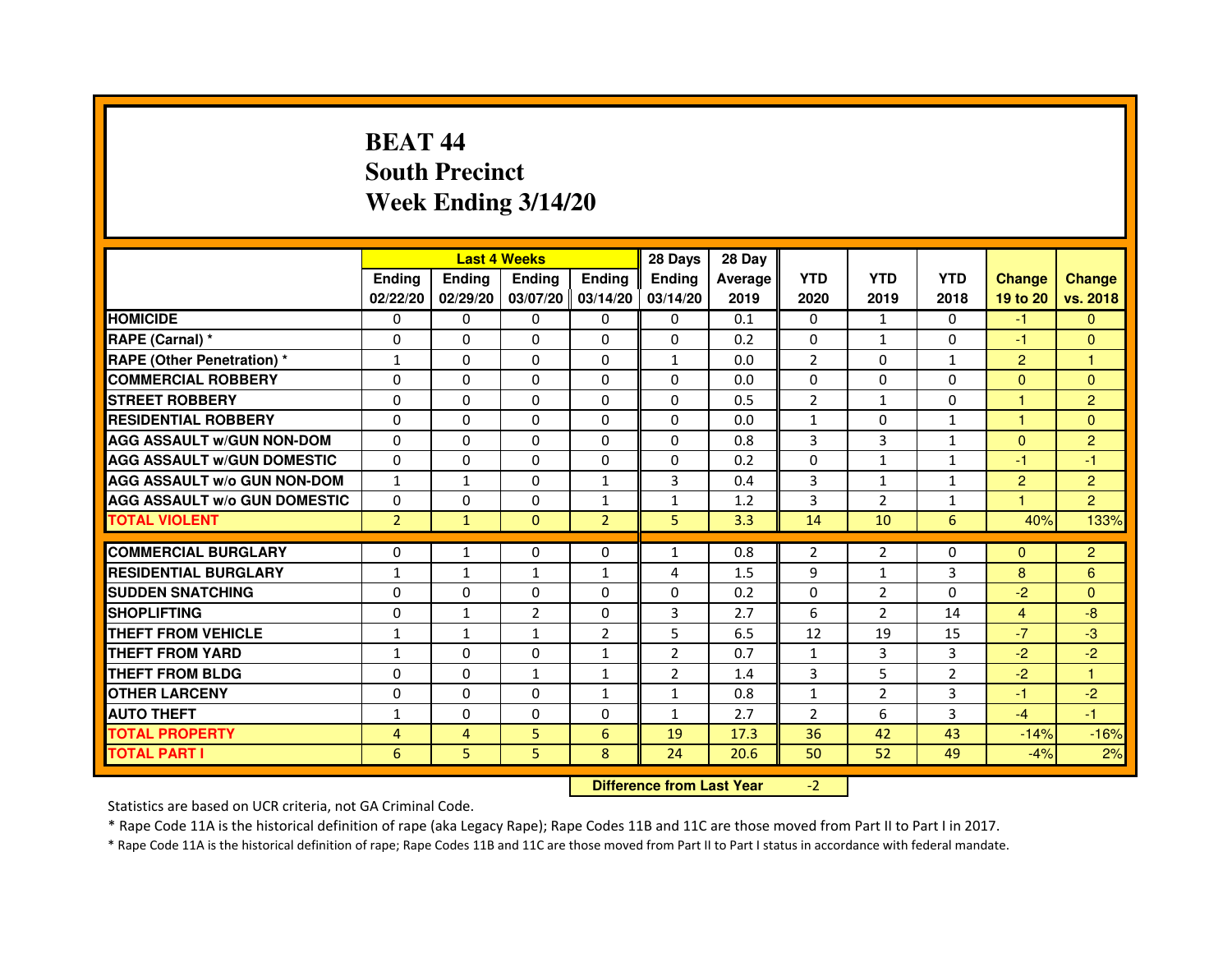# **BEAT 44 South PrecinctWeek Ending 3/14/20**

|                                     |                |               | <b>Last 4 Weeks</b> |                     | 28 Days        | 28 Day         |                |                |                |                      |                |
|-------------------------------------|----------------|---------------|---------------------|---------------------|----------------|----------------|----------------|----------------|----------------|----------------------|----------------|
|                                     | <b>Endina</b>  | <b>Ending</b> | <b>Endina</b>       | <b>Ending</b>       | <b>Endina</b>  | <b>Average</b> | <b>YTD</b>     | <b>YTD</b>     | <b>YTD</b>     | <b>Change</b>        | <b>Change</b>  |
|                                     | 02/22/20       | 02/29/20      |                     | $03/07/20$ 03/14/20 | 03/14/20       | 2019           | 2020           | 2019           | 2018           | 19 to 20             | vs. 2018       |
| <b>HOMICIDE</b>                     | 0              | 0             | 0                   | 0                   | 0              | 0.1            | 0              | $\mathbf{1}$   | 0              | $-1$                 | $\Omega$       |
| RAPE (Carnal) *                     | $\Omega$       | $\Omega$      | $\Omega$            | $\Omega$            | $\Omega$       | 0.2            | $\Omega$       | $\mathbf{1}$   | $\Omega$       | $-1$                 | $\mathbf{0}$   |
| <b>RAPE (Other Penetration) *</b>   | $\mathbf{1}$   | $\Omega$      | $\Omega$            | $\Omega$            | $\mathbf{1}$   | 0.0            | $\overline{2}$ | $\Omega$       | $\mathbf{1}$   | $\overline{2}$       | 1              |
| <b>COMMERCIAL ROBBERY</b>           | 0              | 0             | $\Omega$            | $\Omega$            | $\Omega$       | 0.0            | $\Omega$       | 0              | $\Omega$       | $\Omega$             | $\Omega$       |
| <b>STREET ROBBERY</b>               | $\Omega$       | 0             | 0                   | $\Omega$            | 0              | 0.5            | $\overline{2}$ | $\mathbf{1}$   | $\Omega$       | $\overline{1}$       | $\overline{2}$ |
| <b>RESIDENTIAL ROBBERY</b>          | $\Omega$       | $\Omega$      | 0                   | $\Omega$            | 0              | 0.0            | $\mathbf{1}$   | $\Omega$       | $\mathbf{1}$   | $\blacktriangleleft$ | $\mathbf{0}$   |
| <b>AGG ASSAULT w/GUN NON-DOM</b>    | $\Omega$       | $\mathbf 0$   | $\Omega$            | $\Omega$            | $\Omega$       | 0.8            | 3              | 3              | $\mathbf{1}$   | $\Omega$             | $\overline{2}$ |
| <b>AGG ASSAULT W/GUN DOMESTIC</b>   | $\Omega$       | 0             | 0                   | $\mathbf{0}$        | 0              | 0.2            | $\Omega$       | $\mathbf{1}$   | $\mathbf{1}$   | $-1$                 | $-1$           |
| <b>AGG ASSAULT W/o GUN NON-DOM</b>  | $\mathbf{1}$   | $\mathbf{1}$  | $\Omega$            | $\mathbf{1}$        | 3              | 0.4            | 3              | $\mathbf{1}$   | $\mathbf{1}$   | $\overline{2}$       | $\overline{2}$ |
| <b>AGG ASSAULT W/o GUN DOMESTIC</b> | $\Omega$       | $\Omega$      | 0                   | $\mathbf{1}$        | 1              | 1.2            | 3              | $\overline{2}$ | 1              |                      | $\overline{2}$ |
| <b>TOTAL VIOLENT</b>                | $\overline{2}$ | $\mathbf{1}$  | $\Omega$            | $\overline{2}$      | 5              | 3.3            | 14             | 10             | 6              | 40%                  | 133%           |
|                                     |                |               |                     |                     |                |                |                |                |                |                      |                |
| <b>COMMERCIAL BURGLARY</b>          | $\Omega$       | 1             | 0                   | 0                   | $\mathbf{1}$   | 0.8            | $\overline{2}$ | 2              | $\Omega$       | $\Omega$             | $\overline{c}$ |
| <b>RESIDENTIAL BURGLARY</b>         | $\mathbf{1}$   | 1             | 1                   | 1                   | 4              | 1.5            | 9              | 1              | 3              | 8                    | 6              |
| <b>SUDDEN SNATCHING</b>             | 0              | 0             | 0                   | $\Omega$            | $\Omega$       | 0.2            | $\Omega$       | 2              | $\Omega$       | $-2$                 | $\Omega$       |
| <b>SHOPLIFTING</b>                  | 0              | 1             | $\overline{2}$      | $\Omega$            | 3              | 2.7            | 6              | $\overline{2}$ | 14             | $\overline{4}$       | $-8$           |
| <b>THEFT FROM VEHICLE</b>           | 1              | 1             | $\mathbf{1}$        | $\overline{2}$      | 5              | 6.5            | 12             | 19             | 15             | $-7$                 | $-3$           |
| <b>THEFT FROM YARD</b>              | $\mathbf{1}$   | 0             | $\Omega$            | $\mathbf{1}$        | $\overline{2}$ | 0.7            | $\mathbf{1}$   | 3              | 3              | $-2$                 | $-2$           |
| <b>THEFT FROM BLDG</b>              | 0              | 0             | 1                   | 1                   | $\overline{2}$ | 1.4            | 3              | 5              | $\overline{2}$ | $-2$                 | 1              |
| <b>OTHER LARCENY</b>                | $\Omega$       | $\Omega$      | 0                   | $\mathbf{1}$        | $\mathbf{1}$   | 0.8            | $\mathbf{1}$   | $\overline{2}$ | 3              | $-1$                 | $-2$           |
| <b>AUTO THEFT</b>                   | 1              | 0             | $\mathbf 0$         | $\Omega$            | $\mathbf{1}$   | 2.7            | $\overline{2}$ | 6              | 3              | $-4$                 | $-1$           |
| <b>TOTAL PROPERTY</b>               | 4              | 4             | 5                   | 6                   | 19             | 17.3           | 36             | 42             | 43             | $-14%$               | $-16%$         |
| <b>TOTAL PART I</b>                 | 6              | 5             | 5                   | 8                   | 24             | 20.6           | 50             | 52             | 49             | $-4%$                | 2%             |

 **Difference from Last Year**

-2

Statistics are based on UCR criteria, not GA Criminal Code.

\* Rape Code 11A is the historical definition of rape (aka Legacy Rape); Rape Codes 11B and 11C are those moved from Part II to Part I in 2017.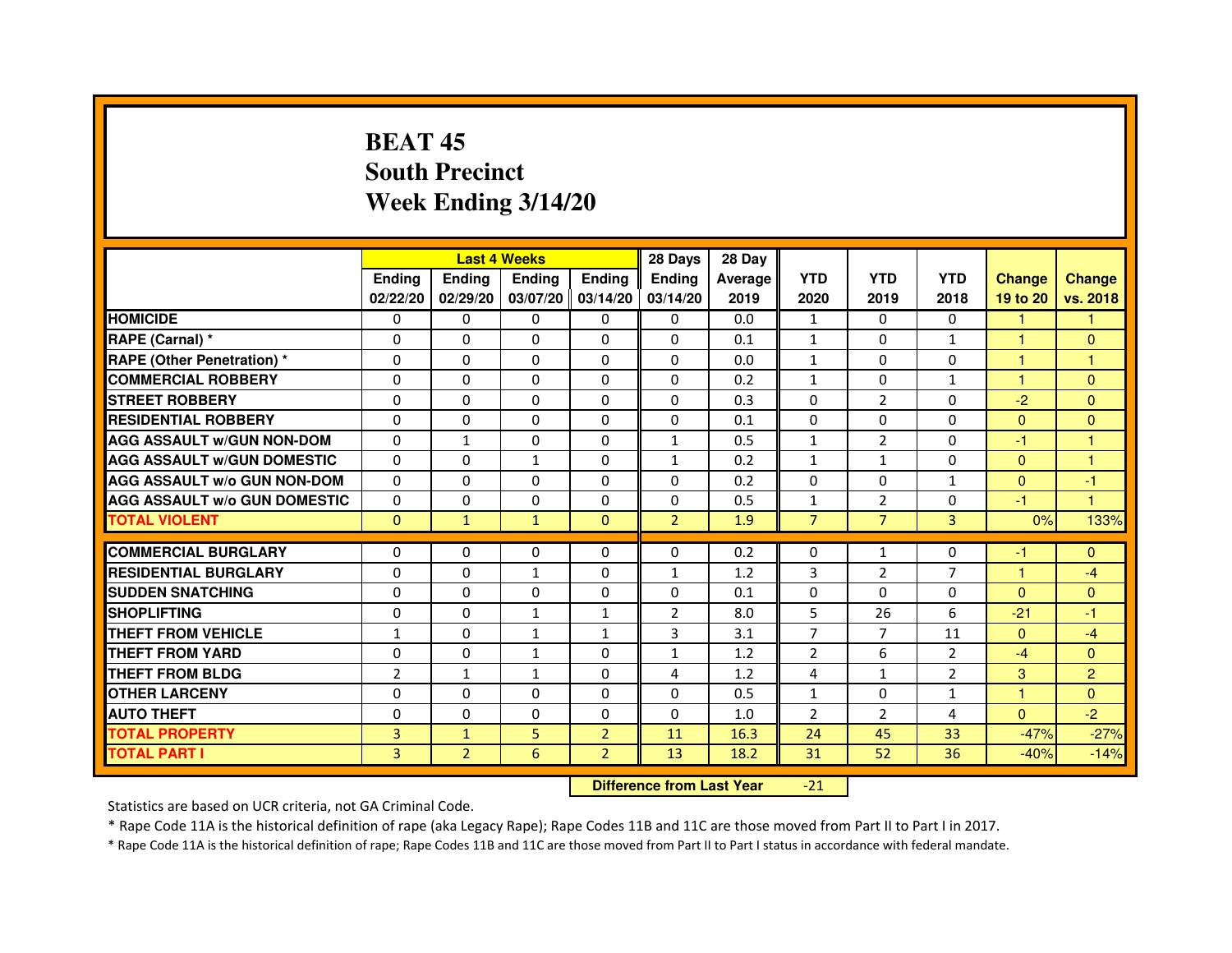# **BEAT 45 South PrecinctWeek Ending 3/14/20**

|                                     |                |                | <b>Last 4 Weeks</b> |                     | 28 Days        | 28 Day  |                |                |                |               |                |
|-------------------------------------|----------------|----------------|---------------------|---------------------|----------------|---------|----------------|----------------|----------------|---------------|----------------|
|                                     | <b>Endina</b>  | Ending         | <b>Endina</b>       | <b>Endina</b>       | <b>Endina</b>  | Average | <b>YTD</b>     | <b>YTD</b>     | <b>YTD</b>     | <b>Change</b> | <b>Change</b>  |
|                                     | 02/22/20       | 02/29/20       |                     | $03/07/20$ 03/14/20 | 03/14/20       | 2019    | 2020           | 2019           | 2018           | 19 to 20      | vs. 2018       |
| <b>HOMICIDE</b>                     | 0              | 0              | 0                   | 0                   | 0              | 0.0     | $\mathbf{1}$   | 0              | 0              | 1.            | 1              |
| RAPE (Carnal) *                     | $\Omega$       | $\Omega$       | $\Omega$            | $\Omega$            | $\Omega$       | 0.1     | $\mathbf{1}$   | $\Omega$       | $\mathbf{1}$   | $\mathbf{1}$  | $\Omega$       |
| <b>RAPE (Other Penetration)*</b>    | 0              | 0              | $\Omega$            | $\Omega$            | $\Omega$       | 0.0     | $\mathbf{1}$   | $\Omega$       | $\Omega$       | $\mathbf{1}$  | 1              |
| <b>COMMERCIAL ROBBERY</b>           | 0              | 0              | 0                   | 0                   | $\Omega$       | 0.2     | $\mathbf{1}$   | $\Omega$       | 1              | 1             | $\Omega$       |
| <b>STREET ROBBERY</b>               | 0              | $\Omega$       | 0                   | $\Omega$            | 0              | 0.3     | 0              | 2              | $\Omega$       | $-2$          | $\Omega$       |
| <b>RESIDENTIAL ROBBERY</b>          | 0              | $\Omega$       | 0                   | $\Omega$            | 0              | 0.1     | 0              | $\Omega$       | $\Omega$       | $\Omega$      | $\Omega$       |
| <b>AGG ASSAULT W/GUN NON-DOM</b>    | $\Omega$       | $\mathbf{1}$   | $\Omega$            | $\Omega$            | $\mathbf{1}$   | 0.5     | $\mathbf{1}$   | $\overline{2}$ | $\Omega$       | $-1$          | 1              |
| <b>AGG ASSAULT W/GUN DOMESTIC</b>   | $\Omega$       | $\Omega$       | $\mathbf{1}$        | 0                   | $\mathbf{1}$   | 0.2     | $\mathbf{1}$   | $\mathbf{1}$   | $\Omega$       | $\Omega$      | 1              |
| <b>AGG ASSAULT W/o GUN NON-DOM</b>  | $\Omega$       | 0              | $\Omega$            | 0                   | $\Omega$       | 0.2     | $\Omega$       | $\Omega$       | 1              | $\Omega$      | $-1$           |
| <b>AGG ASSAULT W/o GUN DOMESTIC</b> | $\Omega$       | 0              | 0                   | $\Omega$            | $\Omega$       | 0.5     | $\mathbf{1}$   | 2              | $\Omega$       | $-1$          | 1              |
| <b>TOTAL VIOLENT</b>                | $\Omega$       | $\mathbf{1}$   | $\mathbf{1}$        | $\mathbf{0}$        | $\overline{2}$ | 1.9     | $\overline{7}$ | $\overline{7}$ | $\overline{3}$ | 0%            | 133%           |
|                                     |                |                |                     |                     |                |         |                |                |                |               |                |
| <b>COMMERCIAL BURGLARY</b>          | 0              | 0              | $\Omega$            | 0                   | $\Omega$       | 0.2     | $\Omega$       | $\mathbf{1}$   | $\Omega$       | $-1$          | $\Omega$       |
| <b>RESIDENTIAL BURGLARY</b>         | 0              | 0              | $\mathbf{1}$        | $\Omega$            | $\mathbf{1}$   | 1.2     | 3              | 2              | 7              | $\mathbf{1}$  | $-4$           |
| <b>SUDDEN SNATCHING</b>             | 0              | 0              | $\Omega$            | $\Omega$            | $\Omega$       | 0.1     | $\Omega$       | $\Omega$       | $\Omega$       | $\Omega$      | $\Omega$       |
| <b>SHOPLIFTING</b>                  | $\mathbf 0$    | 0              | $\mathbf{1}$        | $\mathbf{1}$        | $\overline{2}$ | 8.0     | 5              | 26             | 6              | $-21$         | $-1$           |
| <b>THEFT FROM VEHICLE</b>           | $\mathbf{1}$   | $\Omega$       | $\mathbf{1}$        | $\mathbf{1}$        | 3              | 3.1     | $\overline{7}$ | $\overline{7}$ | 11             | $\Omega$      | $-4$           |
| <b>THEFT FROM YARD</b>              | 0              | 0              | $\mathbf{1}$        | $\Omega$            | $\mathbf{1}$   | 1.2     | $\overline{2}$ | 6              | $\overline{2}$ | $-4$          | $\Omega$       |
| <b>THEFT FROM BLDG</b>              | $\overline{2}$ | 1              | 1                   | 0                   | 4              | 1.2     | 4              | $\mathbf{1}$   | $\overline{2}$ | 3             | $\overline{2}$ |
| <b>OTHER LARCENY</b>                | 0              | $\Omega$       | 0                   | 0                   | $\Omega$       | 0.5     | $\mathbf{1}$   | $\Omega$       | $\mathbf{1}$   | 1             | $\Omega$       |
| <b>AUTO THEFT</b>                   | $\mathbf 0$    | 0              | $\mathbf 0$         | $\Omega$            | $\Omega$       | 1.0     | $\overline{2}$ | $\overline{2}$ | $\overline{4}$ | $\Omega$      | $-2$           |
| <b>TOTAL PROPERTY</b>               | 3              | $\mathbf{1}$   | 5                   | $\overline{2}$      | 11             | 16.3    | 24             | 45             | 33             | $-47%$        | $-27%$         |
| <b>TOTAL PART I</b>                 | 3              | $\overline{2}$ | 6                   | $\overline{2}$      | 13             | 18.2    | 31             | 52             | 36             | $-40%$        | $-14%$         |

 **Difference from Last Year**-21

Statistics are based on UCR criteria, not GA Criminal Code.

\* Rape Code 11A is the historical definition of rape (aka Legacy Rape); Rape Codes 11B and 11C are those moved from Part II to Part I in 2017.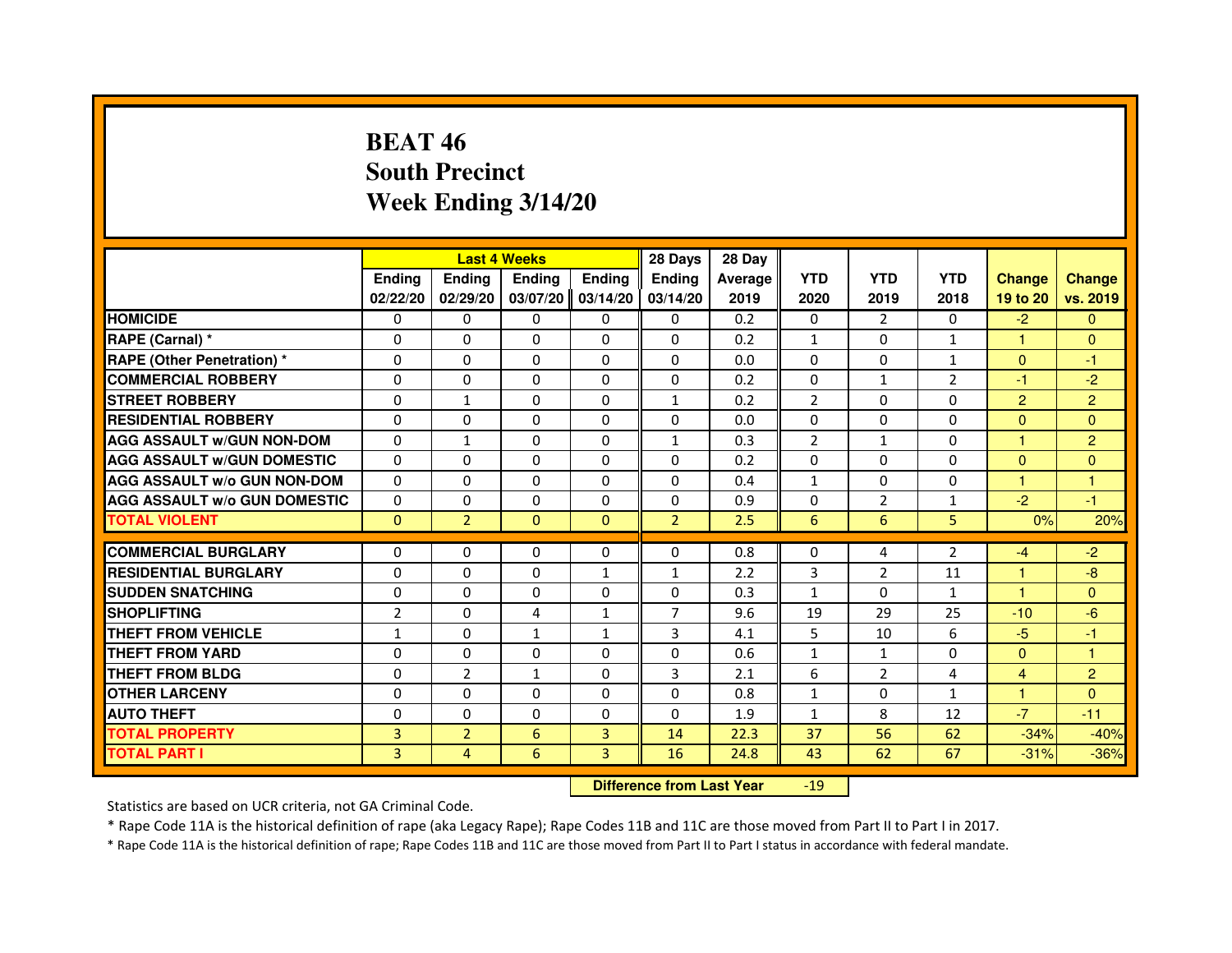# **BEAT 46 South PrecinctWeek Ending 3/14/20**

|                                     |                |                | <b>Last 4 Weeks</b> |               | 28 Days        | 28 Day  |                |                |                |                      |                |
|-------------------------------------|----------------|----------------|---------------------|---------------|----------------|---------|----------------|----------------|----------------|----------------------|----------------|
|                                     | <b>Ending</b>  | Ending         | <b>Ending</b>       | <b>Ending</b> | <b>Ending</b>  | Average | <b>YTD</b>     | <b>YTD</b>     | <b>YTD</b>     | <b>Change</b>        | <b>Change</b>  |
|                                     | 02/22/20       | 02/29/20       | 03/07/20            | 03/14/20      | 03/14/20       | 2019    | 2020           | 2019           | 2018           | 19 to 20             | vs. 2019       |
| <b>HOMICIDE</b>                     | 0              | $\mathbf{0}$   | 0                   | 0             | $\mathbf{0}$   | 0.2     | 0              | $\overline{2}$ | $\mathbf{0}$   | $-2$                 | $\mathbf{0}$   |
| RAPE (Carnal) *                     | $\Omega$       | $\Omega$       | $\Omega$            | $\Omega$      | $\Omega$       | 0.2     | $\mathbf{1}$   | $\Omega$       | $\mathbf{1}$   | $\mathbf{1}$         | $\mathbf{0}$   |
| <b>RAPE (Other Penetration)*</b>    | 0              | $\mathbf{0}$   | 0                   | $\Omega$      | 0              | 0.0     | $\Omega$       | $\mathbf{0}$   | $\mathbf{1}$   | $\mathbf{0}$         | -1             |
| <b>COMMERCIAL ROBBERY</b>           | 0              | 0              | $\Omega$            | $\Omega$      | $\Omega$       | 0.2     | $\Omega$       | $\mathbf{1}$   | $\overline{2}$ | -1                   | $-2$           |
| <b>STREET ROBBERY</b>               | $\Omega$       | $\mathbf{1}$   | $\Omega$            | $\Omega$      | $\mathbf{1}$   | 0.2     | $\overline{2}$ | $\Omega$       | 0              | $\overline{2}$       | $\overline{2}$ |
| <b>RESIDENTIAL ROBBERY</b>          | $\Omega$       | $\Omega$       | $\Omega$            | $\Omega$      | $\Omega$       | 0.0     | $\Omega$       | $\Omega$       | 0              | $\Omega$             | $\mathbf{0}$   |
| <b>AGG ASSAULT W/GUN NON-DOM</b>    | $\Omega$       | $\mathbf{1}$   | $\Omega$            | $\Omega$      | $\mathbf{1}$   | 0.3     | $\overline{2}$ | $\mathbf{1}$   | $\Omega$       | $\blacktriangleleft$ | $\overline{2}$ |
| <b>AGG ASSAULT W/GUN DOMESTIC</b>   | $\Omega$       | $\Omega$       | $\Omega$            | $\Omega$      | $\Omega$       | 0.2     | $\Omega$       | $\Omega$       | $\Omega$       | $\Omega$             | $\Omega$       |
| <b>AGG ASSAULT W/o GUN NON-DOM</b>  | $\Omega$       | $\Omega$       | $\Omega$            | $\Omega$      | $\Omega$       | 0.4     | $\mathbf{1}$   | 0              | 0              | 1                    | 1              |
| <b>AGG ASSAULT W/o GUN DOMESTIC</b> | $\Omega$       | 0              | $\Omega$            | $\Omega$      | $\Omega$       | 0.9     | $\Omega$       | 2              | $\mathbf{1}$   | $-2$                 | $-1$           |
| <b>TOTAL VIOLENT</b>                | $\mathbf{0}$   | $\overline{2}$ | $\mathbf{0}$        | $\mathbf{0}$  | $\overline{2}$ | 2.5     | 6              | 6              | 5              | 0%                   | 20%            |
|                                     |                |                |                     |               |                |         |                |                |                |                      |                |
| <b>COMMERCIAL BURGLARY</b>          | 0              | 0              | 0                   | 0             | $\Omega$       | 0.8     | 0              | 4              | $\overline{2}$ | -4                   | $-2$           |
| <b>RESIDENTIAL BURGLARY</b>         | $\Omega$       | $\Omega$       | $\Omega$            | $\mathbf{1}$  | $\mathbf{1}$   | 2.2     | 3              | 2              | 11             | 1                    | $-8$           |
| <b>SUDDEN SNATCHING</b>             | 0              | 0              | 0                   | 0             | 0              | 0.3     | $\mathbf{1}$   | $\Omega$       | $\mathbf{1}$   | $\blacktriangleleft$ | $\Omega$       |
| <b>SHOPLIFTING</b>                  | $\overline{2}$ | $\Omega$       | 4                   | $\mathbf{1}$  | $\overline{7}$ | 9.6     | 19             | 29             | 25             | $-10$                | $-6$           |
| <b>THEFT FROM VEHICLE</b>           | $\mathbf{1}$   | $\Omega$       | $\mathbf{1}$        | $\mathbf{1}$  | 3              | 4.1     | 5              | 10             | 6              | $-5$                 | $-1$           |
| <b>THEFT FROM YARD</b>              | 0              | 0              | $\Omega$            | 0             | $\Omega$       | 0.6     | $\mathbf{1}$   | $\mathbf{1}$   | $\Omega$       | $\Omega$             | 1              |
| THEFT FROM BLDG                     | $\Omega$       | $\overline{2}$ | $\mathbf{1}$        | $\Omega$      | 3              | 2.1     | 6              | 2              | 4              | 4                    | $\overline{2}$ |
| <b>OTHER LARCENY</b>                | $\Omega$       | $\Omega$       | $\Omega$            | $\Omega$      | $\Omega$       | 0.8     | $\mathbf{1}$   | $\Omega$       | $\mathbf{1}$   | $\blacktriangleleft$ | $\mathbf{0}$   |
| <b>AUTO THEFT</b>                   | $\Omega$       | $\Omega$       | $\Omega$            | $\Omega$      | $\Omega$       | 1.9     | $\mathbf{1}$   | 8              | 12             | $-7$                 | $-11$          |
| <b>TOTAL PROPERTY</b>               | 3              | $\overline{2}$ | 6                   | 3             | 14             | 22.3    | 37             | 56             | 62             | $-34%$               | $-40%$         |
| TOTAL PART I                        | 3              | 4              | 6                   | 3             | 16             | 24.8    | 43             | 62             | 67             | $-31%$               | $-36%$         |

 **Difference from Last Year**-19

Statistics are based on UCR criteria, not GA Criminal Code.

\* Rape Code 11A is the historical definition of rape (aka Legacy Rape); Rape Codes 11B and 11C are those moved from Part II to Part I in 2017.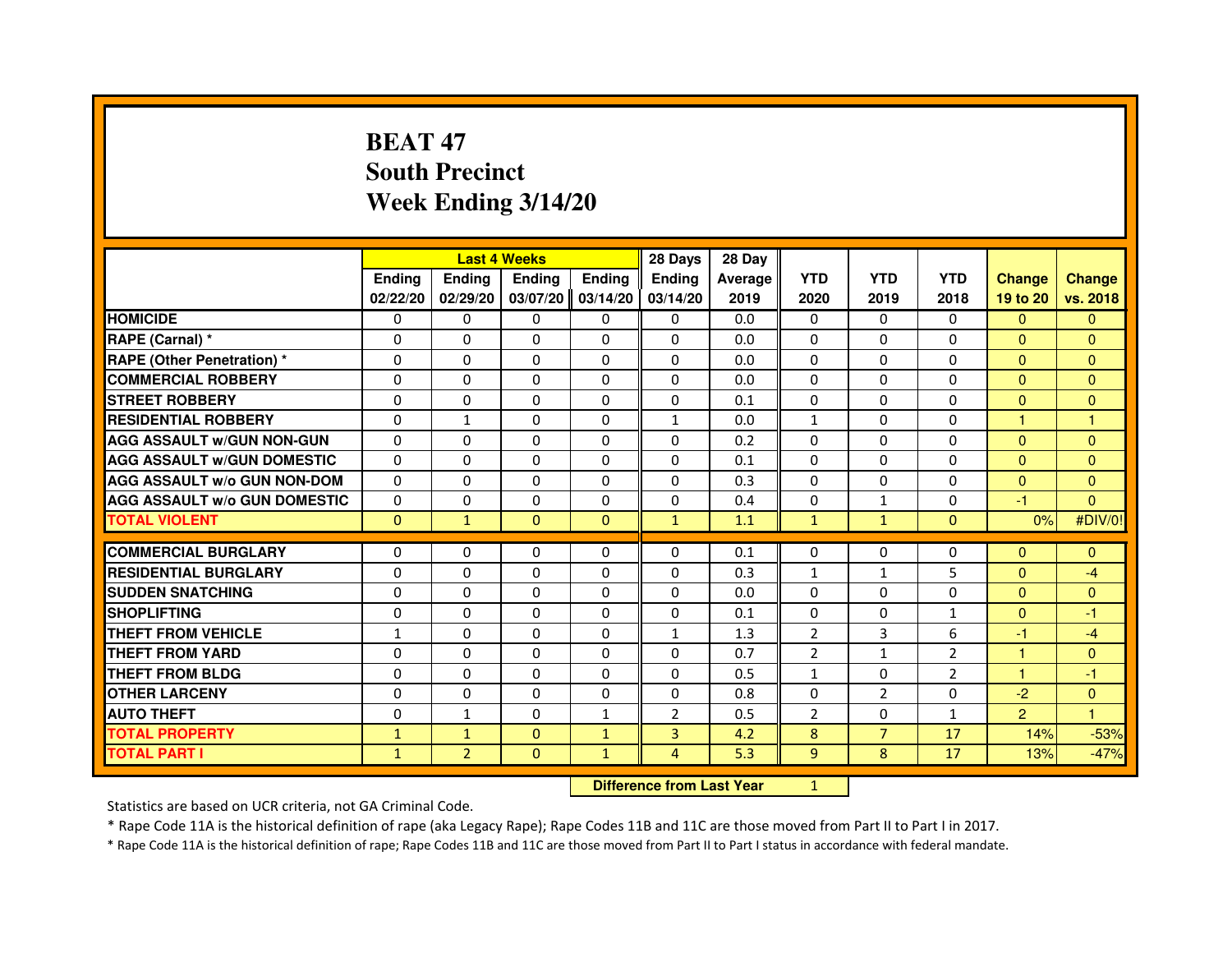# **BEAT 47 South PrecinctWeek Ending 3/14/20**

|                                     |               |                                  | <b>Last 4 Weeks</b> |               | 28 Days        | 28 Day  |                |                |                |                |                |
|-------------------------------------|---------------|----------------------------------|---------------------|---------------|----------------|---------|----------------|----------------|----------------|----------------|----------------|
|                                     | <b>Ending</b> | Ending                           | <b>Ending</b>       | <b>Ending</b> | Ending         | Average | <b>YTD</b>     | <b>YTD</b>     | <b>YTD</b>     | <b>Change</b>  | <b>Change</b>  |
|                                     | 02/22/20      | 02/29/20                         | 03/07/20            | 03/14/20      | 03/14/20       | 2019    | 2020           | 2019           | 2018           | 19 to 20       | vs. 2018       |
| <b>HOMICIDE</b>                     | 0             | $\Omega$                         | 0                   | 0             | $\mathbf{0}$   | 0.0     | $\mathbf{0}$   | $\Omega$       | $\Omega$       | $\mathbf{0}$   | $\mathbf{0}$   |
| RAPE (Carnal) *                     | 0             | 0                                | 0                   | 0             | 0              | 0.0     | 0              | 0              | 0              | $\Omega$       | $\mathbf{0}$   |
| RAPE (Other Penetration) *          | $\Omega$      | 0                                | $\Omega$            | $\Omega$      | $\Omega$       | 0.0     | $\Omega$       | $\Omega$       | $\Omega$       | $\Omega$       | $\overline{0}$ |
| <b>COMMERCIAL ROBBERY</b>           | 0             | $\Omega$                         | $\Omega$            | $\Omega$      | $\Omega$       | 0.0     | $\Omega$       | $\Omega$       | $\Omega$       | $\Omega$       | $\mathbf{0}$   |
| <b>STREET ROBBERY</b>               | $\Omega$      | $\Omega$                         | $\Omega$            | $\Omega$      | $\Omega$       | 0.1     | $\Omega$       | $\Omega$       | $\Omega$       | $\Omega$       | $\mathbf{0}$   |
| <b>RESIDENTIAL ROBBERY</b>          | 0             | $\mathbf{1}$                     | 0                   | 0             | $\mathbf{1}$   | 0.0     | $\mathbf{1}$   | 0              | 0              | $\mathbf{1}$   | $\mathbf{1}$   |
| <b>AGG ASSAULT w/GUN NON-GUN</b>    | $\Omega$      | $\Omega$                         | $\Omega$            | $\Omega$      | $\Omega$       | 0.2     | $\Omega$       | $\Omega$       | 0              | $\Omega$       | $\Omega$       |
| <b>AGG ASSAULT W/GUN DOMESTIC</b>   | $\Omega$      | $\Omega$                         | $\Omega$            | $\Omega$      | $\Omega$       | 0.1     | $\Omega$       | $\Omega$       | $\Omega$       | $\Omega$       | $\Omega$       |
| <b>AGG ASSAULT W/o GUN NON-DOM</b>  | $\Omega$      | $\Omega$                         | $\Omega$            | $\Omega$      | $\Omega$       | 0.3     | $\Omega$       | $\Omega$       | $\Omega$       | $\Omega$       | $\mathbf{0}$   |
| <b>AGG ASSAULT w/o GUN DOMESTIC</b> | $\Omega$      | $\Omega$                         | $\Omega$            | $\Omega$      | $\Omega$       | 0.4     | $\Omega$       | $\mathbf{1}$   | $\Omega$       | -1             | $\Omega$       |
| <b>TOTAL VIOLENT</b>                | $\mathbf{0}$  | $\mathbf{1}$                     | $\mathbf{0}$        | $\mathbf{0}$  | $\mathbf{1}$   | 1.1     | $\mathbf{1}$   | $\mathbf{1}$   | $\mathbf{0}$   | 0%             | #DIV/0!        |
| <b>COMMERCIAL BURGLARY</b>          | 0             | 0                                | 0                   | 0             | 0              | 0.1     | 0              | 0              | 0              | $\mathbf{0}$   | $\mathbf{0}$   |
| <b>RESIDENTIAL BURGLARY</b>         | 0             | $\Omega$                         | $\Omega$            | $\Omega$      | 0              | 0.3     | $\mathbf{1}$   | $\mathbf{1}$   | 5              | $\mathbf{0}$   | $-4$           |
| <b>SUDDEN SNATCHING</b>             | $\Omega$      | $\Omega$                         | $\Omega$            | $\Omega$      | $\Omega$       | 0.0     | $\Omega$       | $\Omega$       | 0              | $\Omega$       | $\overline{0}$ |
| <b>SHOPLIFTING</b>                  | 0             | $\Omega$                         | $\Omega$            | $\Omega$      | $\Omega$       | 0.1     | $\Omega$       | 0              | $\mathbf{1}$   | $\Omega$       | -1             |
| <b>THEFT FROM VEHICLE</b>           | 1             | 0                                | $\Omega$            | $\Omega$      | $\mathbf{1}$   | 1.3     | 2              | 3              | 6              | -1             | $-4$           |
| <b>THEFT FROM YARD</b>              | $\mathbf 0$   | $\Omega$                         | $\Omega$            | $\Omega$      | $\Omega$       | 0.7     | $\overline{2}$ | $\mathbf{1}$   | $\overline{2}$ | $\mathbf{1}$   | $\overline{0}$ |
| <b>THEFT FROM BLDG</b>              | $\Omega$      | $\Omega$                         | $\Omega$            | $\Omega$      | $\Omega$       | 0.5     | $\mathbf{1}$   | $\Omega$       | $\overline{2}$ | $\mathbf{1}$   | $-1$           |
| <b>OTHER LARCENY</b>                | 0             | $\Omega$                         | $\Omega$            | $\Omega$      | $\Omega$       | 0.8     | $\Omega$       | $\overline{2}$ | $\Omega$       | $-2$           | $\overline{0}$ |
| <b>AUTO THEFT</b>                   | $\Omega$      | $\mathbf{1}$                     | $\Omega$            | $\mathbf{1}$  | $\overline{2}$ | 0.5     | $\overline{2}$ | $\Omega$       | $\mathbf{1}$   | $\overline{2}$ | $\mathbf{1}$   |
| <b>TOTAL PROPERTY</b>               | $\mathbf{1}$  | $\mathbf{1}$                     | $\Omega$            | $\mathbf{1}$  | $\overline{3}$ | 4.2     | 8              | $\overline{7}$ | 17             | 14%            | $-53%$         |
| <b>TOTAL PART I</b>                 | $\mathbf{1}$  | $\overline{2}$                   | $\mathbf{0}$        | $\mathbf{1}$  | $\overline{4}$ | 5.3     | 9              | 8              | 17             | 13%            | $-47%$         |
|                                     |               | <b>Difference from Last Year</b> |                     | $\mathbf{1}$  |                |         |                |                |                |                |                |

 **Difference from Last Year**

Statistics are based on UCR criteria, not GA Criminal Code.

\* Rape Code 11A is the historical definition of rape (aka Legacy Rape); Rape Codes 11B and 11C are those moved from Part II to Part I in 2017.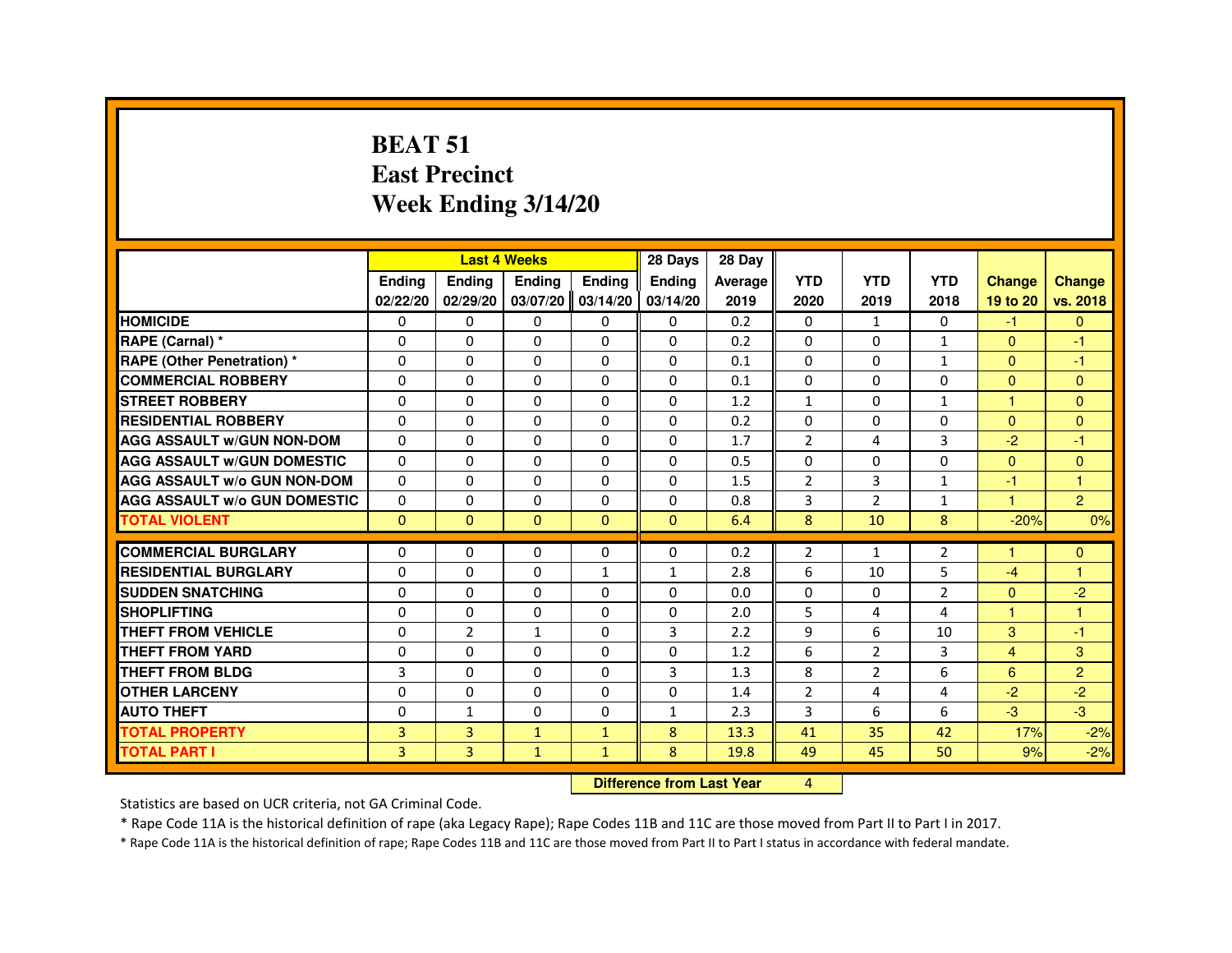#### **BEAT 51 East PrecinctWeek Ending 3/14/20**

|                                     |                |                | <b>Last 4 Weeks</b> |              | 28 Days                          | 28 Day  |                |                |                |                      |                |
|-------------------------------------|----------------|----------------|---------------------|--------------|----------------------------------|---------|----------------|----------------|----------------|----------------------|----------------|
|                                     | Ending         | Ending         | Ending              | Ending       | Ending                           | Average | <b>YTD</b>     | <b>YTD</b>     | <b>YTD</b>     | <b>Change</b>        | <b>Change</b>  |
|                                     | 02/22/20       | 02/29/20       | 03/07/20            | 03/14/20     | 03/14/20                         | 2019    | 2020           | 2019           | 2018           | 19 to 20             | vs. 2018       |
| <b>HOMICIDE</b>                     | 0              | $\Omega$       | 0                   | $\mathbf{0}$ | $\Omega$                         | 0.2     | $\Omega$       | 1              | $\Omega$       | $-1$                 | $\mathbf{0}$   |
| RAPE (Carnal) *                     | 0              | $\Omega$       | $\Omega$            | $\Omega$     | 0                                | 0.2     | 0              | $\Omega$       | $\mathbf{1}$   | $\overline{0}$       | $-1$           |
| <b>RAPE (Other Penetration) *</b>   | 0              | 0              | $\Omega$            | $\Omega$     | $\Omega$                         | 0.1     | $\Omega$       | $\Omega$       | $\mathbf{1}$   | $\Omega$             | -1             |
| <b>COMMERCIAL ROBBERY</b>           | $\Omega$       | $\Omega$       | $\Omega$            | $\Omega$     | $\Omega$                         | 0.1     | $\Omega$       | $\Omega$       | 0              | $\Omega$             | $\overline{0}$ |
| <b>STREET ROBBERY</b>               | $\Omega$       | $\Omega$       | $\Omega$            | $\Omega$     | $\Omega$                         | 1.2     | $\mathbf{1}$   | $\Omega$       | $\mathbf{1}$   | $\mathbf{1}$         | $\Omega$       |
| <b>RESIDENTIAL ROBBERY</b>          | 0              | 0              | 0                   | $\Omega$     | 0                                | 0.2     | 0              | 0              | 0              | $\Omega$             | $\mathbf{0}$   |
| <b>AGG ASSAULT W/GUN NON-DOM</b>    | $\Omega$       | $\Omega$       | $\Omega$            | $\Omega$     | $\Omega$                         | 1.7     | $\overline{2}$ | 4              | 3              | $-2$                 | $-1$           |
| <b>AGG ASSAULT W/GUN DOMESTIC</b>   | $\Omega$       | $\Omega$       | $\Omega$            | $\Omega$     | $\Omega$                         | 0.5     | $\Omega$       | $\Omega$       | $\Omega$       | $\Omega$             | $\Omega$       |
| <b>AGG ASSAULT W/o GUN NON-DOM</b>  | $\Omega$       | $\Omega$       | $\Omega$            | $\Omega$     | $\Omega$                         | 1.5     | $\overline{2}$ | 3              | $\mathbf{1}$   | $-1$                 | $\mathbf{1}$   |
| <b>AGG ASSAULT W/o GUN DOMESTIC</b> | $\Omega$       | $\Omega$       | $\Omega$            | $\Omega$     | $\Omega$                         | 0.8     | 3              | $\overline{2}$ | $\mathbf{1}$   | $\blacktriangleleft$ | $\overline{2}$ |
| <b>TOTAL VIOLENT</b>                | $\mathbf{0}$   | $\mathbf{0}$   | $\mathbf{0}$        | $\mathbf{0}$ | $\mathbf{0}$                     | 6.4     | 8              | 10             | 8              | $-20%$               | 0%             |
| <b>COMMERCIAL BURGLARY</b>          | 0              | 0              | 0                   | $\Omega$     | $\Omega$                         | 0.2     | 2              | $\mathbf{1}$   | 2              | $\mathbf{1}$         | $\mathbf{0}$   |
| <b>RESIDENTIAL BURGLARY</b>         | $\Omega$       | $\Omega$       | $\Omega$            | $\mathbf{1}$ | $\mathbf{1}$                     | 2.8     | 6              | 10             | 5              | $-4$                 | $\overline{1}$ |
| <b>SUDDEN SNATCHING</b>             | $\Omega$       | $\Omega$       | $\Omega$            | $\Omega$     | $\Omega$                         | 0.0     | $\Omega$       | $\Omega$       | $\overline{2}$ | $\Omega$             | $-2$           |
| <b>SHOPLIFTING</b>                  | 0              | 0              | 0                   | 0            | 0                                | 2.0     | 5              | 4              | 4              | $\blacktriangleleft$ | $\overline{1}$ |
| <b>THEFT FROM VEHICLE</b>           | $\Omega$       | $\overline{2}$ | $\mathbf{1}$        | $\Omega$     | $\overline{3}$                   | 2.2     | 9              | 6              | 10             | 3                    | $-1$           |
| <b>THEFT FROM YARD</b>              | $\Omega$       | $\Omega$       | $\Omega$            | $\Omega$     | 0                                | 1.2     | 6              | $\overline{2}$ | 3              | $\overline{4}$       | 3              |
| <b>THEFT FROM BLDG</b>              | 3              | $\Omega$       | $\Omega$            | $\Omega$     | $\overline{3}$                   | 1.3     | 8              | $\overline{2}$ | 6              | 6                    | $\overline{2}$ |
| <b>OTHER LARCENY</b>                | $\Omega$       | $\Omega$       | $\Omega$            | $\Omega$     | $\Omega$                         | 1.4     | $\overline{2}$ | 4              | 4              | $-2$                 | $-2$           |
| <b>AUTO THEFT</b>                   | $\Omega$       | $\mathbf{1}$   | $\Omega$            | $\Omega$     | $\mathbf{1}$                     | 2.3     | 3              | 6              | 6              | $-3$                 | $-3$           |
| <b>TOTAL PROPERTY</b>               | $\overline{3}$ | $\overline{3}$ | $\mathbf{1}$        | $\mathbf{1}$ | 8                                | 13.3    | 41             | 35             | 42             | 17%                  | $-2%$          |
| <b>TOTAL PART I</b>                 | 3              | 3              | $\mathbf{1}$        | $\mathbf{1}$ | 8                                | 19.8    | 49             | 45             | 50             | 9%                   | $-2%$          |
|                                     |                |                |                     |              | <b>Difference from Last Year</b> |         | 4              |                |                |                      |                |

Statistics are based on UCR criteria, not GA Criminal Code.

\* Rape Code 11A is the historical definition of rape (aka Legacy Rape); Rape Codes 11B and 11C are those moved from Part II to Part I in 2017.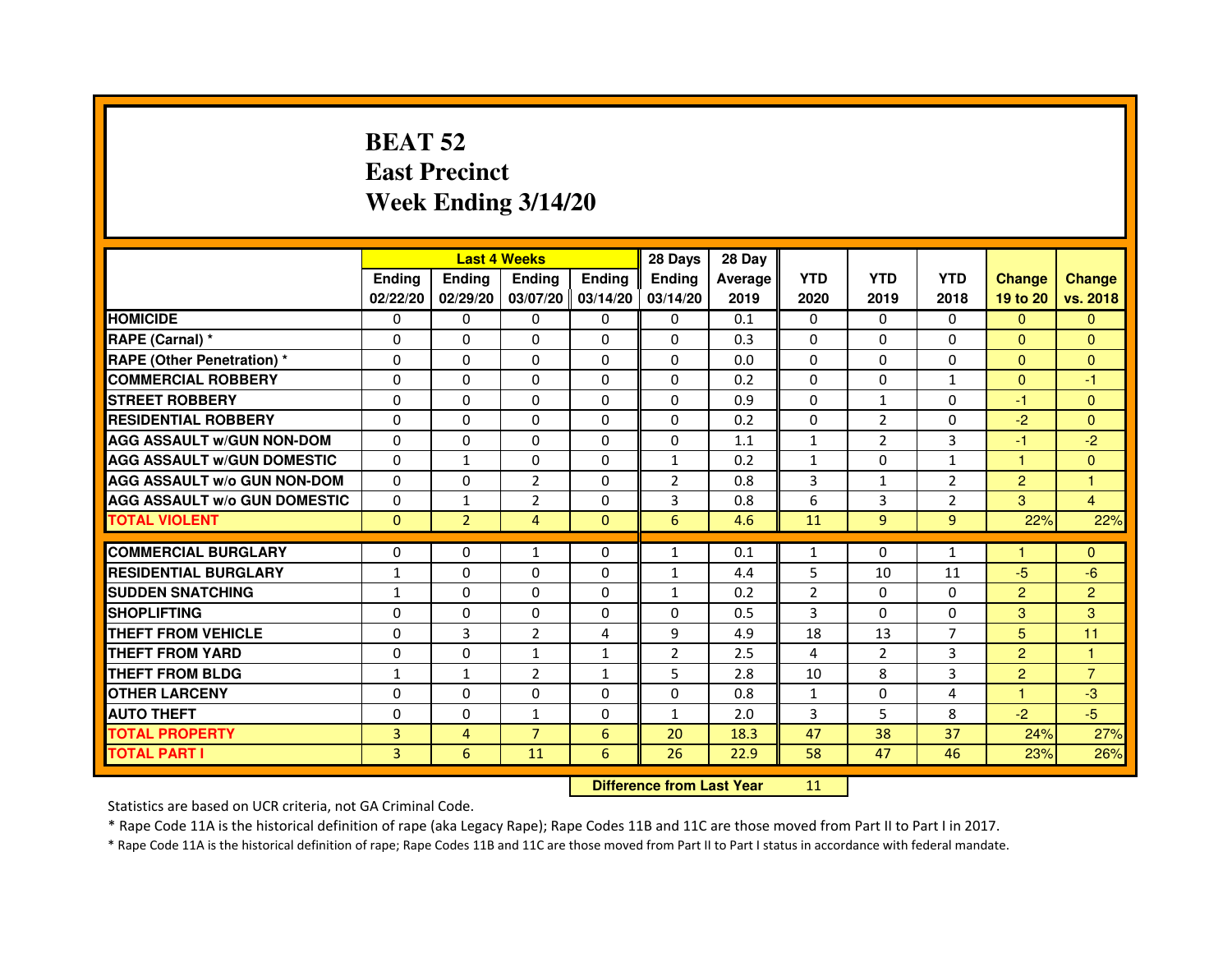# **BEAT 52 East PrecinctWeek Ending 3/14/20**

|                                     |               | <b>Last 4 Weeks</b> |                |                     | 28 Days        | 28 Day  |                |                |                |                |                |
|-------------------------------------|---------------|---------------------|----------------|---------------------|----------------|---------|----------------|----------------|----------------|----------------|----------------|
|                                     | <b>Endina</b> | Ending              | <b>Endina</b>  | <b>Endina</b>       | <b>Endina</b>  | Average | <b>YTD</b>     | <b>YTD</b>     | <b>YTD</b>     | <b>Change</b>  | <b>Change</b>  |
|                                     | 02/22/20      | 02/29/20            |                | $03/07/20$ 03/14/20 | 03/14/20       | 2019    | 2020           | 2019           | 2018           | 19 to 20       | vs. 2018       |
| <b>HOMICIDE</b>                     | 0             | 0                   | 0              | 0                   | 0              | 0.1     | $\mathbf{0}$   | $\Omega$       | $\Omega$       | $\mathbf{0}$   | $\Omega$       |
| RAPE (Carnal) *                     | $\Omega$      | $\Omega$            | $\Omega$       | $\Omega$            | $\Omega$       | 0.3     | $\Omega$       | $\Omega$       | $\Omega$       | $\Omega$       | $\Omega$       |
| <b>RAPE (Other Penetration) *</b>   | 0             | $\Omega$            | $\Omega$       | $\Omega$            | $\Omega$       | 0.0     | $\Omega$       | $\Omega$       | $\Omega$       | $\Omega$       | $\Omega$       |
| <b>COMMERCIAL ROBBERY</b>           | 0             | 0                   | $\Omega$       | 0                   | $\Omega$       | 0.2     | $\Omega$       | $\Omega$       | 1              | $\Omega$       | $-1$           |
| <b>STREET ROBBERY</b>               | 0             | $\Omega$            | 0              | $\Omega$            | 0              | 0.9     | $\Omega$       | $\mathbf{1}$   | $\Omega$       | $-1$           | $\Omega$       |
| <b>RESIDENTIAL ROBBERY</b>          | 0             | $\Omega$            | 0              | $\Omega$            | 0              | 0.2     | 0              | 2              | $\Omega$       | $-2$           | $\Omega$       |
| <b>AGG ASSAULT W/GUN NON-DOM</b>    | $\Omega$      | $\mathbf 0$         | $\Omega$       | $\Omega$            | $\Omega$       | 1.1     | $\mathbf{1}$   | $\overline{2}$ | 3              | $-1$           | $-2$           |
| <b>AGG ASSAULT W/GUN DOMESTIC</b>   | $\Omega$      | $\mathbf{1}$        | 0              | 0                   | $\mathbf{1}$   | 0.2     | $\mathbf{1}$   | 0              | $\mathbf{1}$   | $\mathbf{1}$   | $\Omega$       |
| <b>AGG ASSAULT W/o GUN NON-DOM</b>  | $\Omega$      | 0                   | $\overline{2}$ | 0                   | $\overline{2}$ | 0.8     | 3              | $\mathbf{1}$   | $\overline{2}$ | $\overline{2}$ | 1              |
| <b>AGG ASSAULT W/o GUN DOMESTIC</b> | $\Omega$      | $\mathbf{1}$        | $\overline{2}$ | $\Omega$            | 3              | 0.8     | 6              | 3              | $\overline{2}$ | 3              | $\overline{4}$ |
| <b>TOTAL VIOLENT</b>                | $\Omega$      | $\overline{2}$      | 4              | $\mathbf{0}$        | 6              | 4.6     | 11             | 9              | 9              | 22%            | 22%            |
|                                     |               |                     |                |                     |                |         |                |                |                |                |                |
| <b>COMMERCIAL BURGLARY</b>          | 0             | 0                   | 1              | 0                   | $\mathbf{1}$   | 0.1     | $\mathbf{1}$   | $\Omega$       | 1              | 1              | $\Omega$       |
| <b>RESIDENTIAL BURGLARY</b>         | 1             | 0                   | 0              | $\Omega$            | 1              | 4.4     | 5              | 10             | 11             | $-5$           | $-6$           |
| <b>SUDDEN SNATCHING</b>             | $\mathbf{1}$  | 0                   | $\Omega$       | $\Omega$            | $\mathbf{1}$   | 0.2     | $\overline{2}$ | $\Omega$       | $\Omega$       | $\overline{2}$ | $\overline{2}$ |
| <b>SHOPLIFTING</b>                  | 0             | 0                   | $\Omega$       | $\Omega$            | 0              | 0.5     | 3              | $\Omega$       | $\Omega$       | 3              | 3              |
| <b>THEFT FROM VEHICLE</b>           | 0             | 3                   | $\overline{2}$ | 4                   | 9              | 4.9     | 18             | 13             | $\overline{7}$ | 5              | 11             |
| <b>THEFT FROM YARD</b>              | 0             | 0                   | $\mathbf{1}$   | $\mathbf{1}$        | $\overline{2}$ | 2.5     | $\overline{4}$ | $\overline{2}$ | 3              | $\overline{2}$ | $\mathbf{1}$   |
| <b>THEFT FROM BLDG</b>              | 1             | 1                   | $\overline{2}$ | 1                   | 5              | 2.8     | 10             | 8              | 3              | 2              | $\overline{7}$ |
| <b>OTHER LARCENY</b>                | 0             | 0                   | 0              | 0                   | $\Omega$       | 0.8     | $\mathbf{1}$   | $\Omega$       | $\overline{a}$ | 1              | -3             |
| <b>AUTO THEFT</b>                   | $\mathbf 0$   | 0                   | $\mathbf{1}$   | $\Omega$            | $\mathbf{1}$   | 2.0     | 3              | 5              | 8              | $-2$           | $-5$           |
| <b>TOTAL PROPERTY</b>               | 3             | 4                   | $\overline{7}$ | 6                   | 20             | 18.3    | 47             | 38             | 37             | 24%            | 27%            |
| <b>TOTAL PART I</b>                 | 3             | 6                   | 11             | 6                   | 26             | 22.9    | 58             | 47             | 46             | 23%            | 26%            |

#### **Difference from Last Year**

<sup>11</sup>

Statistics are based on UCR criteria, not GA Criminal Code.

\* Rape Code 11A is the historical definition of rape (aka Legacy Rape); Rape Codes 11B and 11C are those moved from Part II to Part I in 2017.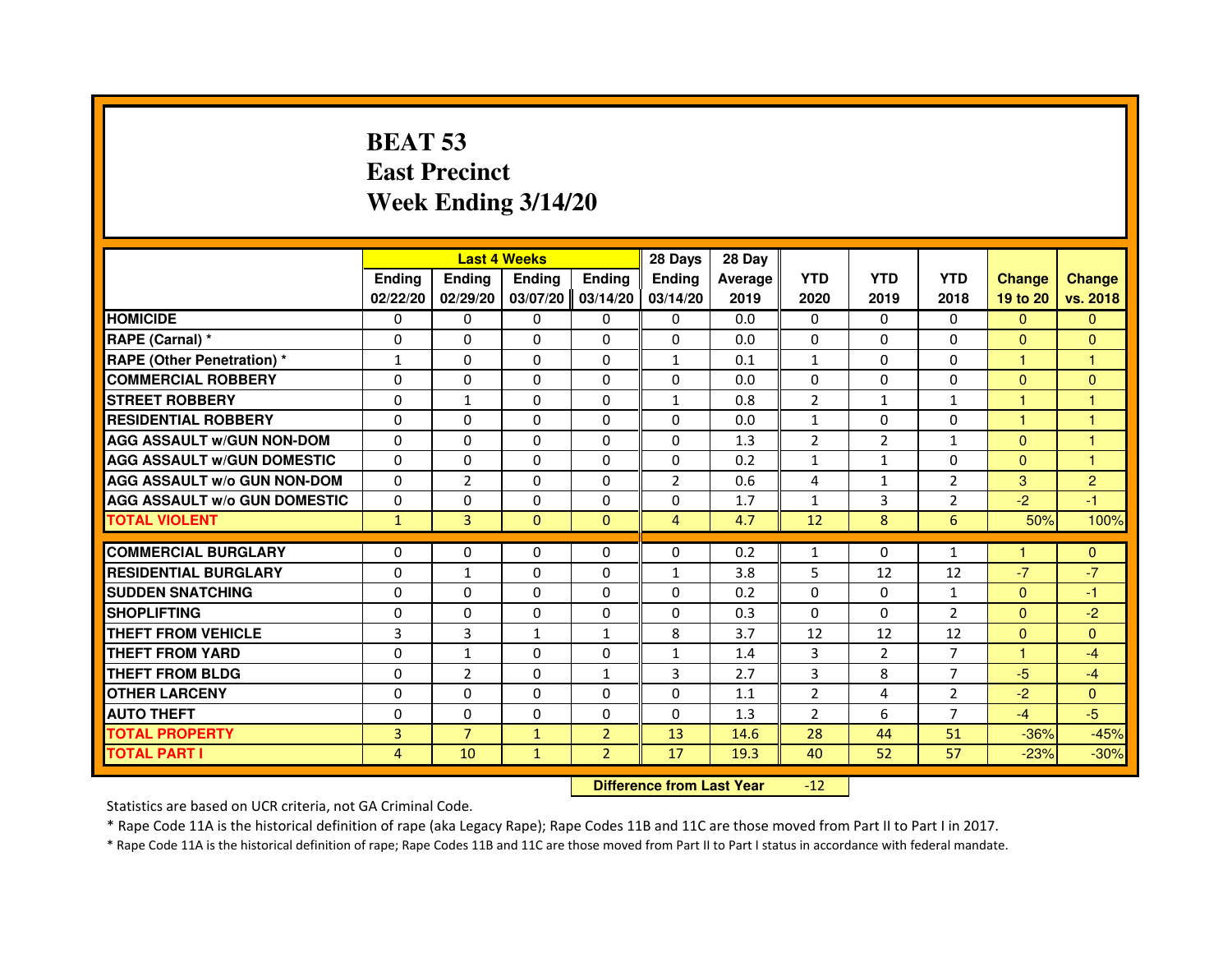# **BEAT 53 East PrecinctWeek Ending 3/14/20**

|                                     |                |                | <b>Last 4 Weeks</b> |                | 28 Days        | 28 Day  |                |                |                |                      |                |
|-------------------------------------|----------------|----------------|---------------------|----------------|----------------|---------|----------------|----------------|----------------|----------------------|----------------|
|                                     | <b>Endina</b>  | <b>Endina</b>  | <b>Endina</b>       | Ending         | <b>Endina</b>  | Average | <b>YTD</b>     | <b>YTD</b>     | <b>YTD</b>     | <b>Change</b>        | <b>Change</b>  |
|                                     | 02/22/20       | 02/29/20       | 03/07/20            | 03/14/20       | 03/14/20       | 2019    | 2020           | 2019           | 2018           | 19 to 20             | vs. 2018       |
| <b>HOMICIDE</b>                     | 0              | 0              | 0                   | 0              | 0              | 0.0     | 0              | 0              | 0              | $\Omega$             | $\mathbf{0}$   |
| RAPE (Carnal) *                     | $\Omega$       | $\Omega$       | $\Omega$            | $\Omega$       | $\Omega$       | 0.0     | $\Omega$       | $\Omega$       | $\Omega$       | $\Omega$             | $\Omega$       |
| <b>RAPE (Other Penetration) *</b>   | $\mathbf{1}$   | $\Omega$       | $\Omega$            | $\Omega$       | $\mathbf{1}$   | 0.1     | $\mathbf{1}$   | $\Omega$       | $\Omega$       | $\mathbf{1}$         | 1              |
| <b>COMMERCIAL ROBBERY</b>           | 0              | 0              | 0                   | 0              | $\mathbf{0}$   | 0.0     | 0              | 0              | 0              | $\Omega$             | $\Omega$       |
| <b>STREET ROBBERY</b>               | $\Omega$       | $\mathbf{1}$   | 0                   | $\Omega$       | 1              | 0.8     | $\overline{2}$ | $\mathbf{1}$   | $\mathbf{1}$   | $\mathbf{1}$         | 1              |
| <b>RESIDENTIAL ROBBERY</b>          | $\Omega$       | $\Omega$       | $\Omega$            | $\Omega$       | $\Omega$       | 0.0     | $\mathbf{1}$   | $\Omega$       | $\Omega$       | $\mathbf{1}$         | $\overline{1}$ |
| <b>AGG ASSAULT w/GUN NON-DOM</b>    | $\Omega$       | $\Omega$       | $\Omega$            | $\Omega$       | $\Omega$       | 1.3     | $\overline{2}$ | $\overline{2}$ | $\mathbf{1}$   | $\Omega$             | 1              |
| <b>AGG ASSAULT W/GUN DOMESTIC</b>   | $\Omega$       | $\Omega$       | $\Omega$            | $\Omega$       | $\Omega$       | 0.2     | $\mathbf{1}$   | $\mathbf{1}$   | $\Omega$       | $\Omega$             | 1              |
| <b>AGG ASSAULT W/o GUN NON-DOM</b>  | 0              | $\overline{2}$ | $\Omega$            | 0              | $\overline{2}$ | 0.6     | 4              | 1              | $\overline{2}$ | 3                    | $\overline{2}$ |
| <b>AGG ASSAULT W/o GUN DOMESTIC</b> | $\Omega$       | 0              | 0                   | $\Omega$       | 0              | 1.7     | $\mathbf{1}$   | 3              | $\overline{2}$ | $-2$                 | $-1$           |
| <b>TOTAL VIOLENT</b>                | $\mathbf{1}$   | 3              | $\Omega$            | $\mathbf{0}$   | $\overline{4}$ | 4.7     | 12             | 8              | 6              | 50%                  | 100%           |
|                                     |                |                |                     |                |                |         |                |                |                |                      |                |
| <b>COMMERCIAL BURGLARY</b>          | 0              | 0              | 0                   | $\mathbf{0}$   | $\mathbf{0}$   | 0.2     | $\mathbf{1}$   | 0              | $\mathbf{1}$   | $\blacktriangleleft$ | $\mathbf{0}$   |
| <b>RESIDENTIAL BURGLARY</b>         | 0              | 1              | 0                   | 0              | 1              | 3.8     | 5              | 12             | 12             | $-7$                 | $-7$           |
| <b>SUDDEN SNATCHING</b>             | $\mathbf 0$    | $\Omega$       | 0                   | $\Omega$       | 0              | 0.2     | 0              | $\Omega$       | $\mathbf{1}$   | $\Omega$             | $-1$           |
| <b>SHOPLIFTING</b>                  | $\Omega$       | $\Omega$       | 0                   | $\Omega$       | $\Omega$       | 0.3     | $\Omega$       | $\Omega$       | $\overline{2}$ | $\Omega$             | $-2$           |
| <b>THEFT FROM VEHICLE</b>           | $\overline{3}$ | 3              | $\mathbf{1}$        | $\mathbf{1}$   | 8              | 3.7     | 12             | 12             | 12             | $\Omega$             | $\Omega$       |
| <b>THEFT FROM YARD</b>              | $\Omega$       | $\mathbf{1}$   | $\Omega$            | $\Omega$       | $\mathbf{1}$   | 1.4     | 3              | $\overline{2}$ | $\overline{7}$ | $\mathbf{1}$         | $-4$           |
| <b>THEFT FROM BLDG</b>              | $\Omega$       | $\overline{2}$ | 0                   | 1              | 3              | 2.7     | 3              | 8              | $\overline{7}$ | $-5$                 | $-4$           |
| <b>OTHER LARCENY</b>                | 0              | 0              | 0                   | 0              | 0              | 1.1     | 2              | 4              | $\overline{2}$ | $-2$                 | $\Omega$       |
| <b>AUTO THEFT</b>                   | $\Omega$       | $\Omega$       | $\Omega$            | $\Omega$       | $\Omega$       | 1.3     | $\overline{2}$ | 6              | $\overline{7}$ | $-4$                 | $-5$           |
| <b>TOTAL PROPERTY</b>               | 3              | $\overline{7}$ | $\mathbf{1}$        | $\overline{2}$ | 13             | 14.6    | 28             | 44             | 51             | $-36%$               | $-45%$         |
| <b>TOTAL PART I</b>                 | $\overline{4}$ | 10             | $\mathbf{1}$        | $\overline{2}$ | 17             | 19.3    | 40             | 52             | 57             | $-23%$               | $-30%$         |

 **Difference from Last Year**-12

Statistics are based on UCR criteria, not GA Criminal Code.

\* Rape Code 11A is the historical definition of rape (aka Legacy Rape); Rape Codes 11B and 11C are those moved from Part II to Part I in 2017.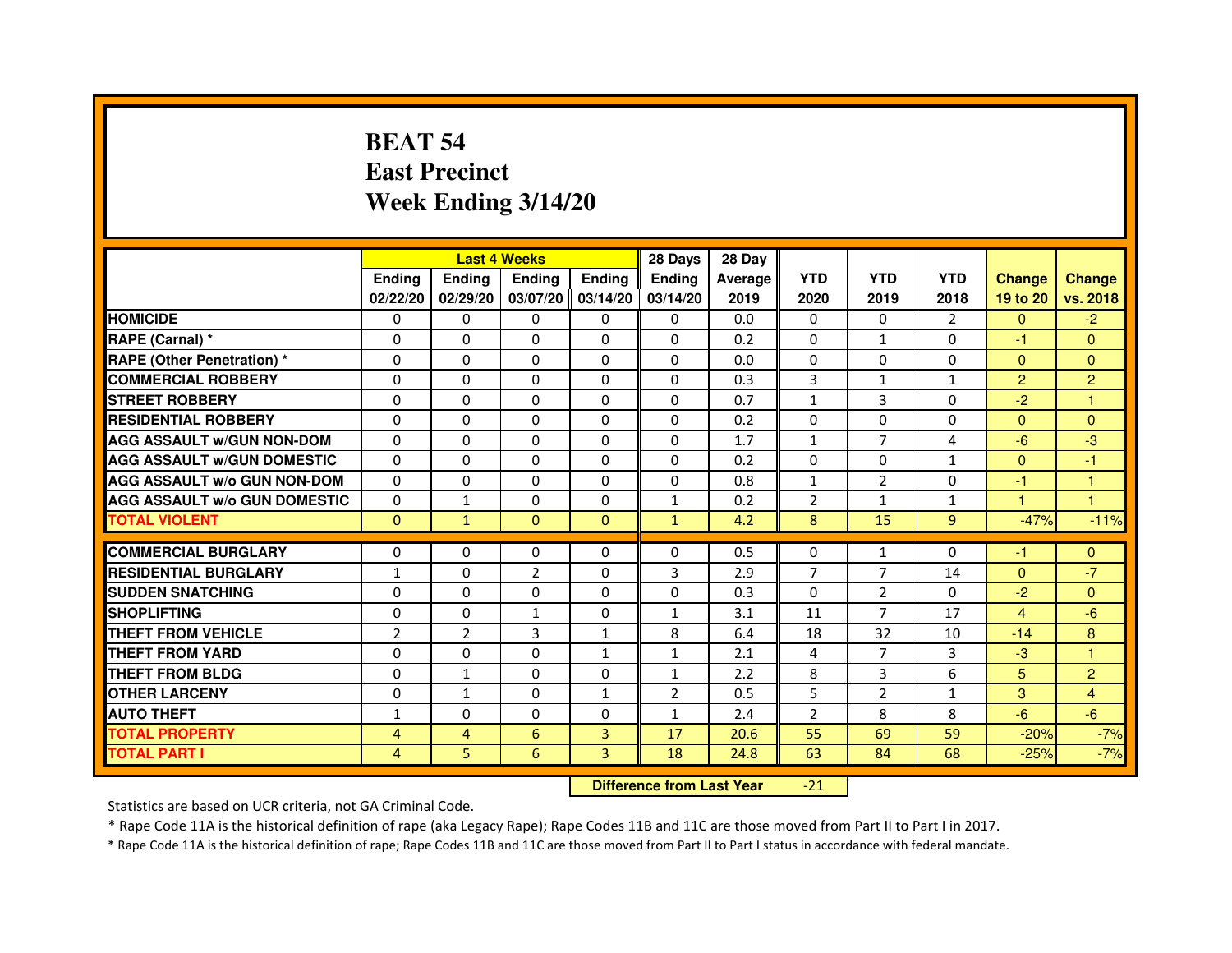# **BEAT 54 East PrecinctWeek Ending 3/14/20**

|                                     |                | <b>Last 4 Weeks</b> |                |                     | 28 Days        | 28 Day  |                |                |                |                |                |
|-------------------------------------|----------------|---------------------|----------------|---------------------|----------------|---------|----------------|----------------|----------------|----------------|----------------|
|                                     | <b>Endina</b>  | Ending              | <b>Endina</b>  | <b>Endina</b>       | <b>Endina</b>  | Average | <b>YTD</b>     | <b>YTD</b>     | <b>YTD</b>     | <b>Change</b>  | <b>Change</b>  |
|                                     | 02/22/20       | 02/29/20            |                | $03/07/20$ 03/14/20 | 03/14/20       | 2019    | 2020           | 2019           | 2018           | 19 to 20       | vs. 2018       |
| <b>HOMICIDE</b>                     | 0              | 0                   | 0              | 0                   | 0              | 0.0     | $\mathbf{0}$   | 0              | 2              | $\mathbf{0}$   | $-2$           |
| RAPE (Carnal) *                     | $\Omega$       | $\Omega$            | $\Omega$       | $\Omega$            | $\Omega$       | 0.2     | $\Omega$       | $\mathbf{1}$   | $\Omega$       | $-1$           | $\Omega$       |
| <b>RAPE (Other Penetration) *</b>   | 0              | $\Omega$            | $\Omega$       | $\Omega$            | $\Omega$       | 0.0     | $\Omega$       | $\Omega$       | $\Omega$       | $\Omega$       | $\Omega$       |
| <b>COMMERCIAL ROBBERY</b>           | 0              | 0                   | 0              | 0                   | $\Omega$       | 0.3     | 3              | $\mathbf{1}$   | 1              | $\overline{2}$ | $\overline{2}$ |
| <b>STREET ROBBERY</b>               | 0              | $\Omega$            | 0              | $\Omega$            | 0              | 0.7     | $\mathbf{1}$   | 3              | $\Omega$       | $-2$           | 1              |
| <b>RESIDENTIAL ROBBERY</b>          | 0              | $\Omega$            | 0              | $\Omega$            | 0              | 0.2     | 0              | $\Omega$       | $\Omega$       | $\mathbf{0}$   | $\Omega$       |
| <b>AGG ASSAULT W/GUN NON-DOM</b>    | $\Omega$       | 0                   | $\Omega$       | $\Omega$            | $\Omega$       | 1.7     | $\mathbf{1}$   | $\overline{7}$ | $\overline{4}$ | $-6$           | -3             |
| <b>AGG ASSAULT W/GUN DOMESTIC</b>   | $\Omega$       | $\Omega$            | 0              | 0                   | $\Omega$       | 0.2     | 0              | 0              | $\mathbf{1}$   | $\Omega$       | $-1$           |
| <b>AGG ASSAULT W/o GUN NON-DOM</b>  | $\Omega$       | 0                   | $\Omega$       | 0                   | $\Omega$       | 0.8     | $\mathbf{1}$   | $\overline{2}$ | $\Omega$       | $-1$           | 1              |
| <b>AGG ASSAULT W/o GUN DOMESTIC</b> | $\Omega$       | $\mathbf{1}$        | 0              | $\Omega$            | $\mathbf{1}$   | 0.2     | $\overline{2}$ | $\mathbf{1}$   | 1              | 1.             | 1              |
| <b>TOTAL VIOLENT</b>                | $\Omega$       | $\mathbf{1}$        | $\Omega$       | $\mathbf{0}$        | $\mathbf{1}$   | 4.2     | 8              | 15             | 9              | $-47%$         | $-11%$         |
|                                     |                |                     |                |                     |                |         |                |                |                |                |                |
| <b>COMMERCIAL BURGLARY</b>          | 0              | 0                   | $\Omega$       | 0                   | $\Omega$       | 0.5     | $\Omega$       | $\mathbf{1}$   | $\Omega$       | $-1$           | $\mathbf{0}$   |
| <b>RESIDENTIAL BURGLARY</b>         | 1              | 0                   | $\overline{2}$ | $\mathbf{0}$        | 3              | 2.9     | $\overline{7}$ | $\overline{7}$ | 14             | $\mathbf{0}$   | $-7$           |
| <b>SUDDEN SNATCHING</b>             | 0              | 0                   | $\Omega$       | $\Omega$            | $\Omega$       | 0.3     | $\Omega$       | $\overline{2}$ | $\Omega$       | $-2$           | $\Omega$       |
| <b>SHOPLIFTING</b>                  | $\mathbf 0$    | 0                   | 1              | $\Omega$            | $\mathbf{1}$   | 3.1     | 11             | 7              | 17             | $\overline{4}$ | $-6$           |
| <b>THEFT FROM VEHICLE</b>           | $\overline{2}$ | $\overline{2}$      | 3              | $\mathbf{1}$        | 8              | 6.4     | 18             | 32             | 10             | $-14$          | 8              |
| <b>THEFT FROM YARD</b>              | 0              | 0                   | $\Omega$       | $\mathbf{1}$        | $\mathbf{1}$   | 2.1     | $\overline{4}$ | $\overline{7}$ | 3              | $-3$           | $\mathbf{1}$   |
| <b>THEFT FROM BLDG</b>              | 0              | 1                   | 0              | 0                   | 1              | 2.2     | 8              | 3              | 6              | 5              | $\overline{2}$ |
| <b>OTHER LARCENY</b>                | 0              | $\mathbf{1}$        | 0              | $\mathbf{1}$        | $\overline{2}$ | 0.5     | 5              | $\overline{2}$ | 1              | 3              | 4              |
| <b>AUTO THEFT</b>                   | 1              | 0                   | $\mathbf 0$    | $\Omega$            | $\mathbf{1}$   | 2.4     | $\overline{2}$ | 8              | 8              | $-6$           | $-6$           |
| <b>TOTAL PROPERTY</b>               | 4              | 4                   | 6              | 3                   | 17             | 20.6    | 55             | 69             | 59             | $-20%$         | $-7%$          |
| <b>TOTAL PART I</b>                 | 4              | 5                   | 6              | 3                   | 18             | 24.8    | 63             | 84             | 68             | $-25%$         | $-7%$          |

 **Difference from Last Year**-21

Statistics are based on UCR criteria, not GA Criminal Code.

\* Rape Code 11A is the historical definition of rape (aka Legacy Rape); Rape Codes 11B and 11C are those moved from Part II to Part I in 2017.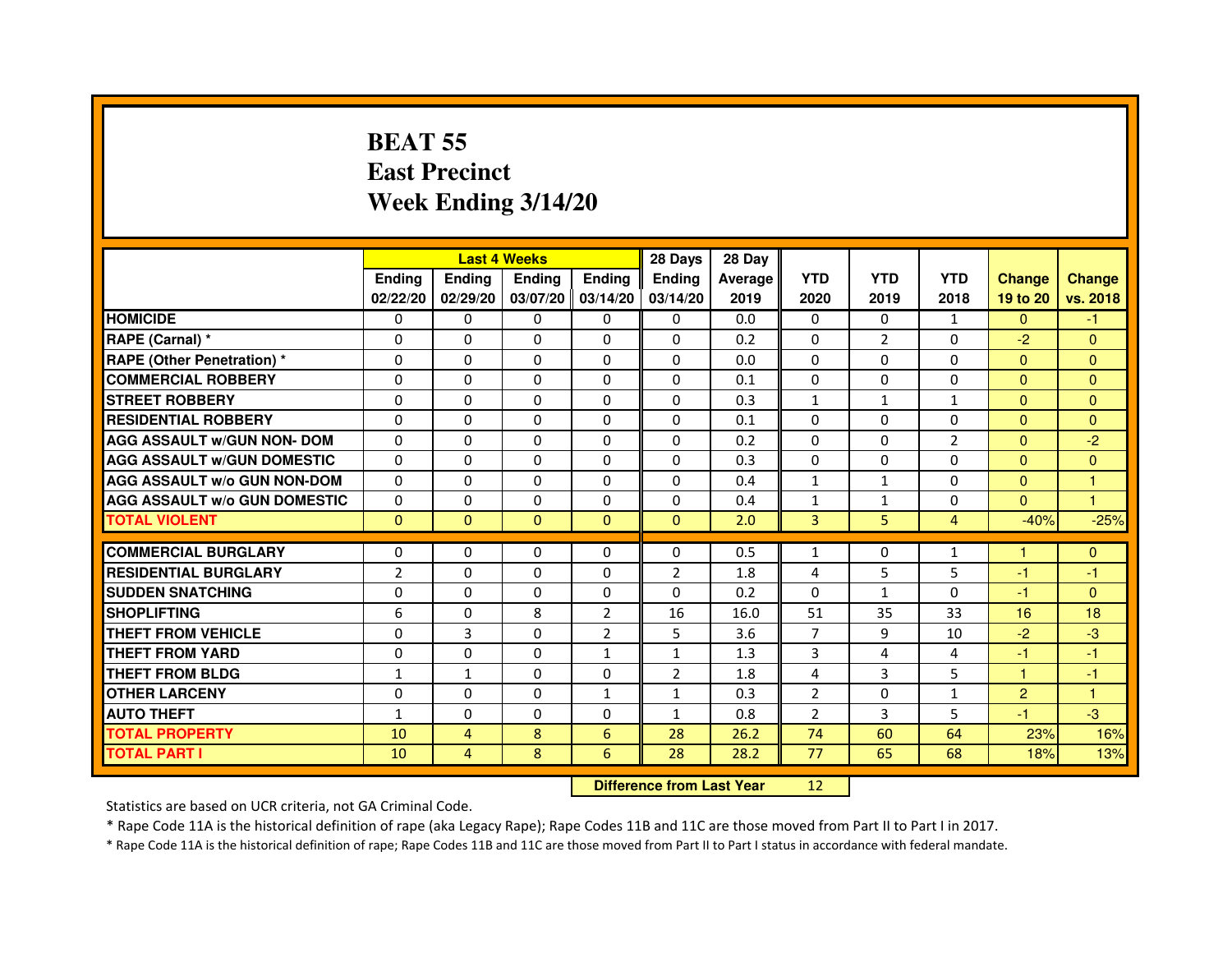# **BEAT 55 East PrecinctWeek Ending 3/14/20**

|                                     |                |                                  | <b>Last 4 Weeks</b> |                | 28 Days        | 28 Day  |                |                |                |                |                |
|-------------------------------------|----------------|----------------------------------|---------------------|----------------|----------------|---------|----------------|----------------|----------------|----------------|----------------|
|                                     | <b>Ending</b>  | <b>Ending</b>                    | Ending              | <b>Ending</b>  | <b>Ending</b>  | Average | <b>YTD</b>     | <b>YTD</b>     | <b>YTD</b>     | <b>Change</b>  | <b>Change</b>  |
|                                     | 02/22/20       | 02/29/20                         | 03/07/20            | 03/14/20       | 03/14/20       | 2019    | 2020           | 2019           | 2018           | 19 to 20       | vs. 2018       |
| <b>HOMICIDE</b>                     | 0              | $\Omega$                         | $\mathbf{0}$        | 0              | $\mathbf{0}$   | 0.0     | $\Omega$       | $\Omega$       | $\mathbf{1}$   | $\Omega$       | $-1$           |
| RAPE (Carnal) *                     | 0              | $\Omega$                         | $\Omega$            | $\Omega$       | $\Omega$       | 0.2     | $\Omega$       | $\overline{2}$ | $\Omega$       | $-2$           | $\mathbf{0}$   |
| <b>RAPE (Other Penetration) *</b>   | $\mathbf{0}$   | $\Omega$                         | $\Omega$            | $\Omega$       | $\Omega$       | 0.0     | $\Omega$       | $\Omega$       | $\Omega$       | $\Omega$       | $\overline{0}$ |
| <b>COMMERCIAL ROBBERY</b>           | $\mathbf{0}$   | $\Omega$                         | $\Omega$            | $\Omega$       | $\Omega$       | 0.1     | $\Omega$       | $\Omega$       | $\Omega$       | $\Omega$       | $\overline{0}$ |
| <b>STREET ROBBERY</b>               | $\Omega$       | $\Omega$                         | $\Omega$            | $\Omega$       | $\Omega$       | 0.3     | $\mathbf{1}$   | $\mathbf{1}$   | $\mathbf{1}$   | $\Omega$       | $\overline{0}$ |
| <b>RESIDENTIAL ROBBERY</b>          | $\Omega$       | $\Omega$                         | $\Omega$            | $\Omega$       | $\Omega$       | 0.1     | $\mathbf{0}$   | $\Omega$       | $\Omega$       | $\mathbf{0}$   | $\Omega$       |
| <b>AGG ASSAULT w/GUN NON- DOM</b>   | $\Omega$       | $\Omega$                         | $\Omega$            | $\Omega$       | $\Omega$       | 0.2     | $\Omega$       | $\Omega$       | $\overline{2}$ | $\Omega$       | $-2$           |
| <b>AGG ASSAULT W/GUN DOMESTIC</b>   | $\Omega$       | $\Omega$                         | $\Omega$            | $\Omega$       | $\Omega$       | 0.3     | $\Omega$       | $\Omega$       | $\Omega$       | $\Omega$       | $\overline{0}$ |
| <b>AGG ASSAULT w/o GUN NON-DOM</b>  | $\Omega$       | 0                                | $\Omega$            | $\Omega$       | 0              | 0.4     | $\mathbf{1}$   | $\mathbf{1}$   | 0              | $\Omega$       | 1              |
| <b>AGG ASSAULT W/o GUN DOMESTIC</b> | $\Omega$       | $\Omega$                         | $\Omega$            | $\Omega$       | $\Omega$       | 0.4     | 1              | $\mathbf{1}$   | $\Omega$       | $\Omega$       | 1              |
| <b>TOTAL VIOLENT</b>                | $\mathbf{0}$   | $\mathbf{0}$                     | $\mathbf{0}$        | $\mathbf{0}$   | $\mathbf{0}$   | 2.0     | 3              | 5              | $\overline{4}$ | $-40%$         | $-25%$         |
| <b>COMMERCIAL BURGLARY</b>          | $\mathbf{0}$   | $\Omega$                         | $\Omega$            | $\Omega$       | $\Omega$       | 0.5     | $\mathbf{1}$   | 0              | $\mathbf{1}$   | 1              | $\mathbf{0}$   |
| <b>RESIDENTIAL BURGLARY</b>         | $\overline{2}$ | $\Omega$                         | $\Omega$            | $\Omega$       | $\overline{2}$ | 1.8     | 4              | 5              | 5              | $-1$           | $-1$           |
| <b>SUDDEN SNATCHING</b>             | $\Omega$       | $\Omega$                         | $\Omega$            | $\Omega$       | $\Omega$       | 0.2     | $\Omega$       | $\mathbf{1}$   | $\Omega$       | $-1$           | $\Omega$       |
| <b>SHOPLIFTING</b>                  | 6              | $\mathbf{0}$                     | 8                   | $\overline{2}$ | 16             | 16.0    | 51             | 35             | 33             | 16             | 18             |
| <b>THEFT FROM VEHICLE</b>           | $\Omega$       | $\overline{3}$                   | $\Omega$            | $\overline{2}$ | 5              | 3.6     | $\overline{7}$ | 9              | 10             | $-2$           | $-3$           |
| <b>THEFT FROM YARD</b>              | $\mathbf{0}$   | $\Omega$                         | $\Omega$            | $\mathbf{1}$   | $\mathbf{1}$   | 1.3     | 3              | 4              | 4              | $-1$           | $-1$           |
| <b>THEFT FROM BLDG</b>              | 1              | $\mathbf{1}$                     | $\Omega$            | $\Omega$       | $\overline{2}$ | 1.8     | 4              | 3              | 5              | 1              | $-1$           |
| <b>OTHER LARCENY</b>                | $\mathbf{0}$   | $\Omega$                         | $\Omega$            | $\mathbf{1}$   | 1              | 0.3     | $\overline{2}$ | $\Omega$       | $\mathbf{1}$   | $\overline{2}$ | 1              |
| <b>AUTO THEFT</b>                   | $\mathbf{1}$   | $\Omega$                         | $\Omega$            | $\Omega$       | $\mathbf{1}$   | 0.8     | $\overline{2}$ | 3              | 5              | $-1$           | $-3$           |
| <b>TOTAL PROPERTY</b>               | 10             | $\overline{4}$                   | 8                   | 6              | 28             | 26.2    | 74             | 60             | 64             | 23%            | 16%            |
| <b>TOTAL PART I</b>                 | 10             | $\overline{4}$                   | 8                   | 6              | 28             | 28.2    | 77             | 65             | 68             | 18%            | 13%            |
|                                     |                | <b>Difference from Last Year</b> |                     | 12             |                |         |                |                |                |                |                |

 **Difference from Last Year**

Statistics are based on UCR criteria, not GA Criminal Code.

\* Rape Code 11A is the historical definition of rape (aka Legacy Rape); Rape Codes 11B and 11C are those moved from Part II to Part I in 2017.